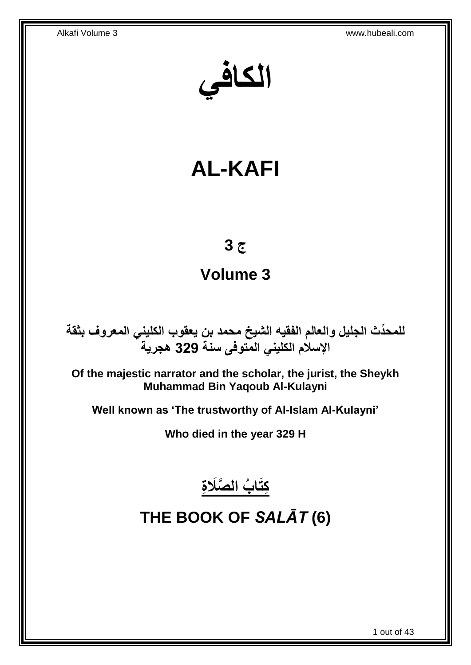**الكافي**

# **AL-KAFI**

## **ج 3**

## **Volume 3**

**دث الجليل والعالم الفقيه الشيخ محمد بن يعقوب الكليني المعروف بثقة للمح ِّ اإلسالم الكليني المتوفى سنة 329 هجرية**

**Of the majestic narrator and the scholar, the jurist, the Sheykh Muhammad Bin Yaqoub Al-Kulayni**

**Well known as 'The trustworthy of Al-Islam Al-Kulayni'**

**Who died in the year 329 H**



## <span id="page-0-0"></span>**THE BOOK OF** *SALĀT* **(6)**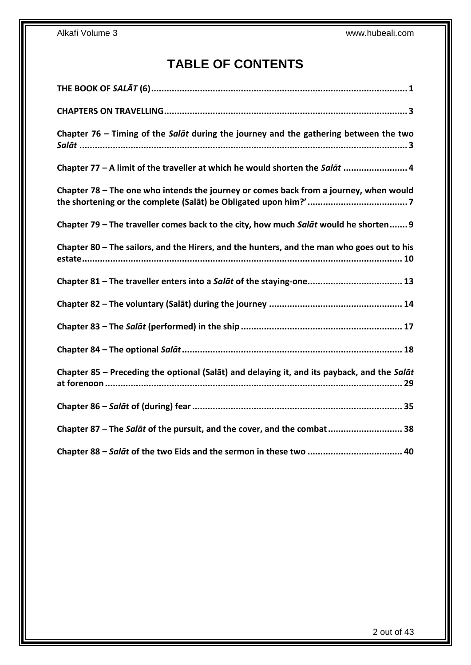## **TABLE OF CONTENTS**

| Chapter 76 – Timing of the Salat during the journey and the gathering between the two       |
|---------------------------------------------------------------------------------------------|
| Chapter 77 - A limit of the traveller at which he would shorten the Salat  4                |
| Chapter 78 - The one who intends the journey or comes back from a journey, when would       |
| Chapter 79 - The traveller comes back to the city, how much Salat would he shorten 9        |
| Chapter 80 - The sailors, and the Hirers, and the hunters, and the man who goes out to his  |
| Chapter 81 - The traveller enters into a Salat of the staying-one 13                        |
|                                                                                             |
|                                                                                             |
|                                                                                             |
| Chapter 85 - Preceding the optional (Salat) and delaying it, and its payback, and the Salat |
|                                                                                             |
| Chapter 87 - The Salat of the pursuit, and the cover, and the combat 38                     |
|                                                                                             |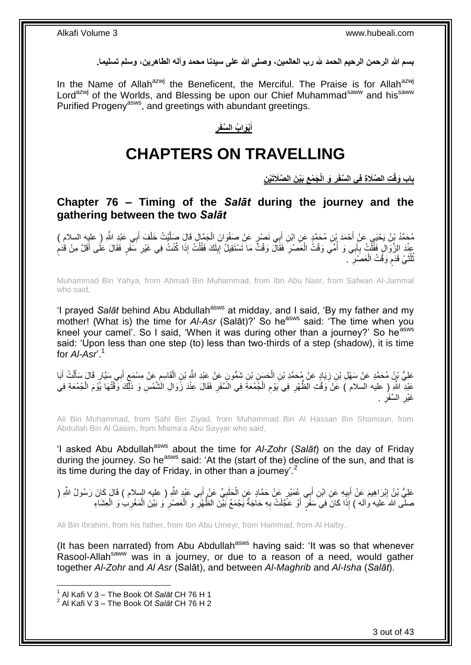**بسم هللا الرحمن الرحيم الحمد هلل رب العالمين، وصلى هللا على سيدنا محمد وآله الطاهرين، وسلم تسليما.**

In the Name of Allah<sup>azwj</sup> the Beneficent, the Merciful. The Praise is for Allah<sup>azwj</sup> Lord<sup>azwj</sup> of the Worlds, and Blessing be upon our Chief Muhammad<sup>saww</sup> and his<sup>saww</sup> Purified Progeny<sup>asws</sup>, and greetings with abundant greetings.

### **ِ** <u>أُبْوَابُ السَّفَر</u> **َ**

## **CHAPTERS ON TRAVELLING**

**ِت ال َّصَال ِة فِي ِن باب َوقْ َبْي َن ال َّصَالَتْي َج ْمع َو الْ ال َّسفَر ِ ِ**

<span id="page-2-1"></span><span id="page-2-0"></span>**Chapter 76 – Timing of the** *Salāt* **during the journey and the gathering between the two** *Salāt*

مُحَمَّدُ بِنُ يَحْيَى عَنْ أَحْمَدَ بْنِ مُحَمَّدٍ عَنِ ابْنِ أَبِي نَصْرٍ عَنْ صَفْوَانَ الْجَمَّالِ قَالَ صَلَّيْتُ خَلْفَ أَبِي عَبْدِ اللَّهِ ( عليه السلام ) َّ ْ َ َ ْ عِنْدَ الزَّوَالِ فَقُلْتُ بِأَبِي وَ أُمِّي وَقْتُ الْعَصْرِ فَقَالَ وَقْتُ مَا تَسْتَقِيلُ إِبِلَكَ فَقُلْتُ إِذَا كُنْتُ فِي غَيْرِ سَفَرٍ فَقَالَ عَلَى أَقَلَّ مِنْ قَدَمٍ ْ لَ ِ ِ **∶** ْ .<br>ا َ **∶** ْ ֦֧֦֧֦֖֖֚֝֝֝֝֟֓֝֬֝֓֝֬֝֓֟֓**֓** َ ِ تُلُّثَيْ قَدَم وَقْتُ الْعَصَٰرَ ۚ ـِ ِ ْ م  $\ddot{\phantom{0}}$ ا<br>ا ُ

Muhammad Bin Yahya, from Ahmad Bin Muhammad, from Ibn Abu Nasr, from Safwan Al-Jammal who said,

'I prayed Salat behind Abu Abdullah<sup>asws</sup> at midday, and I said, 'By my father and my mother! (What is) the time for *AI-Asr* (Salāt)?' So he<sup>asws</sup> said: 'The time when you kneel your camel'. So I said, 'When it was during other than a journey?' So he<sup>asws</sup> said: 'Upon less than one step (to) less than two-thirds of a step (shadow), it is time for *Al-Asr*'.<sup>1</sup>

عَلِيُّ بْنُ مُحَمَّدٍ عَنْ سَهْلِ بْنِ زِيَادٍ عَنْ مُحَمَّدِ بْنِ الْحَسَنِ بْنِ شَمُّونٍ عَنْ عَبْدِ اللَّهِ بْنِ الْقَاسِمِ عَنْ مِسْمَعٍ أَبِي سَيَّارٍ قَالَ سَأَلْتُ أَبَا ِ ْ َ َ **≀** ֖֦֦֦֚֚֚֚֚֚֩֘֝֝֝ ْ ْ َ عَبْدِ اللَّهِ ( عليه السلام ) عَنْ وَقُتِ الظُّهْرِ فِي َيَوْمِ الْجُمُعَةِ فِي السَّفَرِ فَقَالَ عِنْدَ زَوَالِ الشَّمْسِ وَ ذَٰلِكَ وَقَقْهَا يَوْمَ الْجُمُعَةِ فِي ِ ْ ِ ِ ْ غَيْرِ السَّفَرِ . ِ ِ

Ali Bin Muhammad, from Sahl Bin Ziyad, from Muhammad Bin Al Hassan Bin Shamoun, from Abdullah Bin Al Qasim, from Misma'a Abu Sayyar who said,

'I asked Abu Abdullah<sup>asws</sup> about the time for *AI-Zohr* (Salat) on the day of Friday during the journey. So he<sup>asws</sup> said: 'At the (start of the) decline of the sun, and that is its time during the day of Friday, in other than a journey'.<sup>2</sup>

عَلِيُّ بْنُ إِبْرَاهِيمَ عَنْ أَبِيهِ عَنِ ابْنِ أَبِي عُمَيْرٍ عَنْ حَمَّادٍ عَنِ الْحَلَبِيِّ عَنْ أَبِي عَنْدٍ اللَّهِ ( عليه السلام ) قَالَ كَانَ رَسُولُ اللَّهِ ( َ **!** َ ِ َ **∶** ْ صلَّى الله َعليه وْآله ) إِذَا كَانَ فِيَ سَفَرٍّ أَوْ عَجَّلَتْ بِهِ حَاجَةٌ يَجْمَعُ بَيْنَ الظُّهْرِ ۖ وَ الْعَصْرِ وَ بَيْنَ الْمَغْرِبِ وَ الْعِشَاءِ ْ ِ ْ **∶** ِ َ ْ

Ali Bin Ibrahim, from his father, from Ibn Abu Umeyr, from Hammad, from Al Halby,

(It has been narrated) from Abu Abdullah<sup>asws</sup> having said: 'It was so that whenever Rasool-Allah<sup>saww</sup> was in a journey, or due to a reason of a need, would gather together *Al-Zohr* and *Al Asr* (Salāt), and between *Al-Maghrib* and *Al-Isha* (*Salāt*).

<sup>1</sup> Al Kafi V 3 – The Book Of *Salāt* CH 76 H 1

<sup>2</sup> Al Kafi V 3 – The Book Of *Salāt* CH 76 H 2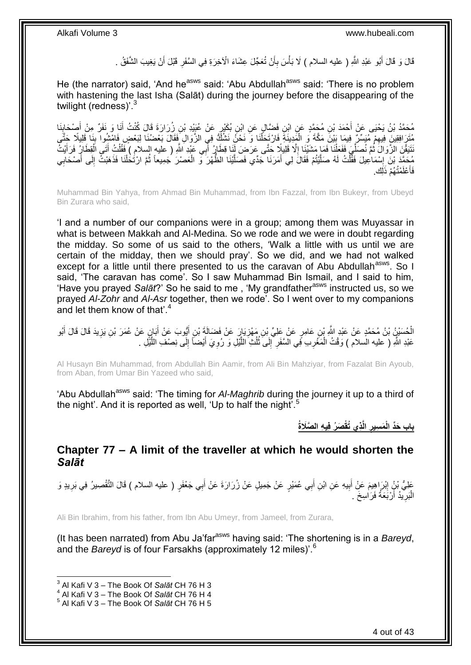قَالَ وَ قَالَ أَبُو عَبْدِ اللَّهِ ( عليه السلام ) لَا بَأْسَ بِأَنْ تُعَجّلَ عِشَاءَ الْآخِرَةِ فِي السَّفَرِ قَبْلَ أَنْ يَغِيبَ الشَّفَقُ . َ **ٍ** َ ِ ْ َ

He (the narrator) said, 'And he<sup>asws</sup> said: 'Abu Abdullah<sup>asws</sup> said: 'There is no problem with hastening the last Isha (Salāt) during the journey before the disappearing of the twilight (redness)'.<sup>3</sup>

مُحَمَّدُ بْنُ يَحْيَى عَنْ أَحْمَدَ بْنِ مُحَمَّدٍ عَنِ ابْنِ فَضَّالٍ عَنِ ابْنِ بُكَيْرٍ عَنْ عُيِّيْدِ بْنِ زُِرَارَةَ قَالَ كُنْتُ أَنَا وَ نَفَرٌ مِنْ أُصْحَابِنَا<br>مُحَمَّدُ بْنُ يَحْيَى عَنْ أَحْمَدَ بْنِ مُحَمَّدٍ َ ِ َ َ مُتَرَِ افِقِينَ فِيهِمْ مُيَسِّرٌ فِيمَا بَيْنَ مَكَّةً وَ الْمَدِينَةَ فَارْتَحَلَّنَا وَ نَحْنَ نَشُكُّ فِي الزَّوَالِ فَقَالَ بَعْضُنَا لِبَعْضٍ فَامْشِوا بِنَا قَلِيلًا جَتَّى ْ ْ ِ ِ نَتَيَقَّنَ الزَّوَالَ ثُمَّ نُصَلِّيَ فَفَعَلْنَا فَمَا مَشْنَنِا إِلَّا قَلِيلًا حَتَّى عَرَضَ لَنَا قِطَارٍ أَبِي عَبْدِ اللَّهِ ( عليه السلام ) فَقُلْتُ أَتَى الْقِطَارُ فَرَأَيْتُ َ ِ ْ ِّ ُ َ ْ َ ْ مُحَمَّدَ بْنَ إِسْمَاعِيلَ فَقَلْتُ لَهُ صَلَّيْتُمْ فَقَالَ لِي أَمَرَنَا جَدِّي فَصَلَّيْنَا الظَّهْرَ وَّ الْعَصْرَ جَمِيعاً ثُمَّ ارْتَٰحَلْنَا فَذَهَبْتُ إِلَى أَصْحَابِي َ َّ ْ ֦֧֦֧֦֧֦֧֦֧֦֧֦֧֦֧ׅ֦֧֦֧֦֧֦֧֦֧֦֧֦֧֦֧֦֧֦֧֦֧֦֧֦֧֦֧֦֧֦֧֦֧֦֚֚֬֜֓֡ ِ َ ِ ْ ُ ْ َّ فَأَعْلَمْتُهُمْ ذَلِكَ. َ

Muhammad Bin Yahya, from Ahmad Bin Muhammad, from Ibn Fazzal, from Ibn Bukeyr, from Ubeyd Bin Zurara who said,

'I and a number of our companions were in a group; among them was Muyassar in what is between Makkah and Al-Medina. So we rode and we were in doubt regarding the midday. So some of us said to the others, 'Walk a little with us until we are certain of the midday, then we should pray'. So we did, and we had not walked except for a little until there presented to us the caravan of Abu Abdullah<sup>asws</sup>. So I said, 'The caravan has come'. So I saw Muhammad Bin Ismail, and I said to him, 'Have you prayed *Salāt*?' So he said to me, 'My grandfather<sup>asws</sup> instructed us, so we prayed *Al-Zohr* and *Al-Asr* together, then we rode'. So I went over to my companions and let them know of that'.<sup>4</sup>

الْحُسَيْنُ بْنُ مُحَمَّدٍ عَنْ عَبْدِ اللَّهِ بْنِ عَامِرٍ عَنْ عَلِيٍّ بْنِ مَهْزِيَارَ عَنْ فَضَالَةَ بْنِ أَيُّوبَ عَنْ أَبَانٍ عَنْ عُمَرَ بْنِ يَزِيدَ قَالَ قَالَ أَبُو ِ َ ِ َ َ عَبْدِ اللَّهِ ( عليه السلام ) وَقْتُ الْمَغْرِبِ فِي السَّفَرِ ۚ إِلَى ثُلُثِ اللَّيْلِ وَ رُوِيَ أَيْضاً إِلَى نِصْفِ اللَّيْلِ . َّ ∣∣<br>∶ َ ِ َّ ٔ<br>ا ُ  $\frac{1}{2}$ **∶ ∶** ْ

Al Husayn Bin Muhammad, from Abdullah Bin Aamir, from Ali Bin Mahziyar, from Fazalat Bin Ayoub, from Aban, from Umar Bin Yazeed who said,

'Abu Abdullah<sup>asws</sup> said: 'The timing for *Al-Maghrib* during the journey it up to a third of the night'. And it is reported as well, 'Up to half the night'.<sup>5</sup>

> **ِ** باب حَدِّ الْمَسِير الَّذِي تُقْصَرُ فِيهِ الصَّلَاةُ

<span id="page-3-0"></span>**Chapter 77 – A limit of the traveller at which he would shorten the**  *Salāt*

عَلِيُّ بْنٍُ إِبْرَاهِيمَ عَنْ أَبِيهِ عَنِ ابْنِ أَبِي عُمَيْرٍ عَنْ جَمِيلٍ عَنْ زُرَارَةَ عَنْ أَبِي جَعْفَرٍ ( عليه السلام ) قَالَ النَّقْصِيرُ فِي بَرِيدٍ وَ َ **!** َ ِ ِ الْبَرِيْدُ أَرْبَعَةُ فَرَاسِخَ َ ِ ا.<br>ا

Ali Bin Ibrahim, from his father, from Ibn Abu Umeyr, from Jameel, from Zurara,

(It has been narrated) from Abu Ja'farasws having said: 'The shortening is in a *Bareyd*, and the *Bareyd* is of four Farsakhs (approximately 12 miles)'.<sup>6</sup>

 3 Al Kafi V 3 – The Book Of *Salāt* CH 76 H 3

<sup>4</sup> Al Kafi V 3 – The Book Of *Salāt* CH 76 H 4

<sup>5</sup> Al Kafi V 3 – The Book Of *Salāt* CH 76 H 5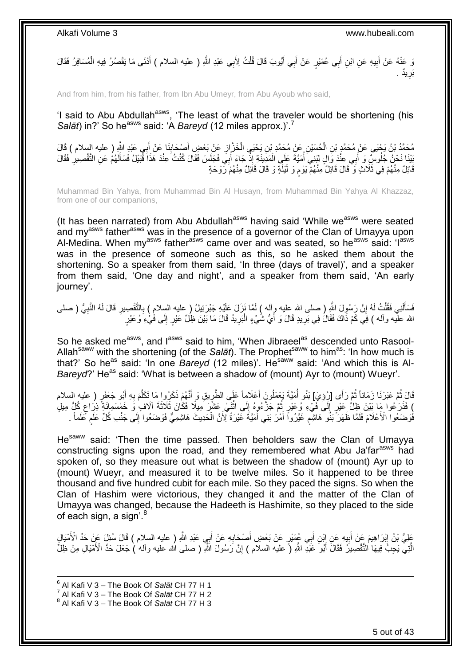وَ عَنْهُ عَنْ أَبِيهِ عَنِ ابْنِ أَبِي عُمَيْرٍ عَنْ أَبِي أَيُّوبَ قَالَ قُلْتُ لِأَبِي عَبْدِ اللَّهِ ( عليه السلام ) أَذْنَى مَا يَقْصُرُ فِيهِ الْمُسَافِرُ فَقَالَ َ ْ َ َ َ **∣** َ ْ بَرِيدٌ . **∶** 

And from him, from his father, from Ibn Abu Umeyr, from Abu Ayoub who said,

'I said to Abu Abdullah<sup>asws</sup>, 'The least of what the traveler would be shortening (his *Salāt*) in?' So he<sup>asws</sup> said: 'A *Bareyd* (12 miles approx.)'.<sup>7</sup>

مُحَمَّدُ بْنُ يَحْيَى عَنْ مُحَمَّدٍ بْنِ الْحُسَيْنِ عَنْ مُحَمَّدِ بْنِ يَحْيَى الْخَزَّ إِنِ عَنْ بَعْضِ أَصْحَابِنَا عَنْ أَبِي عَبْدِ النَّهِ ( عليه السلام ) قَالَ<br>يَهَذَّبُ بِي الْجَيَنِي عَنْ مُحَمَّدٍ بْنِ الْحُسَ َ **ٍ** ْ ْ َ ُبَيْنَا نَحْنُ جُلُوسِّ وَ أَبِي عِنْدَ وَالٍ لِبَنِيَ أُمَيَّةَ عَلَى الْمَدِينَةِ إِذْ جَاءَ أَبِيَ فَجَلَسَ فَقَالَ كُنْتُ عِنْدَ هَذَا قُبَيْلُ فَسَأَلَهُمْ عَنِ التَّقْصِيلِ فَقَالَ :<br>. ْ ان<br>المالي َ ِ لَ َ َ قَائِلٌ مِنْهُمْ فِي ثَلَاثٍ وَ ۖ قَالَ قَائِلٌ مِنْهُمْ يَوْمٍ وَ لَيْلَةٍ وَ قَالَ قَائِلٌ مِنْهُمْ رَوْحَةٍ ٍ

Muhammad Bin Yahya, from Muhammad Bin Al Husayn, from Muhammad Bin Yahya Al Khazzaz, from one of our companions,

(It has been narrated) from Abu Abdullah<sup>asws</sup> having said 'While we<sup>asws</sup> were seated and my<sup>asws</sup> father<sup>asws</sup> was in the presence of a governor of the Clan of Umayya upon Al-Medina. When my<sup>asws</sup> father<sup>asws</sup> came over and was seated, so he<sup>asws</sup> said: 'I<sup>asws</sup> was in the presence of someone such as this, so he asked them about the shortening. So a speaker from them said, 'In three (days of travel)', and a speaker from them said, 'One day and night', and a speaker from them said, 'An early journey'.

فَسَأَلَنِي فَقُلْتُ لَهُ إِنَّ رَسُولَ اللّهِ ( صلى الله عليه وِأله ) لَمَّا نَزِلَ عَلَيْهِ جَبْرَئِيلُ ( عليه السلام ) بِالتَّقْصِيرِ قَالَ لَهُ النَّبِيُّ ( صلى ِ ِ ْ لَ َ ِ ِ الله عليه وأله ) فِي كَمْ ذَاكَ فَقَالُ فِي بَرِيدٍ قَالَ وَ أَيُّ شُيْءٍ الْبَرِيدُ قَالَ مَا بَيْنَ ظِلِّ عَيْرٍ إِلَى فَٰيْءِ وُعَيْرٍ ∣∣<br>∶ ْ

So he asked me<sup>asws</sup>, and l<sup>asws</sup> said to him, 'When Jibraeel<sup>as</sup> descended unto Rasool-Allahsaww with the shortening (of the *Salāt*). The Prophetsaww to himas: 'In how much is that?' So he<sup>as</sup> said: 'In one *Bareyd* (12 miles)'. He<sup>saww</sup> said: 'And which this is Al-*Bareyd*?' He<sup>as</sup> said: 'What is between a shadow of (mount) Ayr to (mount) Wueyr'.

قَالَ ِثُمَّ عَبَرْنَا زَمَاناً ثُمَّ رَأَى [رُوِيَ] بَنُو أُمَيَّةَ يَعْمَلُونَ أَعْلَاماً عَلَى الطَّرِيقِ وَ أَنَّهُمْ ذَكَرُوا مَا تَكَلَّمَ بِهِ أَبُو جَعْفَرٍ ( عليه السلام ُ ِ ا ماہ<br>سال َ **∶** َّ َ ِ َ ) فَذَرَعُوا مَا بَيْنَ ظِلٍّ عَيْرٍ إِلَى فَيْءٍ وُعَيْرٍ ثُمَّ جَزَّعُوهُ إِلَى اثْنَيْ عَشَرَ مِيلًا فَكَانَ ثَلَاثَةَ الَافٍ وَ خَمْسَمِائَةٍ ذِرَاعٍ كُلُّ مِيلٍ  $\frac{1}{2}$ ٍ **ٔ** ِ ا دیکھیے َفْوَضَعُوا ۖ الْأَعْلَامَ فَلَمَّا ظَهَرَ ۖ بَنُو ۖ هَاشِمٍ غَيَّرُوا ۖ أَمْرُ بَنِي أُمَيَّةٌ غَيْرَةً لِٓٓ ؤَنَّ الْحَدِيثَ هَاشِمِيٌّ فَوَضَعُوا إِلَى جَنْب كُلِّ عَلَمٍ عَلَماً . ْ ر<br>ا َ ٍ **ื** ِ

He<sup>saww</sup> said: 'Then the time passed. Then beholders saw the Clan of Umayya constructing signs upon the road, and they remembered what Abu Ja'far<sup>asws</sup> had spoken of, so they measure out what is between the shadow of (mount) Ayr up to (mount) Wueyr, and measured it to be twelve miles. So it happened to be three thousand and five hundred cubit for each mile. So they paced the signs. So when the Clan of Hashim were victorious, they changed it and the matter of the Clan of Umayya was changed, because the Hadeeth is Hashimite, so they placed to the side of each sign, a sign'.<sup>8</sup>

عَلِيُّ بْنُ إِبْرَاهِيمَ عِنْ أَبِيهِ عَنِ إِبْنِ أَبِي عُمِيْرٍ عَنْ بَعْضِ أَصْحَابِهِ عَنْ أَبِي عَبْدِ اللَّهِ ( عليه السلام ) قَالَ سُئِلَ عَنْ حَدِّ الْأَمْيَالِ َ ِ َ **!** َ ِ الَّتِيَّ يَجِبُّ فِيهَا التَّقْصِيلُ فَقَالَ أَبُوَّ عَبْدٍ اللَّهِ (ً عليه السلام ) إِنَّ رَسُولَ اللَّهِ ( صلى الله عليه وآله ) جَعَلَ حَدَّ الْأَمْيَالِ مِنْ ظِلَّ ِ َ

<sup>1</sup> 6 Al Kafi V 3 – The Book Of *Salāt* CH 77 H 1

<sup>7</sup> Al Kafi V 3 – The Book Of *Salāt* CH 77 H 2

<sup>8</sup> Al Kafi V 3 – The Book Of *Salāt* CH 77 H 3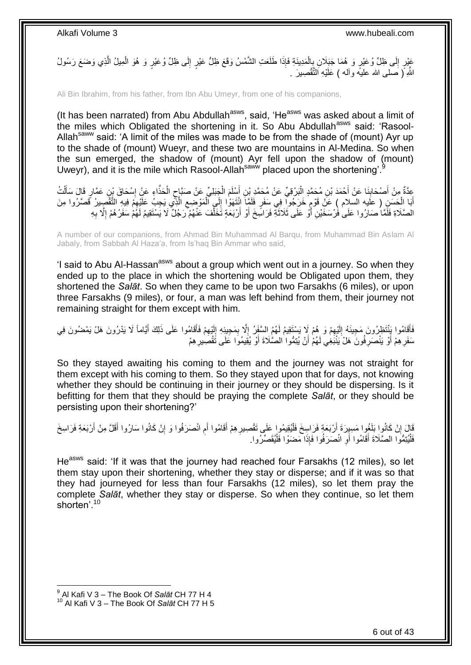عَيْرٍ إِلَى ظِلِّ وُعَيْرٍ وَ هُمَا جَبَلَانِ بِإِلْمَدِينَةِ فَإِذَا طَلَعَتِ الشَّمْسُ وَقَعَ ظِلُّ عَيْرٍ إِلَى ظِلِّ وُعَيْرٍ وَ هُوَ الْمِيلُ الَّذِي وَضَعَ رَسُولُ ∣∣<br>ِ ْ ِ ِ َّ ْ اللَّهِ ً( صَلَّمِی الله علیهٔ وأله ) عَلَيْهِ النَّقْصِيرَ .

Ali Bin Ibrahim, from his father, from Ibn Abu Umeyr, from one of his companions,

(It has been narrated) from Abu Abdullah<sup>asws</sup>, said, 'He<sup>asws</sup> was asked about a limit of the miles which Obligated the shortening in it. So Abu Abdullah<sup>asws</sup> said: 'Rasool-Allah<sup>saww</sup> said: 'A limit of the miles was made to be from the shade of (mount) Ayr up to the shade of (mount) Wueyr, and these two are mountains in Al-Medina. So when the sun emerged, the shadow of (mount) Ayr fell upon the shadow of (mount) Uweyr), and it is the mile which Rasool-Allah<sup>saww</sup> placed upon the shortening'.

عِدَّةٌ مِنْ أَصْحَابِنَا عَنْ أَحْمَدَ بْنِ مُحَمَّدٍ الْبَرْقِيِّ عَنْ مُحَمَّدِ بْنِ أَسْلَمَ الْجَبَلِيِّ عَنْ صَبَّإِحِ الْحَذَّاءِ عَنِْ اِسْحَاقَ بْنِ عَمَّارٍ قَالَ سَأَلْتُ ْ َ **∣** َ ْ ĺ ِ ْ ٍ ْ َ ِ أَبَا الْحَسَنِ ( عَلَيه السّلام ) عَنْ قَوْمٍ خَرَجُوا ۖ فِي سَفَرٍ فَلَمَّاۤ انْتَهَوْا إِلَى ٱلْمَوْضِعِ الَّذِي يَجِبُ عَلَيْهِمْ فِيهِ التَّقْصِيرُ تَّصَرُوا مِنَ َّ ِ ْ  $\frac{1}{2}$ ֧֚֝֓֩֓֓׆֧ ْ الصَّلَاةِ فَلَّمَّا صَارُوا عَلَىٰ فَٰرْسَخَيْنِ أَوْ عَلَى ثَلَاثَةٍ فَرَاسِّخَ أَوْ أَرْبَعَةٍ تَخَلَّفَ عَنْهُمْ ۖ رَجُلٌ لَا يَسْتَقِيمُ لَهُمْ سَفَرُهُمْ إِلَّا بِهِ َّ َ َ  $\ddot{\cdot}$ َ **∶** ا<br>ا

A number of our companions, from Ahmad Bin Muhammad Al Barqu, from Muhammad Bin Aslam Al Jabaly, from Sabbah Al Haza'a, from Is'haq Bin Ammar who said,

'I said to Abu Al-Hassan<sup>asws</sup> about a group which went out in a journey. So when they ended up to the place in which the shortening would be Obligated upon them, they shortened the *Salāt*. So when they came to be upon two Farsakhs (6 miles), or upon three Farsakhs (9 miles), or four, a man was left behind from them, their journey not remaining straight for them except with him.

فَأَقَامُوا بَِنْتَظِرُونَ مَجِيئَهُ إِلَيْهِمْ وَ هُمْ لَإِ يَسْتَقِيمُ لَهُمُ السَّفَزُ إِلَّا بِمَجِيئِهِ إِلَيْهِمْ فَأَقَامُوا عَلَى ذَلِكَ أَيَّاماً لَا يَدْرُونَ هَلْ يَمْضُونَ فِي َ ِ لَ ِ ِ ِ ِ لَ  $\frac{1}{2}$ َ سَفَرِ هِمْ أَوْ يَنْصَرِ فُونَ ۚ هَلْ يَنْبَغِي لَهُمْ أَنْ يُتِمُّوا الصَّلَاةَ أَوْ يُقِيمُوا عَلَى تَقْصَبِيرِ هِمْ اً **∶** اُ **∶** ِ َ

So they stayed awaiting his coming to them and the journey was not straight for them except with his coming to them. So they stayed upon that for days, not knowing whether they should be continuing in their journey or they should be dispersing. Is it befitting for them that they should be praying the complete *Salāt*, or they should be persisting upon their shortening?'

ِ قَالَ إِنْ كَانُوا بَلَغُوا مَسِيِرَةَ أَرْبَعَةٍ فَرَاسِخَ فَلْيُقِيمُوا عَلَى تَقْصِيرِ هِمْ أَقَامُوا أَم انْصَرَفُوا وَ إِنْ كَانُوا سَارُوا أَقَلَّ مِنْ أَرْبَعَةِ فَرَاسِخَ ِ َ ِ ْ َ **׀** َ َ فَلْيُتِمُّوا الصَّلَاةَ أَقَامُوا أَوِ انْصَرَفُوا فَإِذَا مَضَوْا فَلْيُقَصِّرُوا. ْ ِ اً :<br>إ

He<sup>asws</sup> said: 'If it was that the journey had reached four Farsakhs (12 miles), so let them stay upon their shortening, whether they stay or disperse; and if it was so that they had journeyed for less than four Farsakhs (12 miles), so let them pray the complete *Salāt*, whether they stay or disperse. So when they continue, so let them shorten'.<sup>10</sup>

 9 Al Kafi V 3 – The Book Of *Salāt* CH 77 H 4 <sup>10</sup> Al Kafi V 3 – The Book Of *Salāt* CH 77 H 5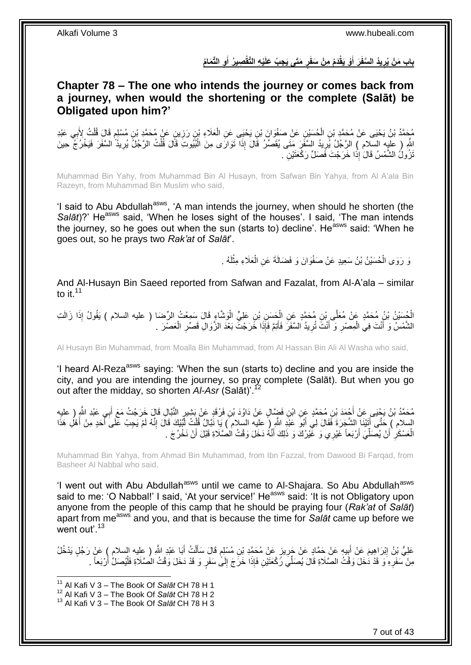باب مَنْ يُرِيدُ السَّفَرَ أَوْ يَقْدَمُ مِنْ سَفَرٍ مَتَى يَجِبُ عَلَيْهِ التَّقْصِيرُ أَوِ التَّمَامُ **َ ِ َ ٍ**

### <span id="page-6-0"></span>**Chapter 78 – The one who intends the journey or comes back from a journey, when would the shortening or the complete (Salāt) be Obligated upon him?'**

مُحَمَّدُ بْنُ يَحْيَى عَنْ مُحَمَّدِ بْنِ الْحُسَيْنِ عَنْ صَفْوَانَ بْنِ يَحْيَى عَنِ الْعَلَاءِ بْنِ رَزِينِ عَنْ مُحَمَّدِ بْنِ مُسْلِمٍ قَالَ قُلْتُ لِأَبِي عَبْدِ **∶** ْ ֧֖֧֖֖֖֖֖֧֖֖֧֧֧֧ׅ֧֧֧֧֧֧֧֧֧֧֧֧֚֚֚֚֚֚֚֚֝֝֟֓֝֓֝֓֝֬֟֓֟֓֝֬֝֬֝֓֝֬֜֓֝֬֜֓֝֬֝֓֝֬֝֓֝֬֝֬֓֝֬֝֬֝ ِ ْ ْ لَّهِ ( عليه السلام ) الرَّجُلُ لِّرِيدُ السَّفَرَ مَتَى يُقَصِّرُ قَالَ إِذَا تَوَارَى مِنَ الْبُيُوتِ قَالَ قُلْتُ الرَّجُلُ يُرِيدُ السَّفَرَ فَيَخْرُجُ حِينَ ْ ْ ِ ِ َنْزُولُ الشَّمْسُ قَالَ إِذَا خَرَجْتَ فَصَلِّ رَكْعَتَيْنِ .

Muhammad Bin Yahy, from Muhammad Bin Al Husayn, from Safwan Bin Yahya, from Al A'ala Bin Razeyn, from Muhammad Bin Muslim who said,

'I said to Abu Abdullah<sup>asws</sup>, 'A man intends the journey, when should he shorten (the Salat)?' He<sup>asws</sup> said, 'When he loses sight of the houses'. I said, 'The man intends the journey, so he goes out when the sun (starts to) decline'. He<sup>asws</sup> said: 'When he goes out, so he prays two *Rak'at* of *Salāt*'.

> وَ رَوَى الْحُسَيْنُ بْنُ سَعِيدٍ عَنْ صَفْوَانَ وَ فَضَالَةَ عَنِ الْعَلَاءِ مِثْلَهُ . لَ ْ ْ ْ

And Al-Husayn Bin Saeed reported from Safwan and Fazalat, from Al-A'ala – similar to it. $11$ 

الْحُسَيْنُ بْنُ مُحَمَّدٍ عَنْ مُعَلَّى بْنِ مُحَمَّدٍ عَنِ الْحَسَنِ بْنِ عَلِيٍّ الْوَشَّاءِ قَالَ سَمِعْتُ الرِّضَا ( عليه السلام ) يَقُولُ إِذَا زَالَتِ<br>نَقْدَ نَبِّهُ مَعَةً عَنْ مُعَلَّى إِنِّ مُحَمَّدٍ عَنِ الْحَس ْ ْ الشَّمْسُ وَ أَنْتَ فِي الْمِصْرِ وَ أَنْتَ تُرِيدُ السَّفَرَ فَأَتِمَّ فَإِذَا خَرَجْتَ بَعْدَ الزَّوَالِ قَصِّرِ الْعَصْرَ . ْ ِ َ ِ َ **∶** ْ

Al Husayn Bin Muhammad, from Moalla Bin Muhammad, from Al Hassan Bin Ali Al Washa who said,

'I heard Al-Reza<sup>asws</sup> saying: 'When the sun (starts to) decline and you are inside the city, and you are intending the journey, so pray complete (Salāt). But when you go out after the midday, so shorten *Al-Asr* (Salāt)'.<sup>12</sup>

مُحَمَّدُ بْنُ يَجْيَى عَنْ أَجْمَدَ بْنِ مُحَمَّدٍ عَنِ ابْنِ فَضِّالٍ عَنْ دَاوُدَ بْنِ فَرْقَدٍ عَنْ بَشِيرٍ النَّبَّالِ قَالٍ خَرَجْتُ مَعَ أَبِي عَبْدِ اللَّهِ ( عليه َ السلام ) حَتَّى أَتَيْنَا الشَّجَرَةَ فَقَالَ لِي أَبُوَ عَنْدِ اللَّهِ ( عليه السلام ) يَا نَّبَالُ قُلْتُ لَبَّيْكَ قَالَ إِنَّهُ لَمْ يَجِبْ عَلَى أَحَدٍ مِنْ أَهْلِ هَذَا َ ۔<br>|<br>| ِ ْ َ َ َ الْعَسْكَرِ ۚ أَنْ يُصَلِّيَ أَرْبَعاً غَيْرِي وَ غَيْرُكَ وَ ذَلِكَ أَنَّهُ دَخَلَ وَقْتُ الْصَّلَاةِ قَبْلَ أَنْ نَخْرُجَ . َ َ ِّ اُ **∶** ْ

Muhammad Bin Yahya, from Ahmad Bin Muhammad, from Ibn Fazzal, from Dawood Bi Farqad, from Basheer Al Nabbal who said,

'I went out with Abu Abdullah<sup>asws</sup> until we came to Al-Shajara. So Abu Abdullah<sup>asws</sup> said to me: 'O Nabbal!' I said, 'At your service!' He<sup>asws</sup> said: 'It is not Obligatory upon anyone from the people of this camp that he should be praying four (*Rak'at* of *Salāt*) apart from measws and you, and that is because the time for *Salāt* came up before we went out'.<sup>13</sup>

عَلِيُّ بْنُ إِبْرَاهِيمَ عَنْ أَبِيهِ عَنْ حَمَّادٍ عَنْ جَرِيزٍ عَنْ مُحَمَّدِ بْنِ مُسْلِمٍ قَالَ سَأَلْتُ أَبَا عَبْدِ اللَّهِ ( عِليه السلام ) عَنْ رَجُلٍ يَدْخُلُ َ ْ َ ֧֧֖֧֖֧֖֧֧֧֧֧֧֧֧֧֧֧֧֚֚֚֓֝֝֝֝֝֟֓֝֓֬֝֓֝֬֟֓֟֓֝֬֟֓֟֓֝֬֝֬֝֓֟֓֝֬֜֝֬֝֓֝֬֝֓ ِ ِ مِنْ سَفَرِهِ َوَ قَدْ دُخَلَ وَقْتُ الصَّلَاةِ قَالَ يُصَلِّيَ رَكْعَتَيْنِ فَإِذَا خَرَجَ إِلَىًّ سَفَرٍ وَ قَدْ دَخَلَ وَقْتُ الصَّلَاةِ فَلْيُصَلِّ أَرْبَعاً . **∶** أ ْ ِ

<sup>11</sup> Al Kafi V 3 – The Book Of *Salāt* CH 78 H 1

<sup>12</sup> Al Kafi V 3 – The Book Of *Salāt* CH 78 H 2

<sup>13</sup> Al Kafi V 3 – The Book Of *Salāt* CH 78 H 3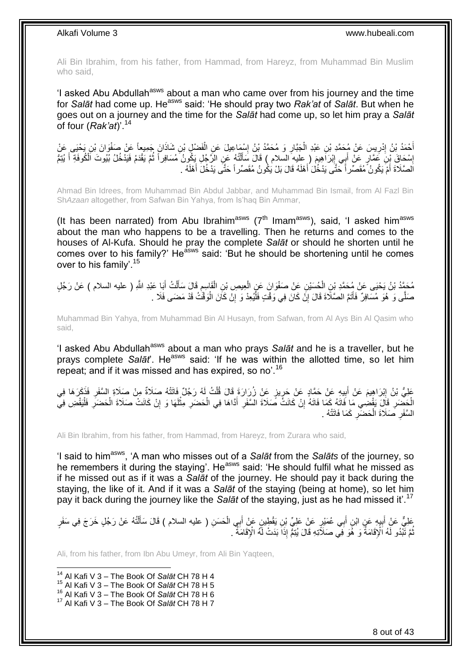Ali Bin Ibrahim, from his father, from Hammad, from Hareyz, from Muhammad Bin Muslim who said,

'I asked Abu Abdullah<sup>asws</sup> about a man who came over from his journey and the time for *Salāt* had come up. Heasws said: 'He should pray two *Rak'at* of *Salāt*. But when he goes out on a journey and the time for the *Salāt* had come up, so let him pray a *Salāt* of four (*Rak'at*)'.<sup>14</sup>

أَحْمَدُ بْنُ إِدْرِيسَ عَنْ مُحَمَّدِ بْنِ عَبْدِ الْجَبَّارِ وَ مُحَمَّدُ بْنُ إِسْمَاعِيلَ عَنِ الْفَضْلِ بْنِ شَاذَانَ جَمِيعاً عَنْ صَفْوَانَ بْنِ يَحْيَى عَنْ ِ יִי (ו ْ ِ ِ ْ إِسْحَاقَ بِنَ عَمَّارٍ عَنْ أَبِي إِبْرَاهِيمَ ( عليه السلام ) قَالَ سَأَلْتُهُ عَنِ الرَّجُلِ بَكُونُ مُسَافِراً ثُمَّ يَقْدَمُ فَيَدْخُلُ بُيُوتَ اَلْكُوفَةِ أَ يُنِمُّ ُ ْ َ ِ ِ َ اَلصَّلَاةَ أَمْ يَكُونُ مُقَصِّراً خَتَّى يَدْخُلَ أَهْلَهُ قَالَ بَلْ يَكُونُ مُقَصِّراً حَتَّى يَدْخُلَ أَهْلَهُ . َ َ ا<br>ا

Ahmad Bin Idrees, from Muhammad Bin Abdul Jabbar, and Muhammad Bin Ismail, from Al Fazl Bin Sh*Azaan* altogether, from Safwan Bin Yahya, from Is'haq Bin Ammar,

(It has been narrated) from Abu Ibrahim<sup>asws</sup> ( $7<sup>th</sup>$  Imam<sup>asws</sup>), said, 'I asked him<sup>asws</sup> about the man who happens to be a travelling. Then he returns and comes to the houses of Al-Kufa. Should he pray the complete *Salāt* or should he shorten until he comes over to his family?' He<sup>asws</sup> said: 'But he should be shortening until he comes over to his family'.<sup>15</sup>

ِ مُحَمَّدُ بْنُ يَحْيَى عَنْ مُحَمَّدِ بْنِ الْحُسَيْنِ عَنْ صَفْوَانَ عَنِ الْعِيصِ بْنِ الْقَاسِمِ قَالَ سَأَلْتُ أَبَا عَبْدِ اللَّهِ ( عليه السلام ) عَنْ رَجُلٍ ْ ْ ْ َ ْ ĺ صَلَّى وَ هُوَ مُسَافِرٌ فَأَتَمَّ الصَّلَاةَ قَالَ إِنَّ كَانَ فِي وَقْتٍ فَلْيُعِدْ وَ إِنْ كَانَ الْوَقَّتُ قَدْ مَضَى فَلَا . ْ ِ ْ ِ َ

Muhammad Bin Yahya, from Muhammad Bin Al Husayn, from Safwan, from Al Ays Bin Al Qasim who said,

'I asked Abu Abdullah<sup>asws</sup> about a man who prays Salat and he is a traveller, but he prays complete *Salāt*'. He<sup>asws</sup> said: 'If he was within the allotted time, so let him repeat; and if it was missed and has expired, so no'.<sup>16</sup>

ِم ُه َصَالةٌ ُه َر ُج ٌل َفاَتتْ ُت لَ ل ٍز َع ْن ُز َرا َرَة َقا َل قُ ي ي ِه َع ْن َح َّماٍد َع ْن َحر ب َم َع ْن أ ْب َرا ِهي َك َعلِ ُّي ْب ُن إ َر َها ِفيَفذَ ْن َصَالِة ال َّسَفر ْ ِ ِ َ ין<br>∶ ِ الْحَضَرِ قَالَ يَقْضِي مَا فَاتَهُ كَمَا فَاتَهُ إِنْ كَانَتُ صَلَاةَ السَّفَرِ أَدَّاهَا فِي الْحَضَرِ مِثْلَهَا وَ إِنْ كَانَتْ صَلَاةَ الْحَضَرِ فَلْيَقْضِ فِي **∶** ْ ِ ْ ِ لَ ْ ِ ْ َ ِ ֧<u>׀</u> ْ السَّفَرِ ۖ صَلَاةَ الْحَضَّرِ ۚ كَمَا فَاتَتْهُ ۚ ـِ ِ ْ **∶** 

Ali Bin Ibrahim, from his father, from Hammad, from Hareyz, from Zurara who said,

'I said to himasws, 'A man who misses out of a *Salāt* from the *Salāts* of the journey, so he remembers it during the staying'. He<sup>asws</sup> said: 'He should fulfil what he missed as if he missed out as if it was a *Salāt* of the journey. He should pay it back during the staying, the like of it. And if it was a *Salāt* of the staying (being at home), so let him pay it back during the journey like the *Salāt* of the staying, just as he had missed it'.<sup>17</sup>

ِعَلِيٌّ عَنِْ أَبِيهِ عَنِ ابْنِ أَبِي عُمَيْرٍ عَنْ عَلِيِّ بْنِ يَقْطِينٍ عَنْ أَبِي الْحَسَنِ ( عليه السلام ) قَالَ سَأَلْتُهُ عَنْ رَجُلٍ خَرَجَ فِي سَفَرٍ **∣** ْ ĺ ْ َ َ ُّمَّ تَّبُّدُو لَهُ اَلْإِقَامَةُ َوَ هُُوَ فِيُّ صَلاَّتِهِ قَالَ يُبْمَّ إِذَا بَدَتْ لَهُ الْإِقَامَةُ ۖ . ُ

Ali, from his father, from Ibn Abu Umeyr, from Ali Bin Yaqteen,

 $\overline{1}$ <sup>14</sup> Al Kafi V 3 – The Book Of *Salāt* CH 78 H 4

<sup>15</sup> Al Kafi V 3 – The Book Of *Salāt* CH 78 H 5

<sup>16</sup> Al Kafi V 3 – The Book Of *Salāt* CH 78 H 6

<sup>17</sup> Al Kafi V 3 – The Book Of *Salāt* CH 78 H 7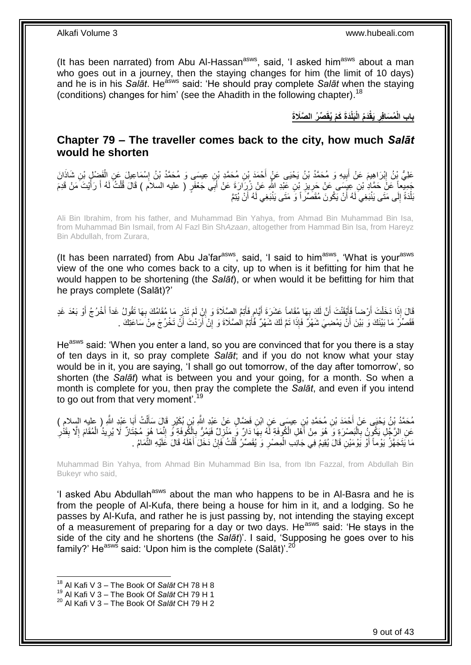(It has been narrated) from Abu Al-Hassan $a<sup>asws</sup>$ , said, 'I asked him<sup>asws</sup> about a man who goes out in a journey, then the staying changes for him (the limit of 10 days) and he is in his *Salāt*. He<sup>asws</sup> said: 'He should pray complete *Salāt* when the staying (conditions) changes for him' (see the Ahadith in the following chapter). 18

> **ِّص ُر ال َّصَال َة َدَة َكْم ُيقَ َبلْ َدُم الْ َيقْ ُم َسافِر باب الْ ِ**

### <span id="page-8-0"></span>**Chapter 79 – The traveller comes back to the city, how much** *Salāt* **would he shorten**

ِ عَلِيُّ بِنُ إِبْرَاهِيمَ عَنْ أَبِيهِ وَ مُحَمَّدُ بْنُ يَحْيَى عَنٍْ أَحْمَدَ بْنِ مُحَمَّدِ بْنِ عِيسَى وَ مُحَمَّدُ بْنُ إِسْمَاعِيلَ عَنِ الْفَضْلِ بْنِ شَاذَانَ َ ِ َ **ֽ**ו ْ جَمِيعاً عَنَّ حَمَّادٍ بْنِ عِيسَى عَنْ حَرِيزٍ بْنِ عَبْدِ اللَّهِ عَنْ زُرَارَةَ عَنْ أَبَى جَعْفَرٍ ( عليه السلام ) قَالَ قُلْتُ لَهُ أَ رَأَيْتَ مَنْ قَدِمَ ْ َ **∶** ِ َ َ لَ بَلْدَةً إِلَى مَتَى يَنْبَغِيَ لَهُ أَنْ يَكُونَ مُقَصِّرٍ أَ وَ مَتَى يَنْبَغِي لَهُ أَنْ يُتِمَّ اُ َ י<br>י ْ

Ali Bin Ibrahim, from his father, and Muhammad Bin Yahya, from Ahmad Bin Muhammad Bin Isa, from Muhammad Bin Ismail, from Al Fazl Bin Sh*Azaan*, altogether from Hammad Bin Isa, from Hareyz Bin Abdullah, from Zurara,

(It has been narrated) from Abu Ja'far<sup>asws</sup>, said, 'I said to him<sup>asws</sup>, 'What is your<sup>asws</sup> view of the one who comes back to a city, up to when is it befitting for him that he would happen to be shortening (the *Salāt*), or when would it be befitting for him that he prays complete (Salāt)?'

َالَ إِذَا دَخَلْتَ أَرْضِاً فَأَيْقَنْتَ أَنَّ لَكَ بِهَا مُقَاماً عَشَرَةَ أَيَّامٍ فَأَتِمَّ الصِّلَاةَ وَ إِنْ لَمْ تَدْرِ مَا مُقَامُكَ بِهَا تَقُولُ غَداً أَخْرُجُ أَوْ بَعْدَ غَدِ ِ ِ َ ٍ َ ្ត្ اُ َ اُ ْ أ َ **∶** فَقَصَّرٌ مَا بَيْنَكَ وَ بَيْنَ أَنْ يَمْضِيَ شَهْرٌ فَإِذَا نَمَّ لَكَ شَهْرٌ فَأُتِمَّ الْصَّلَاةَ وَ إِنْ أَرَدْتَ أَنَّ تَخْرُجَ مِنْ سَاعَتِكَ . َ َ ِ َ

He<sup>asws</sup> said: 'When you enter a land, so you are convinced that for you there is a stay of ten days in it, so pray complete *Salāt*; and if you do not know what your stay would be in it, you are saying, 'I shall go out tomorrow, of the day after tomorrow', so shorten (the *Salāt*) what is between you and your going, for a month. So when a month is complete for you, then pray the complete the *Salāt*, and even if you intend to go out from that very moment<sup>'.19</sup>

مُحَمَّدُ بِنُ يَحْيَى عَنْ أَحْمَدَ بْنِ مُحَمَّدِ بْنِ عِيسَى عَنِ ابْنِ فَضَّالٍ عَنْ عَبْدِ اللَّهِ بْنِ بُكَيْرٍ قَالَ سَأَلْتُ أَبَا عَبْدِ اللَّهِ ( عِليه السلام )<br>. َ ْ َ عَنِ الرَّجُلِ يَكُوِنُ بِالْبَصْرَةِ وَ هُوَ مِنْ أَهْلِ الْكُوفَةِ لَهُ بِهَا دَارٌ وَ مُنْزِلٌ فَيَمُرٌ بِالْكُوفَةِ وَ إِنَّمَا هُوَ مُجْتَازٌ لَا يُرِيدُ الْمُقَامَ إِلَّا بِقَدْٰزِ َ ْ ِ ِ ِ ا<br>با ْ ِ ِ ِ ِ ِ مَا يَتَجَهَّزُ يَوْماً أَوْ يَوْمَيْنِ قَالَ يُقِيمُ فِي جَانِبِ الْمِصْرِ وَ يُقَصِّرُ قُلْتُ فَإِنْ دَخَلَ أَهْلَهُ قَالَ عَلَيْهِ النَّمَامُ . َ ∣lٍ ْ **∶** ْ

Muhammad Bin Yahya, from Ahmad Bin Muhammad Bin Isa, from Ibn Fazzal, from Abdullah Bin Bukeyr who said,

'I asked Abu Abdullah<sup>asws</sup> about the man who happens to be in Al-Basra and he is from the people of Al-Kufa, there being a house for him in it, and a lodging. So he passes by Al-Kufa, and rather he is just passing by, not intending the staying except of a measurement of preparing for a day or two days. He<sup>asws</sup> said: 'He stays in the side of the city and he shortens (the *Salāt*)'. I said, 'Supposing he goes over to his family?' He<sup>asws</sup> said: 'Upon him is the complete (Salāt)'.<sup>20</sup>

<sup>18</sup> Al Kafi V 3 – The Book Of *Salāt* CH 78 H 8

<sup>19</sup> Al Kafi V 3 – The Book Of *Salāt* CH 79 H 1

<sup>20</sup> Al Kafi V 3 – The Book Of *Salāt* CH 79 H 2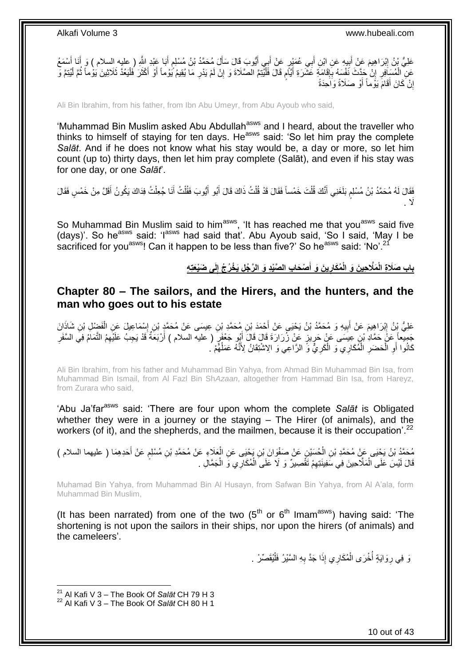عَلِيُّ بْنُ إِبْرَاهِيمَ عَنْ أَبِيهِ عَنِ ابْنِ أَبِي عُمَيْرٍ عَنْ أَبِي أَيُّوبَ قَالَ سَأَلَ مُحَمَّدُ بْنُ مُسْلِمٍ أَبَا عَبْدِ اللَّهِ ( عليه السلام ) وَ أَنَا أَسْمَعُ َ م<br>م َ َ َ َ **∣** َ ِ َ َ عَنِ الْمُسَافِرِ إِنْ حَدَّثَ نَفْسَهُ بِإِقَامَةٍ عَشَرَةِ أَيَّامٍ قَالَ فَلْيُنِمَّ الصَّلَاةَ وَ إِنْ لَمْ يَدْرِ مَا يُقِيمُ يُوْماً أَوْ أَكْثَرَ فَلْيَعُدَّ ثَلَاثِينَ يَوْماً ثُمَّ لَيُنِمَّ وَّ ِ ِ ْ م َ ∣اٍ<br>∶ **∶** יִי<br>: ِ ْ ْ ر<br>: ْ َ َ َ إِنْ كَانَ أَقَامََ يَوُماً أَوْ صَلَاةً وَاَحِدَةً <u>֖֚֚֚֚֚֚֚֓</u> َ

Ali Bin Ibrahim, from his father, from Ibn Abu Umeyr, from Abu Ayoub who said,

'Muhammad Bin Muslim asked Abu Abdullah<sup>asws</sup> and I heard, about the traveller who thinks to himself of staying for ten days. He<sup>asws</sup> said: 'So let him pray the complete *Salāt*. And if he does not know what his stay would be, a day or more, so let him count (up to) thirty days, then let him pray complete (Salāt), and even if his stay was for one day, or one *Salāt*'.

فَقَالَ لَهُ مُحَمَّدُ بْنُ مُسْلِمٍ بَلَغَنِي أَنَّكَ قُلْتَ خَمْساً فَقَالَ قَدْ قُلْتُ ذَاكَ قَالَ أَبُو أَيُّوبَ فَقُلْتُ أَنَا جُعِلْتُ فِدَاكَ يَكُونُ أَقَلَّ مِنْ خَمْسٍ فَقَالَ ْ َ ْ َ َ ْ ْ َ م َ ََل .

So Muhammad Bin Muslim said to him<sup>asws</sup>, 'It has reached me that you<sup>asws</sup> said five (days)'. So he<sup>asws</sup> said: 'I<sup>asws</sup> had said that'. Abu Ayoub said, 'So I said, 'May I be sacrificed for you<sup>asws</sup>! Can it happen to be less than five?' So he<sup>asws</sup> said: 'No'.<sup>21</sup>

> باب صَلَاةِ الْمَلَاحِينَ وَ الْمُكَارِينَ وَ أَصْحَابِ الصَّيْدِ وَ الرَّجُلِ يَخْرُجُ إِلَى ضَيْعَتِهِ **َ ِ ِ**

### <span id="page-9-0"></span>**Chapter 80 – The sailors, and the Hirers, and the hunters, and the man who goes out to his estate**

عَلِيُّ بِنُ إِبْرَاهِيمَ عَنْ أَبِيهِ وَ مُحَمَّدُ بْنُ يَحْيَى عَنْ أَحْمَدَ بْنِ مُحَمَّدِ بْنِ عِيسَى عَنْ مُحَمَّدٍ بْنِ إِسْمَاعِيلَ عَنِ الْفَضْلِ بْنِ شَاذَانَ َ **!** َ ِ ِ ْ جَمِيعاً عَنْ حَمَّادِ نْنٍ عِيسَى عَنْ حَرِيزٍ عَنْ زُرَارَةَ قَالَ قَالَ أَبُهِ جَعْفَرٍ ( عليه السلام ) أَرْبَعَةٌ قَدْ يَجِبُ عَلَيْهِمُ النَّمَامُ فِيَ السَّفَرِ َ َ ِ ِ كَانُوا أَوِ الْْحَضَرِ الْمُكَارِي ۖ وَ الْكَرِيُّ وَّ الرَّاعِي وَ الِاسْتِقَانُ لِأَنَّهُ عَمَلُهُمْ ُ. **∶** ْ ْ ِ ْ ِ اً ُ

Ali Bin Ibrahim, from his father and Muhammad Bin Yahya, from Ahmad Bin Muhammad Bin Isa, from Muhammad Bin Ismail, from Al Fazl Bin Sh*Azaan*, altogether from Hammad Bin Isa, from Hareyz, from Zurara who said,

'Abu Ja'far<sup>asws</sup> said: 'There are four upon whom the complete Salat is Obligated whether they were in a journey or the staying – The Hirer (of animals), and the workers (of it), and the shepherds, and the mailmen, because it is their occupation<sup>' 22</sup>

مُحَمَّدُ بْنُ يَجْيَى عَنْ مُحَمَّدِ بْنِ الْحُسَيْنِ عَنْ صَفْوَانَ بْنِ يَحْيَى عَنِ الْعَلَاءِ عَنْ مُحَمَّدِ بْنِ مُسْلِمٍ عَنْ أَحَدِهِمَا ( عليهما السلام )<br>ـ َ ֧֧֖֧֖֧֖֧֧֧֧֧֧֧֧֧֧֧֧֚֚֚֓֝֝֝֝֝֟֓֝֓֬֝֓֝֬֟֓֟֓֝֬֟֓֟֓֝֬֝֬֝֓֟֓֝֬֜֝֬֝֓֝֬֝֓ ْ ْ قَالَ لَيْسَ عَلَى الْمَلَّاحِينَ فِي سَفِينَتِهِمْ تَقْصِيرٌ ۖ وَ لَا عَلَى الْمُكَارِي وَ الْجَمَّالِ . ْ ْ ِ ْ

Muhamad Bin Yahya, from Muhammad Bin Al Husayn, from Safwan Bin Yahya, from Al A'ala, form Muhammad Bin Muslim,

(It has been narrated) from one of the two  $(5<sup>th</sup>$  or  $6<sup>th</sup>$  Imam<sup>asws</sup>) having said: 'The shortening is not upon the sailors in their ships, nor upon the hirers (of animals) and the cameleers'.

> وَ فِي رِوَايَةٍ أُخْرَى الْمُكَارِي إِذَا جَدَّ بِهِ السَّيْرُ فَلْيُقَصِّرْ ۚ . ْ ِ ْ ان<br>المستقبل ِ

1

10 out of 43

<sup>21</sup> Al Kafi V 3 – The Book Of *Salāt* CH 79 H 3

<sup>22</sup> Al Kafi V 3 – The Book Of *Salāt* CH 80 H 1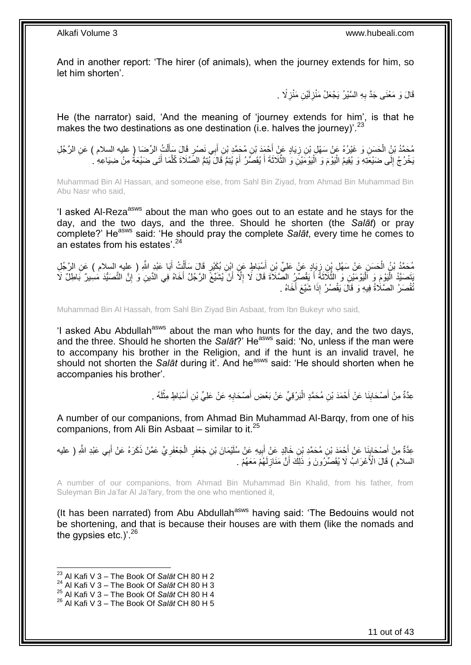And in another report: 'The hirer (of animals), when the journey extends for him, so let him shorten'.

> قَالَ وَ مَعْنَى جَدَّ بِهِ السَّيْرُ يَجْعَلُ مَنْزِلَيْنِ مَنْزِلًا ۚ . ِ ِ لَ ِ

He (the narrator) said, 'And the meaning of 'journey extends for him', is that he makes the two destinations as one destination (i.e. halves the journey)<sup>'.23</sup>

مُحَمَّدُ بْنُِ الْحَسَنِ وَ غَيْرُهُ عَنْ سَهْلٍ بْنِ زِيَادٍ عَنْ أَحْمَدَ بْنِ مُحَمَّدِ بْنِ أَبِي نَصْرٍ قَالَ سَأَلْتُ الرِّصَا (ِ عليه السلام ) عَنِ الرَّجُلِ ْ ْ ĺ َ ِ َبَخْرُ جُ إِلَى ضَيْعََتِهِ وَ يُقِيمُ الْيَوْمَ وَ الْيُوْمَيْنِ وَ الثَّلَاثَةَ أَ يُقَصِّرُ أَمْ يُتِمُّ قَالَ يُنِمُّ الصَّلَاةَ كُلَّمَا أَتَى ضَيْعَةً مِنْ ضِيَاعِهِ ۚ ` ا<br>ا َ َّ ْ ْ ׀<br>֧֓ َ َّ

Muhammad Bin Al Hassan, and someone else, from Sahl Bin Ziyad, from Ahmad Bin Muhammad Bin Abu Nasr who said,

'I asked AI-Reza<sup>asws</sup> about the man who goes out to an estate and he stays for the day, and the two days, and the three. Should he shorten (the *Salāt*) or pray complete?' He<sup>asws</sup> said: 'He should pray the complete *Salāt*, every time he comes to an estates from his estates'.<sup>24</sup>

مُحَدُّدُ بْنُ الْحَسَنِ عَنْ سَهْلِ بِنِ زِيَادٍ عَنْ عَلِيِّ بْنِ أَسْبَاطٍ عَنِ إِبْنِ بُكَيْرٍ قَالَ سَأَلْتُ أَبَا عَبْدِ اللَّهِ ( عِليهِ السلام ) عَنِ الرَّجُلِ<br>مُحَدَّدُ بْنُ الْحَسَنِ عَنْ سَهْلِ بِنِّ زِيَادٍ عَن َ ْ َ ِ ْ َنتَصَنَّذُ الْيَوْمَ وَ الْيَوْمَئِنِ وَ الثَّلَاثَةَ أَ يَقْصُرُ الصَّلَاةَ قَالَ لَا إِلَّا أَنْ يُشَيِّعَ الرَّجُلُ أَخَاهُ فِي الدِّينِ وَ إِنَّ التَّصَنُّدَ مَسِيرٌ بَاطِلٌ لَا ِ َ َّ ا<br>ا :<br>ا ِ َ اُ ُّقْصَرُ الصَّلَاةُ فِيهِ وَ قَالَ يَقْصُرُ إِذَا شَيَّعَ أَخَاهُ . َ

Muhammad Bin Al Hassah, from Sahl Bin Ziyad Bin Asbaat, from Ibn Bukeyr who said,

'I asked Abu Abdullah<sup>asws</sup> about the man who hunts for the day, and the two days, and the three. Should he shorten the *Salāt*?' Heasws said: 'No, unless if the man were to accompany his brother in the Religion, and if the hunt is an invalid travel, he should not shorten the *Salāt* during it'. And he<sup>asws</sup> said: 'He should shorten when he accompanies his brother'.

> لَ ْ عِدَّةٌ مِنْ أَصْحَابِنَا عَنْ أَحْمَدَ بْنِ مُحَمَّدٍ الْبَرْقِيِّ عَنْ بَعْضِ أَصْحَابِهِ عَنْ عَلِيِّ بْنِ أَسْبَاطٍ مِثْلَهُ . َ ِ َ :<br>ا **∣** َ

A number of our companions, from Ahmad Bin Muhammad Al-Barqy, from one of his companions, from Ali Bin Asbaat – similar to it.<sup>25</sup>

عِدَّةٌ مِنْ أَصْحَابِنَا عَنْ أَحْمَدَ بْنِ مُحَمَّدِ بْنِ خَالِدٍ عَنْ إِبِيهِ عَنْ سُلَيْمَانَ بْنِ جَعْفَرٍ الْجَعْفَرِيِّ عَمَّنْ ذَكَرَهُ عَنْ أَبِي عَبْدِ اللَّهِ ( عليه ِ ْ ِ َ َ اٍ<br>چ َ ِ َ السلام ) قَالَ الْأَعْرَابُ لَا يُقَصِّرُونَ وَ ذَلِكَ أَنَّ مَنَازِلَهُمْ مَعَهُمْ . لَ ِ َ

A number of our companions, from Ahmad Bin Muhammad Bin Khalid, from his father, from Suleyman Bin Ja'far Al Ja'fary, from the one who mentioned it,

(It has been narrated) from Abu Abdullah<sup>asws</sup> having said: 'The Bedouins would not be shortening, and that is because their houses are with them (like the nomads and the gypsies etc.)<sup>'.26</sup>

 $\overline{a}$ 

<sup>23</sup> Al Kafi V 3 – The Book Of *Salāt* CH 80 H 2

<sup>24</sup> Al Kafi V 3 – The Book Of *Salāt* CH 80 H 3

<sup>25</sup> Al Kafi V 3 – The Book Of *Salāt* CH 80 H 4

<sup>26</sup> Al Kafi V 3 – The Book Of *Salāt* CH 80 H 5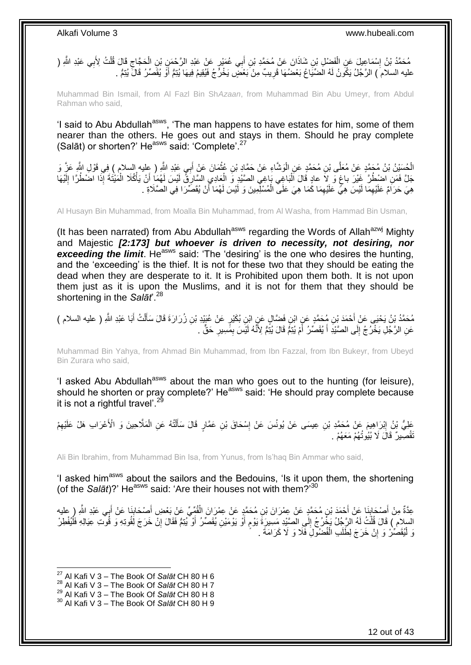مُحَمَّدُ بْنُ إِسْمَاعِيلَ عَنِ الْفَضْلِ بْنِ شَاذَانَ عَنْ مُحَمَّدِ بْنِ أَبِي عُمَيْرٍ عَنْ عَبْدِ الرَّحْمَنِ بْنِ الْحَجَّاجِ قَالَ قُلْتُ لِأَبِي عَبْدِ اللَّهِ ( ْ ِ ْ ِ ْ َ عليه السلام ) الرَّجُلُ يَكُونُ لَهُ الضّيّاعُ بَعْضُهَا قَرِيبٌ مِنْ بَعْضٍ يَخْرُجُ فَيُقِيمُ فِيهَا يُتِمُّ أَوْ يُقَصّرُ قَالَ يُتِمُّ . َ ِ

Muhammad Bin Ismail, from Al Fazl Bin Sh*Azaan*, from Muhammad Bin Abu Umeyr, from Abdul Rahman who said,

'I said to Abu Abdullah<sup>asws</sup>, 'The man happens to have estates for him, some of them nearer than the others. He goes out and stays in them. Should he pray complete (Salāt) or shorten?' He<sup>asws</sup> said: 'Complete'.<sup>27</sup>

الْحُسَيْنُ بْنُ مُحَمَّدٍ عَنْ مُعَلَّى بْنِ مُحَمَّدٍ عَنِ الْوَشَاءِ عَنْ حَمَّادٍ بْنِ عُثْمَانَ عَنْ أَبِي عَبْدِ اللَّهِ ( عِليه السلام ) فِي قَوْلِ اللَّهِ عَنَّ وَ **ٔ** ر<br>ا َ ْ جَلَّ فَمَنِ اضْطُرَّ غَيْرَ باغٍ وَ لاَ عادٍ قَالَ اَلْبَاغِي بَاغِي الصَّيْدِ وَ الْعَادِي السَّارِيُّ لَيْسَ لَهُمَا أَنْ يَأْكُلا الْمَيْتَةَ إِنَّذَا اضْطُرًا إِلَيْهَا َ ِ ْ :<br>ا ٍ لَ ِ ْ هِيَ حَرَامٌ عَلَيْهِمَا لَيْسَ هِيٍّ عَلَيْهِمَا كَمَا هِيَ عَلَى الْمُسْلِّمِينَ وَ لَيْسَ لَهُمَا أَنْ يُقَصِّرَا فِي الصَّلَاةِ . َ ْ ِ ِ

Al Husayn Bin Muhammad, from Moalla Bin Muhammad, from Al Washa, from Hammad Bin Usman,

(It has been narrated) from Abu Abdullah<sup>asws</sup> regarding the Words of Allah<sup>azwj</sup> Mighty and Majestic *[2:173] but whoever is driven to necessity, not desiring, nor*  **exceeding the limit.** He<sup>asws</sup> said: 'The 'desiring' is the one who desires the hunting, and the 'exceeding' is the thief. It is not for these two that they should be eating the dead when they are desperate to it. It is Prohibited upon them both. It is not upon them just as it is upon the Muslims, and it is not for them that they should be shortening in the *Salāt*'.<sup>28</sup>

َ مُحَمَّدُ بْنُ يَحْيَى عَنْ أَحْمَدَ بْنِ مُحَمَّدٍ عَنِ ابْنِ فَضَّالٍ عَنٍ ابْنِ بُكَيْرٍ عَنْ عُبَيْدِ بْنِ زُرَارَةَ قَالَ سَأَلْتُ أَبَا عَبْدِ اللَّهِ ( عليه السلام )<br>. َ ْ َ عَنِ الرَّجْلِ يَخْرُ جُ إِلَى الصَّنْدِ أَ يُقَصِّرُ ۖ أَمْ يُتِمَّ قَالَ يُنِّمُ لِأَنَّهُ لَئِّسَ بِمِّسِيرِ ۖ حَقٍّ ۚ . **∶** ِ َ َ ِ

Muhammad Bin Yahya, from Ahmad Bin Muhammad, from Ibn Fazzal, from Ibn Bukeyr, from Ubeyd Bin Zurara who said,

'I asked Abu Abdullah<sup>asws</sup> about the man who goes out to the hunting (for leisure), should he shorten or pray complete?' He<sup>asws</sup> said: 'He should pray complete because it is not a rightful travel'.<sup>29</sup>

َمْلِيُّ بْنُ إِبْرَاهِيمَ عَنْ مُحَمَّدِ بْنِ عِيسَى عَنْ يُونُسَ عَنْ إِسْحَاقَ بْنِ عَمَّارٍ قَالَ سَأَلْتُهُ عَنِ الْمَلَّاحِينَ وَ الْأَعْرَابِ هَلْ عَلَيْهِمْ ْ ْ َ ِ **֓**ׇ֖֦֖֖֖֖֖֦֧֧֚֚֚֚֚֚֚֚֚֚֚֚֚֚֓֡֘֝֘֝֝֝֝֝֘֝֘֝ ِ تَقْصِّدِرٌ ۚ قَالَ لَا بُيُوتُـٰهُمْ مَعَـٰهُمْ .

Ali Bin Ibrahim, from Muhammad Bin Isa, from Yunus, from Is'haq Bin Ammar who said,

'I asked him<sup>asws</sup> about the sailors and the Bedouins, 'Is it upon them, the shortening (of the Salat)?' He<sup>asws</sup> said: 'Are their houses not with them?'<sup>30</sup>

َ عِدَّةٌ مِنْ أَصْحَابِنَا عَنْ أَحْمَدَ بْنِ مُحَمَّدٍ عَنْ عِمْرَانَ بْنِ مُحَمَّدٍ عَنْ عِمْرَانَ الْقُمِّيِّ عَنْ بَعْضِ أَصْحَابِنَا عَنْ أَبِي عَبْدِ اللَّهِ رِ عليه<br>يَهْدُ الْجُمْعَةُ فَيَّسْهُمْ فَيَّسْهُمْ مَنْ عِم ْ َ ِ َ َ ِ السلام ) قَالَ قُلْتُ لَهُ الرَّجُلُ يَخْرُجُ إِلَى الصَّيْدِ مَسِيرَةَ يَوْمٍ أَوْ يَوْمَيْنِ يُقَصِّرُ أَوْ يُنِمُّ فَقَالَ إِنْ خَرَجَ لِّقُوتِهِ وَ قُوْتِ عِيَالِهِ فَلْيُفْطِرْ َ ٍ ِ ْ ْ ِ َ وَ لْيُقَصِّرْ وَ إِنْ خَرَجَ لِطَلَبِ الْفُضُولِ فَلَا وَ لَا كَرَامَةَ . ْ اٍ :<br>ا

 $\overline{a}$ 

<sup>27</sup> Al Kafi V 3 – The Book Of *Salāt* CH 80 H 6

<sup>28</sup> Al Kafi V 3 – The Book Of *Salāt* CH 80 H 7

<sup>29</sup> Al Kafi V 3 – The Book Of *Salāt* CH 80 H 8

<sup>30</sup> Al Kafi V 3 – The Book Of *Salāt* CH 80 H 9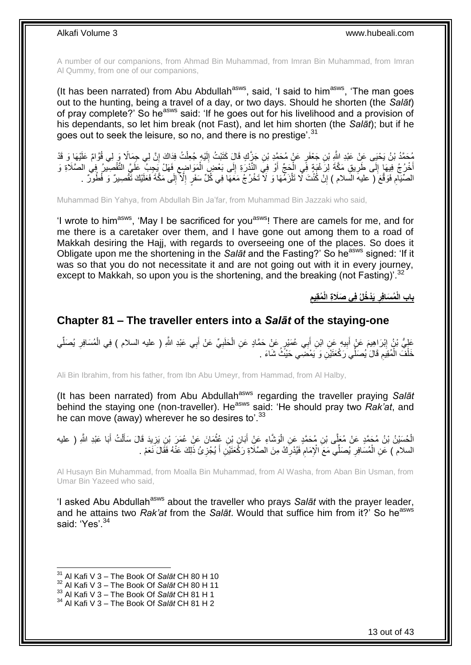A number of our companions, from Ahmad Bin Muhammad, from Imran Bin Muhammad, from Imran Al Qummy, from one of our companions,

(It has been narrated) from Abu Abdullah<sup>asws</sup>, said, 'I said to him<sup>asws</sup>, 'The man goes out to the hunting, being a travel of a day, or two days. Should he shorten (the *Salāt*) of pray complete?' So he<sup>asws</sup> said: 'If he goes out for his livelihood and a provision of his dependants, so let him break (not Fast), and let him shorten (the *Salāt*); but if he goes out to seek the leisure, so no, and there is no prestige'.<sup>31</sup>

مُحَمَّدُ بْنُ يَحْيَى عَنِّ عَبْدِ الثَّهِ بْنِ جَعْفَرٍ عَنْ مُحَمَّدٍ بْنِ جَزَّكٍ قَالٍ كَتَبْتُ إِلَيْهٍ جُعِلْتُ فِدَاكَ إِنَّ لِي جِمَالًا وَر لِي قُوَّامٌ عَلَيْهَا وَ قَدْ<br>وَ مَا اللّهَ عَلَيْهَا مَا يَسْتَمِعُون ِ ْ لَ  $\frac{1}{2}$ أَخْرُجُ فِيهَا إِلَى طَرِيقِ مَكَّةَ لِرَغْبَةٍ فِّي الْحَجِّ أَوْ فِي النَّذْرَةِ إِلَى بَعْضَ الْمَوَاضِعِ فَهَلْ يَجِدِبُ عَلَيَّ التَّقْصِيرُ ۖ فِي الصَّلَاةِ وَ ِ ْ ∣∣<br>ِ َ ْ ِ  $\frac{1}{2}$ الصِّيَامِ فَوَقَّعَ ( عليه السلام ) إِنَّ كُنْتَ لَّا نَلْزَمُهَا وَ لَا نَخْرُجُ مَعَهَا فِي كُلِّ سَفَرٍ إِلَّا إِلَى مَكَّةَ فَعَلَيْكَ نَّقْصِيرٌ وَ فُطُورٌ . ِ ا<br>ا ْ ِ ِ

Muhammad Bin Yahya, from Abdullah Bin Ja'far, from Muhammad Bin Jazzaki who said,

'I wrote to him<sup>asws</sup>, 'May I be sacrificed for you<sup>asws</sup>! There are camels for me, and for me there is a caretaker over them, and I have gone out among them to a road of Makkah desiring the Hajj, with regards to overseeing one of the places. So does it Obligate upon me the shortening in the *Salāt* and the Fasting?' So he<sup>asws</sup> signed: 'If it was so that you do not necessitate it and are not going out with it in every journey, except to Makkah, so upon you is the shortening, and the breaking (not Fasting)<sup>32</sup>

> **ِ ُمقِيم َيْد ُخلُ فِي َصَال ِة الْ ُم َسافِر باب الْ ِ**

### <span id="page-12-0"></span>**Chapter 81 – The traveller enters into a** *Salāt* **of the staying-one**

عَلِيُّ بْنُ إِبْرَاهِيمَ عَنْ أَبِيهِ عَنِ أَبْنِ أَبِي عُمَيْرٍ عَنْ حَمَّادٍ عَنِ الْحَلَبِيِّ عَنْ أَبِي عَبْدِ اللَّهِ ( عليه السلام ) فِي الْمُسَافِرِ يُصَلِّي ِ ْ َ **! ֽוּ** ِّ ِ ْ َ خَلْفَ الْمُقِيَمِ قَالَ يُصَلِّي َرَكْعَتَيْنِ وَ يَمْضَى حَيْثُ شَاءَ . ِ ْ ْ

Ali Bin Ibrahim, from his father, from Ibn Abu Umeyr, from Hammad, from Al Halby,

(It has been narrated) from Abu Abdullah<sup>asws</sup> regarding the traveller praying Salat behind the staying one (non-traveller). He<sup>asws</sup> said: 'He should pray two *Rak'at*, and he can move (away) wherever he so desires to'.<sup>33</sup>

الْحُسَيْنُ بْنُ مُجَمَّدٍ عَنْ مُعَلِّى بْنِ مُحَمَّدٍ عَنِ الْوَشَاءِ عَنِْ أَبَانٍ بْنِ عُثْمَانَ عَنْ عُمَرَ بْنِ يَزِيدَ قَالَ سَأَلْتُ أَبَا عَبْدِ اللَّهِ ( عليه َ ْ َ ِ ْ َ ْ السلام ) عَنِ الْمُسَافِرِ يُصَلِّي مَعَ الْإِمَامِ فَيُدْرِكُ مِنَ الصَّلَاةِ رَكَّعَتَيْنِ أَ يُجْزِئُ ذَلِكَ عَنْهُ فَقَالَ نَعَمْ . ِ َ ِ ِ ِ ْ

Al Husayn Bin Muhammad, from Moalla Bin Muhammad, from Al Washa, from Aban Bin Usman, from Umar Bin Yazeed who said,

'I asked Abu Abdullah<sup>asws</sup> about the traveller who prays Salat with the prayer leader, and he attains two *Rak'at* from the *Salāt*. Would that suffice him from it?' So he<sup>asws</sup> said: 'Yes'.<sup>34</sup>

 $\overline{1}$ 

<sup>31</sup> Al Kafi V 3 – The Book Of *Salāt* CH 80 H 10

<sup>32</sup> Al Kafi V 3 – The Book Of *Salāt* CH 80 H 11

<sup>33</sup> Al Kafi V 3 – The Book Of *Salāt* CH 81 H 1

<sup>34</sup> Al Kafi V 3 – The Book Of *Salāt* CH 81 H 2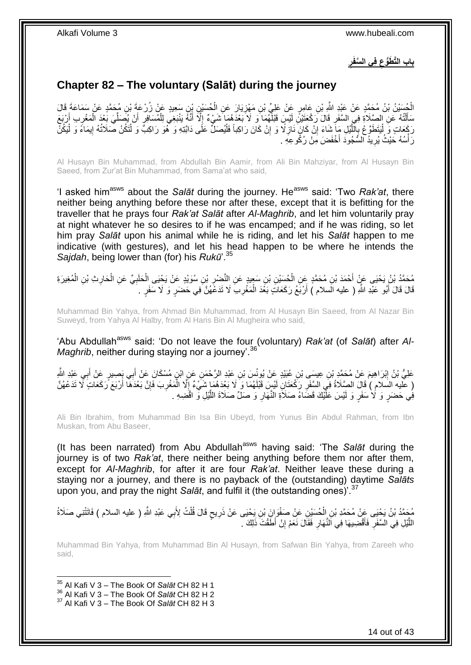**ِ فِي ال َّسفَر باب الَّت َطُّوع ِ**

### <span id="page-13-0"></span>**Chapter 82 – The voluntary (Salāt) during the journey**

الْجُسَيْنُ بْنُ مُحَمَّدٍ عَنْ عَيْدِ اللَّهِ بْنِ عَامِرٍ عَنْ عَلِيٍّ بْنِ مَهْزِيَارَ عَنِ الْجُسَيْنِ بْنِ سَعِيدٍ عَنْ زُرْعَةَ بْنِ مُحَمَّدٍ عَنْ سَمَاعَةَ قَالَ<br>انْسُلُسُ بْنُ مُحَمَّدٍ عَنْ عَيْدِ اللَّهِ بْنِ ع ْ ِ ْ مَأَلَٰٓتُهُ ۚ عَنِ الصَّلَاةِ فِي السَّفَرِ قَالَ رَكْعَتَيْنَ لَيْسَ قَبْلُّهُمَا ۖ وَ لَا بَعْدَهُمَا ۖ شَيْءٌ إِلَّآ أَنَّهُۚ يَنْبَغِيُ لِلْمُسَافِرِ أَنْ يُصَلِّيَ بَعْدَ الْمَعْرِبِ إَرْبَعَ ِ ْ َ ِ ْ ِّ َ ¦ ْ َ ।<br>हरू رَكَعَاتٍ وَ لْيَتَطَوَّعُ بِالْلَّيْلِ مِاَ شَاءَ إِنْ كَانَ ذَازِلًا وَ إِنْ كَانَ رَاكِباً فَلْيُصَلِّ عَلَى دَابَّتِهِ وَ لَّهُوَ رَاكِبَّ وَ لْتَكُنْ صَلَاتُهُ إِيمَاءً وَ لْيَكُنْ ِ ْ ْ ْ ِ **∶** ِ ْ ׀ו<br>֞ رَأْسُهُ حَيْثُ يُرِيدُ السَّجُودَ أَخْفَضَ مِنْ رُكُوعِهِ . ِ ׇ֦֖֦֧֡֝֟֓֝<u>֛</u>

Al Husayn Bin Muhammad, from Abdullah Bin Aamir, from Ali Bin Mahziyar, from Al Husayn Bin Saeed, from Zur'at Bin Muhammad, from Sama'at who said,

<sup>1</sup> asked him<sup>asws</sup> about the *Salāt* during the journey. He<sup>asws</sup> said: 'Two *Rak'at*, there neither being anything before these nor after these, except that it is befitting for the traveller that he prays four *Rak'at Salāt* after *Al-Maghrib*, and let him voluntarily pray at night whatever he so desires to if he was encamped; and if he was riding, so let him pray *Salāt* upon his animal while he is riding, and let his *Salāt* happen to me indicative (with gestures), and let his head happen to be where he intends the *Sajdah*, being lower than (for) his *Rukū*'.<sup>35</sup>

مُحَمَّدُ بْنُ يَحْيَى عَنٍّ أَحْمَدَ بْنِ مُحَمَّدٍ عِنِ الْحُسَيْنِ بْنِ سَعِيدٍ عَنِ النَّصْرِ بْنِ سُوَيْدٍ عَنْ يَحْيَى الْحَلَبِيِّ عَنِ الْحَارِثِ بْنِ الْمُغِيرَةِ ِ ْ َ ْ ِ ْ ِ ْ قَالَ قَالَ أَبُو عَبْدِ اللَّهِ ( عليه الَسلام ) أَرْبَعُ رَكَعَاتٍ بَعْدَ الْمَغْرِبَ لَا تَدَعْهُنَّ فِي حَضَرٍ وَ لَا سَفَرٍ . ِ ْ اُ َ

Muhammad Bin Yahya, from Ahmad Bin Muhammad, from Al Husayn Bin Saeed, from Al Nazar Bin Suweyd, from Yahya Al Halby, from Al Haris Bin Al Mugheira who said,

'Abu Abdullah<sup>asws</sup> said: 'Do not leave the four (voluntary) *Rak'at* (of *Salāt*) after *Al-Maghrib*, neither during staying nor a journey<sup>'.36</sup>

عَلِيُّ بْنُ إِبْرَاهِيمَ عَنْ مُحَمَّدٍ بْنِ عِيسَى بْنِ عُبَيْدٍ عَنْ يُونُسَ بْنِ عَبْدِ الرَّحْمَنِ عَنِ ابْنٍ مُسْكَانَ عَنْ أَبِي بِصِيرٍ عَنْ أَبِي عَبْدِ الثَّهِ <u>֖֚֚֚</u> َ َ ( عليه السلام ) قَالَ الصَّلَاةُ فِي السَّفَرِ رَكْعَتَانِ لَيْسٍ قَبْلَهُمَا وَ لَا بَعْدَهُمَا شَيْءٌ إِلَّا الْمَغْرِبَ فَإِنَّ بَعْدَهَا أَرْبَعَ رَكَعَاتٍ لَا تَدَعْهُنَّ ِ ا<br>ا َ ِ ِ ْ فِي حَضَرٍ وَ لَا سَفَرٍ وَ لَيْسَ عَلَّيْكَ قَضَاءُ صَلَاَةِ النَّهَارِ وَ صَلِّ صَلَاةَ اللَّيْلِ وَ اقْضِهِ َّ **∶** 

Ali Bin Ibrahim, from Muhammad Bin Isa Bin Ubeyd, from Yunus Bin Abdul Rahman, from Ibn Muskan, from Abu Baseer,

(It has been narrated) from Abu Abdullah<sup>asws</sup> having said: 'The Salat during the journey is of two *Rak'at*, there neither being anything before them nor after them, except for *Al-Maghrib*, for after it are four *Rak'at*. Neither leave these during a staying nor a journey, and there is no payback of the (outstanding) daytime *Salāts* upon you, and pray the night *Salāt*, and fulfil it (the outstanding ones)'.<sup>37</sup>

مُحَمَّدُ بْنُ يَحْيَى عَنْ مُحَمَّدِ بْنِ اِلْحُسَيْنِ عَنْ صَفْوَانَ بْنِ يَحْيَى عَنْ ذَرِيحٍ قَالَ قُلْتُ لِأَبِي عَبْدِ اللَّهِ ( عليه السلام ) فَاتَتْنِي صَلَاةُ ْ ْ ٍ **∶** اللَّيْلِ فِي السَّفَرِ فَأَقْصَنِيهَا فِي النَّهَارِ فَقَالَ نَعَمْ إِنْ أَطَّقْتَ ذَلِكَ . ِ **∶** َ ِ َّ

Muhammad Bin Yahya, from Muhammad Bin Al Husayn, from Safwan Bin Yahya, from Zareeh who said,

<sup>35</sup> Al Kafi V 3 – The Book Of *Salāt* CH 82 H 1

<sup>36</sup> Al Kafi V 3 – The Book Of *Salāt* CH 82 H 2

<sup>37</sup> Al Kafi V 3 – The Book Of *Salāt* CH 82 H 3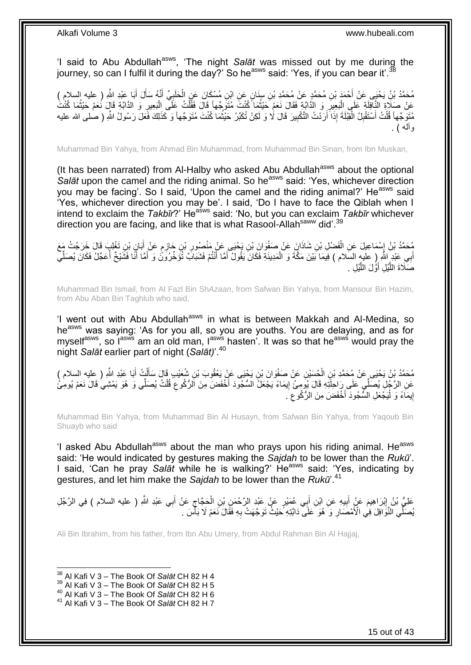'I said to Abu Abdullah<sup>asws</sup>, 'The night Salat was missed out by me during the journey, so can I fulfil it during the day?' So he<sup>asws</sup> said: 'Yes, if you can bear it'.<sup>3</sup>

مُحَمَّدُ بْنُ يَحْيَى عَنْ أَحْمَدَ بْنِ مُحَمَّدٍ عَنْ مُحَمَّدِ بْنِ سِنَانٍ عَنِ ابْنِ مُسْكَانَ عَنِ الْحَلَبِيِّ أَنَّهُ سَأَلَ أَبَا عَبْدِ اللَّهِ ( عليه السلام )<br>. َ اُ َ ِ ْ عَنْ صَلَاةِ النَّافِلَةِ عَلَى الْبَعِيرِ وَ الذَّابَّةِ فَقَالَ نَعَمْ حَيْثُمَا كُنْتَ مُتَوَجِّهاً قَالَ فَقُلْتُ عَلَى الْبَعِيرِ وَ الذَّابَّةِ قَالَ نَعَمْ حَيْثُمَا كُنْتُ ْ ُ ِ ْ ِ ُ مُتَوَجِّهاً قُلْتُ أَسْتَقْبِلُ الْقِبْلَةَ إِذَا أَرَدْتُ التَّكْبِيرَ قَالَ لَا وَ لَكِنْ تُكَبِّرُ حَيْثُمَا كُنْتَ مُتَوَجِّهاً وَ كَذَلِكَ فَعَلَ رَسُولُ اللَّهِ ( صلى الله عليه المناسب المناسب المناسب المناسب المناسب المناسب المناسب المناسب المناسب المناسب المناسب المناسب المناسب المناس<br>المناسب المناسب المناسب المناسب المناسب المناسب المناسب المناسب المناسب المناسب المناسب المناسب المناسب المنا ِ َ ْ ِ ْ وآله ( .

Muhammad Bin Yahya, from Ahmad Bin Muhammad, from Muhammad Bin Sinan, from Ibn Muskan,

(It has been narrated) from Al-Halby who asked Abu Abdullah<sup>asws</sup> about the optional *Salāt* upon the camel and the riding animal. So he<sup>asws</sup> said: 'Yes, whichever direction you may be facing'. So I said, 'Upon the camel and the riding animal?' He<sup>asws</sup> said 'Yes, whichever direction you may be'. I said, 'Do I have to face the Qiblah when I intend to exclaim the *Takbir*?' He<sup>asws</sup> said: 'No, but you can exclaim *Takbir* whichever direction you are facing, and like that is what Rasool-Allahsaww did'.<sup>39</sup>

مُحَمَّدُ بْنُ إِسْمَاعِيلَ عَنِ الْفَضْلِ بْنِ شَاذَانَ عَنْ صَفْوَانَ بْنِ يَحْيَى عَنْ مَنْصُورِ بْنِ حَازِمٍ عَنْ أَبَانٍ بْنِ تَغْلِبَ قَالَ خَرَجْتُ مَعَ<br>يُحْمَدُ بْنُ إِسْمَاعِيلَ عَنِ الْفَضْلِ بْنِ شَاذَانٍَ عَنْ َ ֧֖֚֚֓֝֝֬֝ ِ ِ ْ ِ ا أَبِي عَبْدٍ اللَّهِ إِرِ عليهِ السَلام ) فِيمَا بَيْنَ مَكَّةَ وَ الْمَدِينَةِ فَكَانَ يَقُولُ أَمَّا أَنْتُمْ فَشَبَابَ تُؤَخِّرُونَۢ وَ أَمَّا أَنَّا فَشَيْخٌ أُعَجِّلُ فَكَانَ يُصَلِّي َ ْ ِّ َ َ صَلَاةَ اللَّيْلِ أَوَّلَ اللَّيْلِ . َّ َ َّ

Muhammad Bin Ismail, from Al Fazl Bin Sh*Azaan*, from Safwan Bin Yahya, from Mansour Bin Hazim, from Abu Aban Bin Taghlub who said,

'I went out with Abu Abdullah<sup>asws</sup> in what is between Makkah and Al-Medina, so he<sup>asws</sup> was saying: 'As for you all, so you are youths. You are delaying, and as for myself<sup>asws</sup>, so l<sup>asws</sup> am an old man, l<sup>asws</sup> hasten'. It was so that he<sup>asws</sup> would pray the night *Salāt* earlier part of night (*Salāt)*'.<sup>40</sup>

مُحَمَّدُ بِنُ يَحْيَى عَنْ مُحَمَّدِ بْنِ الْحُسَيْنِ عَنْ صَفْوَانَ بْنِ يَحْيَى عَنٍْ يَعْقُوبَ بْنِ شُعَيْبٍ قَالَ سَأَلْتُ أَبَا عَبْدِ اللَّهِ ( عِليهِ السلام )<br>-َ ْ ĺ ْ عَنِ الرَّجُلِ يُصَلِّي عَلَى رَاحِلَتِهِ قَالَ يُومِئُ إِيمَاءً يَجْعَلُ السُّجُودَ أَخْفَضَ مِنَ الرُّكُوعِ قُلْتُ يُصَلِّي وَ هُوَ يَمْشِيُ قَالَ نَعَمْ يُومِئْ ْ ِ َ ِ إِيمَاءً وَ لْيَجْعَلِ السُّجُودَ أَخْفَضَ مِنَ الرُّكُوعِ َ. ِ َ ا<br>ا <u>֖֖֚֚֚֚֚֚</u>

Muhammad Bin Yahya, from Muhammad Bin Al Husayn, from Safwan Bin Yahya, from Yaqoub Bin Shuayb who said

'I asked Abu Abdullah<sup>asws</sup> about the man who prays upon his riding animal. He<sup>asws</sup> said: 'He would indicated by gestures making the *Sajdah* to be lower than the *Rukū*'. I said, 'Can he pray *Salāt* while he is walking?' He<sup>asws</sup> said: 'Yes, indicating by gestures, and let him make the *Sajdah* to be lower than the *Rukū*'.<sup>41</sup>

عَلِيُّ بْنُ إِبْرَاهِيمَ عَنْ أَبِيهِ عَنِ ابْنِ أَبِي عُمَيْرٍ عَنْ عَبْدِ الرَّحْمَنِ بْنِ الْحَجَّاجِ عَنْ أَبِي عَبْدِ اللَّهِ ( عليه السلام ) فِي الرَّجُلِ َ ِ ْ َ **! ֽו** يُصَلِّي النَّوَّاوَانَ فِي الْأَمْصَارِ وَ ۖ هُوَ ۖ عَلَى ۖ دَابَّتِهِ ۖ حَيْثُ نَوَجَهَتْ بِهِ فَقَالَ نَعَمْ لَا بَأَسَ ۖ ـ ِ **∶ ٔ** 

Ali Bin Ibrahim, from his father, from Ibn Abu Umery, from Abdul Rahman Bin Al Hajjaj,

 $\overline{1}$ 

<sup>38</sup> Al Kafi V 3 – The Book Of *Salāt* CH 82 H 4

<sup>39</sup> Al Kafi V 3 – The Book Of *Salāt* CH 82 H 5

<sup>40</sup> Al Kafi V 3 – The Book Of *Salāt* CH 82 H 6

<sup>41</sup> Al Kafi V 3 – The Book Of *Salāt* CH 82 H 7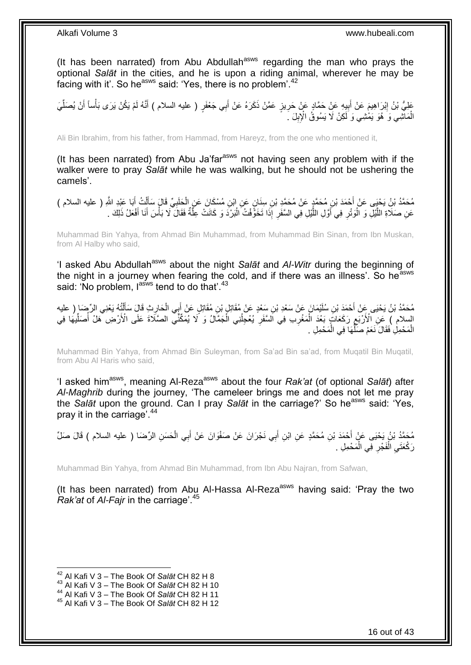(It has been narrated) from Abu Abdullah<sup>asws</sup> regarding the man who prays the optional *Salāt* in the cities, and he is upon a riding animal, wherever he may be facing with it'. So he<sup>asws</sup> said: 'Yes, there is no problem'.<sup>42</sup>

عَلِيُّ بْنُ إِبْرَاهِيمَ عَنْ أَبِيهِ عَنْ حَمَّادٍ عَنْ حَرِيزٍ عَمَّنْ ذَكَرَهُ عَنْ أَبِي جَعْفَرٍ ( عليه السلام ) أَنَّهُ لَمْ يَكُنْ يَرَى بَأْساً أَنْ يُصَلِّيَ َ َ ِ **!** َ <u>֖֓</u> ِّ َ ْ لَ الْمَاتْنِـي وَ َ هُوَ يَمْشِـي وَ لَكِنْ لَا يَسُوقُ الْإِبِلَ ۚ. ِ ْ

Ali Bin Ibrahim, from his father, from Hammad, from Hareyz, from the one who mentioned it,

(It has been narrated) from Abu Ja'far<sup>asws</sup> not having seen any problem with if the walker were to pray *Salāt* while he was walking, but he should not be ushering the camels'.

مُحَمَّدُ بْنُ يَحْيِي عَنْ أَحْمَدَ بْنِ مُحَمَّدٍ عَنْ مُحَمَّدٍ بْنِ سِنَانٍ عَنِ ابْنِ مُسْكَانَ عَنِ الْحَلَبِيِّ قَالٍَ سَأَلْتُ أَبَا عَبْدِ اللَّهِ ( عليه السلام ) ِ ْ َ َ ْ َ عَنِ صَلَاةِ اللَّيْلِ وَ الْوَتْرِ فِي أَوَّلِ اللَّيْلِ فِي السَّفَرِ إِذَا تَخَوَّفْتُ الْبَرْدَ وَ كَانَتْ عِلَّةٌ فَقَالَ لَا بَأْسَ أَنَا أَفْعَلُ ذَلِكَ . َّ :<br>ا ِ َّ َ ِ ْ َّ َ َ ْ

Muhammad Bin Yahya, from Ahmad Bin Muhammad, from Muhammad Bin Sinan, from Ibn Muskan, from Al Halby who said,

'I asked Abu Abdullah<sup>asws</sup> about the night Salat and Al-Witr during the beginning of the night in a journey when fearing the cold, and if there was an illness'. So he<sup>asws</sup> said: 'No problem, lasws tend to do that'.<sup>43</sup>

مُحَمَّدُ بْنُ يَحْيَى عَنْ أَحْمَدَ بْنِ سُلَيْمَانَ عَنْ سَعْدِ بْنِ سَعْدٍ عَنْ مُقَاتِلٍ بْنِ مُقَاتِلٍ عَنْ إِبِي الْحَارِثِ قَالَ سَأَلْتُهُ يَعْنِي الرِّضَا ( عليه ْ َ ْ َ ِ السلام ) عَنِ الْأَرْبَعِ رَكَعَاتٍ بَعْدَ الْمَغْرِب فِي اَلسَّفَرِ يُعْجِلُنِي الْجَمَّالُ وَ لَا يُمَكِّنًّي الصَّلَاةَ عَلَى الْأَرْضِ هَلْ أَصَلِّيهَا فِي ِ ْ ِ ِّ ُ ْ ُ ِ الْمَحْمِلِ فَقَالَ نَعَمْ صَلَّهَا فِي الْمَحْمِلِ . ْ ِّ ْ

Muhammad Bin Yahya, from Ahmad Bin Suleyman, from Sa'ad Bin sa'ad, from Muqatil Bin Muqatil, from Abu Al Haris who said,

'I asked him<sup>asws</sup>, meaning Al-Reza<sup>asws</sup> about the four *Rak'at* (of optional *Salāt*) after *Al-Maghrib* during the journey, 'The cameleer brings me and does not let me pray the *Salāt* upon the ground. Can I pray *Salāt* in the carriage?' So he<sup>asws</sup> said: 'Yes. pray it in the carriage'.<sup>44</sup>

مُحَمَّدُ بْنُ يَحْيَى عَنْ أَحْمَدَ بْنِ مُحَمَّدٍ عَنِ ابْنِ أَبِي نَجْرَانَ عَنْ صَفْوَانَ عَنْ أَبِي الْحَسَنِ الرِّضَا ( عليه السلام ) قَالَ صَلِّ ْ َ َ رَكْعَتَيِ الْفَجْرِ فِي الْمَحْمِلِ . ْ ِ ْ ِ

Muhammad Bin Yahya, from Ahmad Bin Muhammad, from Ibn Abu Najran, from Safwan,

(It has been narrated) from Abu Al-Hassa Al-Reza<sup>asws</sup> having said: 'Pray the two *Rak'at* of *Al-Fajr* in the carriage'.<sup>45</sup>

 $\overline{a}$ 

<sup>42</sup> Al Kafi V 3 – The Book Of *Salāt* CH 82 H 8

<sup>43</sup> Al Kafi V 3 – The Book Of *Salāt* CH 82 H 10

<sup>44</sup> Al Kafi V 3 – The Book Of *Salāt* CH 82 H 11

<sup>45</sup> Al Kafi V 3 – The Book Of *Salāt* CH 82 H 12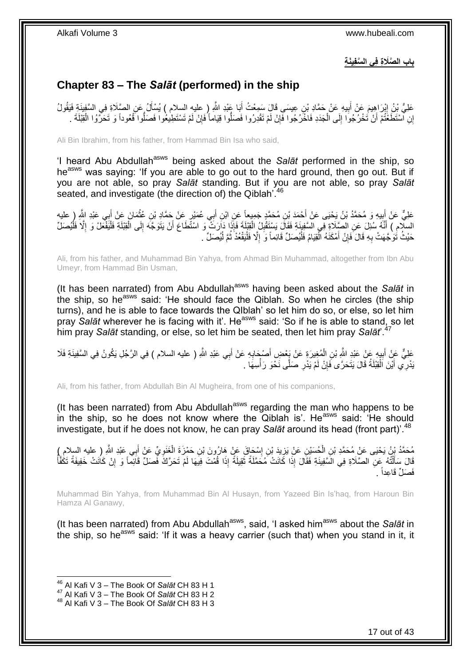**باب ال َّصَال ِة فِي ال َّسفِيَن ِة**

## <span id="page-16-0"></span>**Chapter 83 – The** *Salāt* **(performed) in the ship**

عَلِيُّ بِنُ إِبْرَاهِيمَ عَنْ أَبِيهِ عَنْ حَمَّادِ بْنِ عِيسَى قَالَ سَمِعْتُ أَبَا عَنْدِ اللَّهِ إِ عليهِ السلام ) يُسْأَلُ عَنِ الصَّلَاةِ فِي السَّفِينَةِ فَيَقُولُ َ َ ِ َ ِ إِنِ اسْتَطَعَّتُمْ أَنْ تَخْرُجُوا إِلَى الْجَدَدِ فَاخْرُجُوا فَإِنْ لَمْ تَقْدِرُوا فَصَلُوا قِيَاماً فَإِنْ لَمْ تَسْتَطِيعُوا فَصَلُوا قُعُوداً وَ تَحَرَّوُا الْقِبْلَةَ . ْ  $\frac{1}{2}$ ْ ِ ِ

Ali Bin Ibrahim, from his father, from Hammad Bin Isa who said,

'I heard Abu Abdullah<sup>asws</sup> being asked about the *Salāt* performed in the ship, so he<sup>asws</sup> was saying: 'If you are able to go out to the hard ground, then go out. But if you are not able, so pray *Salāt* standing. But if you are not able, so pray *Salāt* seated, and investigate (the direction of) the Qiblah<sup>'.46</sup>

عَلِيٌّ عَنْ أَبِيهِ وَ مُحَمَّدُ بْنُ يَحْيَى عَنْ أَحْمَدَ بْنِ مُحَمَّدٍ جَمِيعاً عَنِ ابْنِ أَبِي عُمَيْرٍ عَنْ حَمَّادِ بْنِ عُثْمَانَ عَنْ أَبِي عَبْدِ اللَّهِ رِ عليه ِ َ **∶** َ ْ َ السِلَامِ ) أَنَّهُ سُئِلَ عَنِ الصَّلَاةِ فِي السَّفِينَةِ فَقَالَ يَسْتَقُبِلُ الْقِيْلَةَ فَإِذَا دَارَتَ وَ اسْتَّطَاعَ أَنْ يَتَوَجَّهَ إِلَى الْقِيْلَةِ فَلْيَفْعَلْ وَ إِلَّا فَلْيُصَلِّ ْ **ِ** ْ ا<br>ا ْ ْ ِ َ حَيْثُ تُوَجَّهَتْ بِهِ قَالَ َفَإِنْ أَمْكَنَهُ الْقِيَامُ فَلْيُصَلِّ قَائِماً وَ إِلَّا فَلْيَقْعُدْ ثُمَّ لْيُصَلِّ . ٔ ان<br>المقامات المقامات المقامات المقامات المقامات المقامات المقامات المقامات المقامات المقامات المقامات المقامات<br>المقامات المقامات المقامات المقامات المقامات المقامات المقامات المقامات المقامات المقامات المقامات المقامات ْ ِ ا<br>ا ْ َ ِ **∶** 

Ali, from his father, and Muhammad Bin Yahya, from Ahmad Bin Muhammad, altogether from Ibn Abu Umeyr, from Hammad Bin Usman,

(It has been narrated) from Abu Abdullah<sup>asws</sup> having been asked about the Salat in the ship, so he<sup>asws</sup> said: 'He should face the Qiblah. So when he circles (the ship turns), and he is able to face towards the QIblah' so let him do so, or else, so let him pray Salat wherever he is facing with it'. He<sup>asws</sup> said: 'So if he is able to stand, so let him pray *Salāt* standing, or else, so let him be seated, then let him pray *Salāt*'.<sup>47</sup>

عَلِيٌّ عَنْ أَبِيهٍ عَنْ عَبْدِ اللَّهِ بْنِ الْمُغِيرَةِ عَنْ يَعْضِ أَصْبِحَابِهِ عَنْ أَبِي عَبْدِ اللَّهِ ( عليه السلام ) فِي الرَّجُلِ يَكُونُ فِي السَّفِينَةِ فَلَا َ ِ َ ْ **!** َيْدْرِي أَيْنَ اَلْقِنْلَةُ قَالَ يَتَحَرَّى فَإِنْ لَمْ يَدْرِ صَلَّى نَحْوَ رَأْسِهَا . **ٔ ∶** ِ ْ َ

Ali, from his father, from Abdullah Bin Al Mugheira, from one of his companions,

(It has been narrated) from Abu Abdullah $a<sup>asws</sup>$  regarding the man who happens to be in the ship, so he does not know where the Qiblah is'. He $^{asws}$  said: 'He should investigate, but if he does not know, he can pray *Salāt* around its head (front part)<sup>'.48</sup>

ِّي َع َْغَنو ِن َح ْم َزَة ال ْس َحا َق َع ْن َها ُرو َن ْب ِن إ يَد ْب ِن َع ْن َيز ُح َسْي ِن ال ِي َعْبِد ََّّللا ُم َح َّمُد ْب ُن َي ْحَيى َع ْن ُم َح َّمِد ْب ِ ) عليه السالم ( ب ْن أ ِ ْ ∣l<br>∶ ِ ْ َ قَالَ سَأَلْتُهُ عِنِ الصَّلَاةِ فِي الْسَّفِينَةِ فَقَالَ إِذَا كَانَتْ مُحَمَّلَةً ثَقِيلَةً إِذَا قُمْتَ فِيهَا لَمْ تَحَرَّكَ فَصَلِّ قَائِماً وَ إِنْ كَانَتْ خَفِيفَةً تَكُفَّأُ ֦֧֦֧֦֦֧֦֦֦֦֦֦֦֦֦֦֦֦֦֦֦֦֦֦֦֧֦֧֦֧֦֦֧֦֪֪֦֦֧֦֦֦֧֦֪֪֪֦֟֟֟֟֟֟֟֟֟֟֟֟֟֟֓֕֟֟֓֕֟֓֟֓֞֟֝֟֓֟֓֟֓֞֟֓֞֟֟֓֞֟֓֞֟֓֞֟ َ َ ُ ِ فَصَلٍّ قَاعِداً .

Muhammad Bin Yahya, from Muhammad Bin Al Husayn, from Yazeed Bin Is'haq, from Haroun Bin Hamza Al Ganawy,

(It has been narrated) from Abu Abdullah<sup>asws</sup>, said, 'I asked him<sup>asws</sup> about the *Salāt* in the ship, so he<sup>asws</sup> said: 'If it was a heavy carrier (such that) when you stand in it, it

<sup>46</sup> Al Kafi V 3 – The Book Of *Salāt* CH 83 H 1

<sup>47</sup> Al Kafi V 3 – The Book Of *Salāt* CH 83 H 2

<sup>48</sup> Al Kafi V 3 – The Book Of *Salāt* CH 83 H 3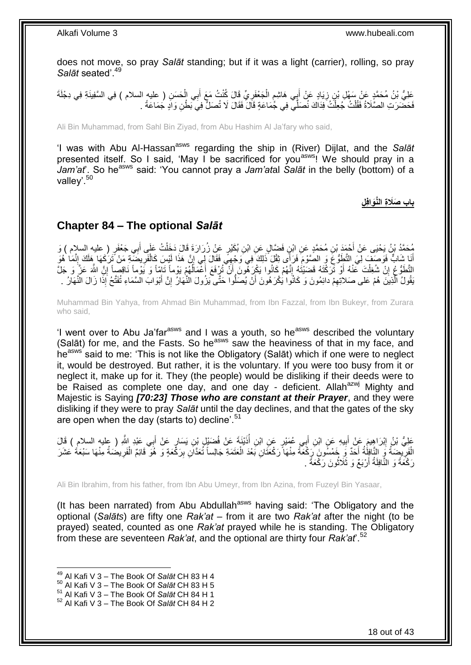does not move, so pray *Salāt* standing; but if it was a light (carrier), rolling, so pray Salat seated'.<sup>49</sup>

عَلِيُّ بْنُ مُحَمَّدٍ عَنْ سَهْلِ بْنِ زِيَادٍ عَنْ أَبِي هَاشِمٍ الْجَعْفَرِيِّ قَالَ كُنْتُ مَعَ أَبِي الْحَسَنِ ( عليه السلام ) فِي السَّفِينَةِ فِي دِجْلَةَ ْ َ ِ ْ ֧֧֚֓֝֝֓֝֬ َ **∶** فَحَضَّرَتِ الصَّلَاةُ فَقُلْتُ جُعِلْتُ فِذَاكَ نُصَلِّي فِي جُمَاعَةٍ قَالَ فَقَالَ لَا تُصَلِّ فِي بَطْنِ وَادٍ جُمَاعَةً . ْ ْ

Ali Bin Muhammad, from Sahl Bin Ziyad, from Abu Hashim Al Ja'fary who said,

'I was with Abu Al-Hassan<sup>asws</sup> regarding the ship in (River) Dijlat, and the Salat presented itself. So I said, 'May I be sacrificed for you<sup>asws!</sup> We should pray in a *Jam'at*'. So he<sup>asws</sup> said: 'You cannot pray a *Jam'atal Salāt* in the belly (bottom) of a valley'.<sup>50</sup>

**ِل باب َصَال ِة الَّنَوافِ**

### <span id="page-17-0"></span>**Chapter 84 – The optional** *Salāt*

مُحَمَّدُ بْنُ يَحْيَى عَنْ أَحْمَدَ بْنِ مُحَمَّدٍ عَنِ ابْنٍ فَضَّالٍ عَنِ ابْنِ بُكَيْرٍ عَنْ زُرَارَةَ قَالَ دَخَلْتُ عَلَى أَبِي جَعْفَرٍ ( عليه السلام ) وَ<br>يَهْجَمَّدُ بْنُ يَحْيَى عَنْ أَحْمَدَ بْنِ مُحَمَّدٍ عَنِ ِ َ ْ أَيَا شَابٌ فَوَصُفَ لِيَ التَّظُوُّعَ وَ الصَّوْمَ فَرَأَى ثِقْلَ ذَلِكَ فِي َوجْهِيٍّ فَقَالَ لِي إِنَّ هَذَا لَيْسَ كَالْفَرِيضَةِ مَنْ تَرَكَهَا هَلَكَ إِنَّمَا هُوَ ِ ِ ِ ْ التَّطَوُّعُ إِنْ شُغِلْتَ عَنْهُ أَوْ تَرَكْتَهُ قَضَيْتُهُ إِنَّهُمْ كَانُوا يَكْرِ هُونَ أَنْ تُرُفَعَ أَعْمَالُهُمْ يَوْماً تَامِّاً وَ يَوْماً نَاقِصاً إِنَّ اللَّهَ عَزَّ وَ جَلَّ ُ َ َ ِ ْ <u>֖֚֚֚֚֚֚֚֓</u> ∣l<br>∶ َّ يَقُولُ الَّذِينَ هُمْ عَلى صَلاتِهِمْ دائِمُونَ وَ كَانُوا يُكْرَهُونَ أَنْ يُصَلَّوا حَتَّى يَزُولَ النَّهَارُ إِنَّ أَبْوَابَ السَّمَاءِ تُفَتَّحُ إِذَا زَالَ النَّهَارُ . َ ِ اُ ِ

Muhammad Bin Yahya, from Ahmad Bin Muhammad, from Ibn Fazzal, from Ibn Bukeyr, from Zurara who said,

'I went over to Abu Ja'far<sup>asws</sup> and I was a youth, so he<sup>asws</sup> described the voluntary (Salāt) for me, and the Fasts. So he<sup>asws</sup> saw the heaviness of that in my face, and he<sup>asws</sup> said to me: 'This is not like the Obligatory (Salāt) which if one were to neglect it, would be destroyed. But rather, it is the voluntary. If you were too busy from it or neglect it, make up for it. They (the people) would be disliking if their deeds were to be Raised as complete one day, and one day - deficient. Allah<sup>azwj</sup> Mighty and Majestic is Saying *[70:23] Those who are constant at their Prayer*, and they were disliking if they were to pray *Salāt* until the day declines, and that the gates of the sky are open when the day (starts to) decline<sup>'.51</sup>

عَلِيُّ بْنُ إِبْرَاهِيمَ عَنْ أَبِيهِ عَنِ ابْنِ أَبِي عُمَيْرٍ عَنِ ابْنِ أُذَيْنَةَ عَنْ فُضَيْلٍ بْنِ يَسَارٍ عَنْ أَبِي عَبْدِ اللَّهِ ( عِلْيه السلام ) قَالَ َ ر<br>ا َ **! ֽוּ** الْفَرِيْضِمَةُ وَرَ النَّافِلُةُ أَحَدٌ وَ خَمْسُونَ رَكُعَةً مِنْهَا رَكْعَتَانِ بَعْدَ الْعَتَمَةِ جَالِساً ثُعَدَّانِ بِرَكَّعَةٍ وَ هُوَ قَائِمٌ الْفَرِيضُمَةُ مِنْهَا سَبْعَةُ عَشَرَ ْ َ ِ ِ ْ ِ رَكْعَةً وَ النَّافِلَةُ أَرْبَعٌ وَ ثَلَاثُونَ رَكْعَةً . ُ اُ

Ali Bin Ibrahim, from his father, from Ibn Abu Umeyr, from Ibn Azina, from Fuzeyl Bin Yasaar,

(It has been narrated) from Abu Abdullah<sup>asws</sup> having said: 'The Obligatory and the optional (*Salāts*) are fifty one *Rak'at* – from it are two *Rak'at* after the night (to be prayed) seated, counted as one *Rak'at* prayed while he is standing. The Obligatory from these are seventeen *Rak'at*, and the optional are thirty four *Rak'at*'.<sup>52</sup>

 $\overline{a}$ 

<sup>49</sup> Al Kafi V 3 – The Book Of *Salāt* CH 83 H 4

<sup>50</sup> Al Kafi V 3 – The Book Of *Salāt* CH 83 H 5

<sup>51</sup> Al Kafi V 3 – The Book Of *Salāt* CH 84 H 1

<sup>52</sup> Al Kafi V 3 – The Book Of *Salāt* CH 84 H 2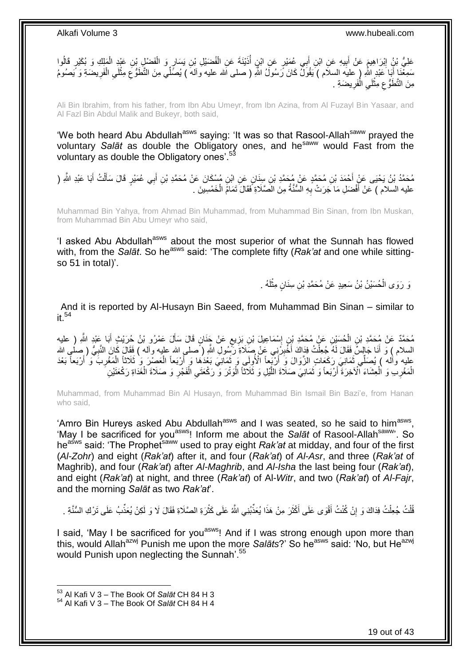

Ali Bin Ibrahim, from his father, from Ibn Abu Umeyr, from Ibn Azina, from Al Fuzayl Bin Yasaar, and Al Fazl Bin Abdul Malik and Bukeyr, both said,

'We both heard Abu Abdullah<sup>asws</sup> saying: 'It was so that Rasool-Allah<sup>saww</sup> prayed the voluntary *Salāt* as double the Obligatory ones, and he<sup>saww</sup> would Fast from the voluntary as double the Obligatory ones'.<sup>53</sup>

ِ مُحَمَّدُ بْنُ يَحْيَى عَنْ أَحْمَدَ بْنِ مُحَمَّدٍ عَنْ مُحَمَّدِ بْنِ سِنَانٍ عَنِ ابْنِ مُسْكَانَ عَنْ مُحَمَّدِ بْنِ أَبِي عُمَيْرٍ قَالَ سَأَلْتُ أَبَا عَبْدِ اللَّهِ ( َ َ َ ْ َ عليه السلام ) عَنْ أَفْضَلِ مَا جَرَتْ بِهِ السُّنَّةُ مِنَ الصَّلَاةِ فَقَالَ تَمَامُ الْخَمْسِينَ . ِ َ ْ

Muhammad Bin Yahya, from Ahmad Bin Muhammad, from Muhammad Bin Sinan, from Ibn Muskan, from Muhammad Bin Abu Umeyr who said,

'I asked Abu Abdullah<sup>asws</sup> about the most superior of what the Sunnah has flowed with, from the *Salāt*. So he<sup>asws</sup> said: 'The complete fifty (*Rak'at* and one while sittingso 51 in total)'.

> وَ رَوَى الْحُسَيْنُ بْنُ سَعِيدٍ عَنْ مُحَمَّدِ بْنِ سِنَانٍ مِثْلَهُ . لَ **ٔ** ْ

And it is reported by Al-Husayn Bin Saeed, from Muhammad Bin Sinan – similar to it  $54$ 

مُحَمَّدٌ عَنْ مُحَمَّدِ بْنِ الْحُسَيْنِ عَنْ مُحَمَّدِ بْنِ إِسْمَاعِيلَ بْنِ بَزِيعٍ عَنْ جَنَانٍ قَالَ سَأَلَ عَمْرُو بْنُ حُرَيْثٍ أَبَا عَبْدٍ اللَّهِ ( عليه<br>. َ ٍ ِ ِ ْ َ السلام ) وَ أَنَا جَالِسٌ فَقَالَ لَمُهُ جُعِلْتُ فِدَاكَ أَخْبِرُنِنِي عَنْ صَلَاةِ رَّسُولِ اللَّهِ ( َصلى الله عليه وآله ) فَقَالَ كَانَ النَّبِيُّ ( ِصلْمٍ الله ِ َ ْ ِ َ عليه وأله ) يُصَلِّي ثَمَانِيَ رَكَعَاتٍ الزَّوَالَ وَ أَرْبَعاً الْأُولِي وَ ثَمَانِيَ بَعْدَهَا وَ أَرْبَعاً الْعَصْرَ وَ ثَلاثاً الْمَغْرِبَ وَ أَرْبَعاً بَعْدَ ْ َ َ اُ ٔ, َ ْ الْمَغْرِـبِ وَ اْلْعِشَاءَ اْلْاَخِرَةَ أَرْبَعاً وَ ثَمَانِيَ صَلَاةَ اللَّيْلِ وَ ثَلَاثاً الْوَثْرَ وَ رَكْعَتَيِ الْفَجْرِ وَ صَلَاةَ الْغَدَاةِ رَكْعَتَيْنِ ْ ِ ْ ِ ْ ِ ْ َّ َ َ

Muhammad, from Muhammad Bin Al Husayn, from Muhammad Bin Ismail Bin Bazi'e, from Hanan who said,

'Amro Bin Hureys asked Abu Abdullah<sup>asws</sup> and I was seated, so he said to him<sup>asws</sup>, 'May I be sacrificed for you<sup>asws</sup>! Inform me about the Salat of Rasool-Allah<sup>saww</sup>'. So he<sup>asws</sup> said: 'The Prophet<sup>saww</sup> used to pray eight *Rak'at* at midday, and four of the first (*Al-Zohr*) and eight (*Rak'at*) after it, and four (*Rak'at*) of *Al-Asr*, and three (*Rak'at* of Maghrib), and four (*Rak'at*) after *Al-Maghrib*, and *Al-Isha* the last being four (*Rak'at*), and eight (*Rak'at*) at night, and three (*Rak'at*) of Al-*Witr*, and two (*Rak'at*) of *Al-Fajr*, and the morning *Salāt* as two *Rak'at*'.

ُّلْتُ جُعِلْتُ فِدَاكَ وَ إِنْ كُنْتُ أَقْوَى عَلَى أَكْثَرَ مِنْ هَذَا يُعَذِّبُنِي اللَّهُ عَلَى كَثْرَةِ الصَّلَاةِ فَقَالَ لَا وَ لَكِنْ يُعَذِّبُ عَلَى تَرْكِ السُّنَّةِ . ْ َ َ َ اٍ ْ ْ

I said, 'May I be sacrificed for you<sup>asws</sup>! And if I was strong enough upon more than this, would Allah<sup>azwj</sup> Punish me upon the more *Salāts*?' So he<sup>asws</sup> said: 'No, but He<sup>azwj</sup> would Punish upon neglecting the Sunnah'.<sup>55</sup>

<sup>53</sup> Al Kafi V 3 – The Book Of *Salāt* CH 84 H 3

<sup>54</sup> Al Kafi V 3 – The Book Of *Salāt* CH 84 H 4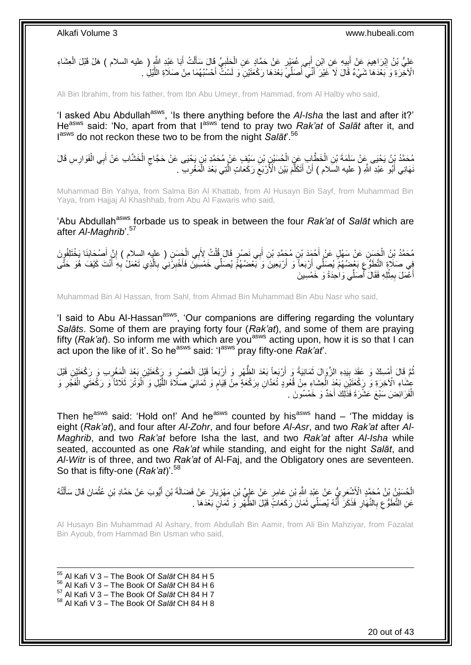عَلِيُّ بْنُ إِبْرَاهِيمَ عَنْ أَبِيهِ عَنِ ابْنِ أَبِي عُمَيْرٍ عَنْ حَمَّادٍ عَنِ الْحَلَبِيِّ قَالَ سَأَلْتُ أَبَا عَبْدِ اللَّهِ ( عليه السلام ) هَلْ قَبْلَ الْعِشَاءِ ِ َ ِ ْ َ ْ َ ِ ْ الْآخِّرَةِ وَ بَعْدَهَا شَيْءٌ قَالَ لَا غَيْرَ أَنِّي أُصَلِّيَ بَعْدَهَا رَكْعَنَيْنِ وَ لَسْنَ أَحْسُبُهُمَا مِنْ صَلَاةِ اللَّيْلِ َّ َ ُ َ

Ali Bin Ibrahim, from his father, from Ibn Abu Umeyr, from Hammad, from Al Halby who said,

'I asked Abu Abdullah<sup>asws</sup>, 'Is there anything before the *AI-Isha* the last and after it?' He<sup>asws</sup> said: 'No, apart from that lasws tend to pray two *Rak'at* of *Salāt* after it, and Iasws do not reckon these two to be from the night Salat<sup>'.56</sup>

ٍ مُحَمَّدُ بِنُ يَحْيَى عَنْ سَلَمَةَ بْنِ الْخَطَّابِ عَنِ الْحُسَيْنِ بْنِ سَيْفٍ عَنْ مُحَمَّدِ بْنِ يَحْيَى عَنْ حَجَّاجِ الْخَشَّابِ عَنْ أَبِي الْفَوَارِسِ قَالَ<br>ُنِيِّتُ بِيَجِيئٍ عَلَّى الْفَوَارِسِ قَالَ ْ ْ ْ َ ْ نَهَانِي أَبُو عَبْدِ اللَّهِ ( عليه السَلام ) أَنْ أَتَكَلَّمَ بَيْنَ الْأَرْبَعَ رَكَعَاتٍ الَّتِي بَعْدَ الْمَغْرِبِ ۖ . َ ِ ْ َّ  $\zeta$ َّ َ َ

Muhammad Bin Yahya, from Salma Bin Al Khattab, from Al Husayn Bin Sayf, from Muhammad Bin Yaya, from Hajjaj Al Khashhab, from Abu Al Fawaris who said,

'Abu Abdullah<sup>asws</sup> forbade us to speak in between the four *Rak'at* of *Salāt* which are after *Al-Maghrib*'.<sup>57</sup>

مُحَمَّدُ بْنُ الْجَسَنِ عَنْ سَهْلٍ عَنْ أَحْمَدَ بْنِ مُجَمَّدِ بْنِ أَبِي نَصْرٍ قَالَ قُلْتُ لِأَبِي الْجَسَنِ ( عليه السلام ) إِنَّ أَصْحَابَنَا يَخْتَلِفُورَنَ ْ ْ َ َ َ ِ فِي صَلَاةِ التَّطَوُّعِ بَعْضُهُمْ يُصَلِّي أَرْبَعاً وَ أَرْبَعِينَ وَ بَعْضُهُمْ يُصَلِّي خَمْسِينَ فَأَخْبِرْنِنِي بِالَّذِي تَعْمَلُ بِهِ أَنْتَ كَيْفَ هُوَ حَتَّى َّ ِ ِ َ َ ِ َ ِ أَعْمَلَ بِمِثْلِهِ فَقَالَ أَصَلِّي وَاحِدَةً وَ خَمْسِينَ ا<br>ا **ٔ** ِ َ

Muhammad Bin Al Hassan, from Sahl, from Ahmad Bin Muhammad Bin Abu Nasr who said,

'I said to Abu Al-Hassan<sup>asws</sup>, 'Our companions are differing regarding the voluntary *Salāts*. Some of them are praying forty four (*Rak'at*), and some of them are praying fifty (*Rak'at*). So inform me with which are you<sup>asws</sup> acting upon, how it is so that I can act upon the like of it'. So he<sup>asws</sup> said: 'I<sup>asws'</sup> pray fifty-one *Rak'at'*.

نُّمَّ قَالَ أَمْسِكْ وَ عَقَدَ بِبَدِهِ الزَّوَالَ ثَمَانِيَةً وَ أَرْبَعاً بَعْدَ الظُّهْرِ وَ أَرْبَعاً قَبْلَ الْعَصْرِ وَ رَكْعَتَيْنِ بَعْدَ الْمَغْرِبِ وَ رَكْعَتَيْنِ قَبْلَ ِ َ ٔ, **!** َ ِ ْ ِ ْ َّ عِشَاءِ الْأَخِرَةِ وَ رَكْعَتَيْنِ بَعْدَ الْعِشَاءِ مِنْ قُعُودٍ تُعَدَّانِ بِرَكْعَةٍ مِنْ فِيَامٍ وَ ثَمَانِيَ صَلَاةَ اللَّيْلِ وَ اَلْوَتْرَ ثَلَاثًا َوَ رَكْعَتَيِ الْفَجَرِ وَ َ ٍ ِ ْ ْ ِ ْ ِ الْفَرَائِضَ سَبْعَ عَشْرَةَ فَذَلِكَ أَحَدٌ وَ خَمْسُونَ . َ ْ

Then he<sup>asws</sup> said: 'Hold on!' And he<sup>asws</sup> counted by his<sup>asws</sup> hand – 'The midday is eight (*Rak'at*), and four after *Al-Zohr*, and four before *Al-Asr*, and two *Rak'at* after *Al-Maghrib*, and two *Rak'at* before Isha the last, and two *Rak'at* after *Al-Isha* while seated, accounted as one *Rak'at* while standing, and eight for the night *Salāt*, and *Al-Witr* is of three, and two *Rak'at* of Al-Faj, and the Obligatory ones are seventeen. So that is fifty-one (*Rak'at*)'.<sup>58</sup>

الْحُسَيْنُ بِنُ مُحَمَّدٍ الْأَشْعَرِ يُّ عَنْ عَيْدِ اللَّهِ بْنِ عَامِرٍ عَنْ عَلِيِّ بْنِ مَهْزِيَارَ عَنْ فَضَالَةَ بْنِ أَيُّوبَ عَنْ حَمَّادِ بْنِ عُثْمَانَ قَالَ سَأَلْتُهُ ِ ِ ْ ĺ ْ َ عَنِ التَّطَوُّعِ بِالنَّهَارِ فَذَكَرَ ۖ أَنَّهُ يُصَلِّي ثَمَانَ رَكَعَاتٍّ قَبْلَ الظُّهْرِ وَ ثَمَانٍ بَعْدَهَا . ة<br>أ َ ِ **∶** ِ َ ِ

Al Husayn Bin Muhammad Al Ashary, from Abdullah Bin Aamir, from Ali Bin Mahziyar, from Fazalat Bin Ayoub, from Hammad Bin Usman who said,

1 Al Kafi V 3 – The Book Of *Salāt* CH 84 H 5 Al Kafi V 3 – The Book Of *Salāt* CH 84 H 6 Al Kafi V 3 – The Book Of *Salāt* CH 84 H 7 Al Kafi V 3 – The Book Of *Salāt* CH 84 H 8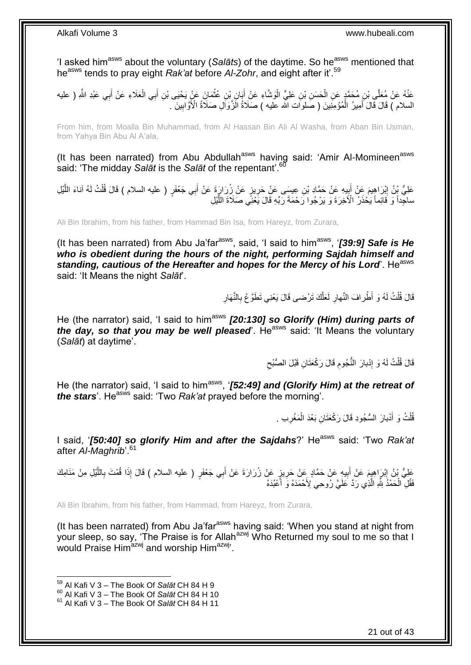'I asked him<sup>asws</sup> about the voluntary (Salats) of the daytime. So he<sup>asws</sup> mentioned that he<sup>asws</sup> tends to pray eight *Rak'at* before *Al-Zohr*, and eight after it'.<sup>59</sup>

**∶** عَنْهُ عَنْ مُعَلَّى بْنِ مُحَمَّدٍ عَنِ الْحَسَنِ بْنِ عَلِيٍّ الْوَشَّاءِ عَنْ أَبَانٍ بْنِ عُثْمَانَ عَنْ يَحْيَى بْنِ أَبِي الْعَلَاءِ عَنْ أَبِي عَبْدِ اللَّهِ ( عليه َ **ٔ** َ ْ ْ ْ َ ْ السلام ) قَالَ قَالَ أَمِيرُ الْمُؤْمِنِينَ ( صَلوات الله عليه ) صَلَاةُ الْزَوَالِ صَلاَةُ الْأَوَّابِينَ . ِ ْ َ

From him, from Moalla Bin Muhammad, from Al Hassan Bin Ali Al Washa, from Aban Bin Usman, from Yahya Bin Abu Al A'ala,

(It has been narrated) from Abu Abdullah<sup>asws</sup> having said: 'Amir Al-Momineen<sup>asws</sup> said: 'The midday *Salāt* is the *Salāt* of the repentant'.<sup>60</sup>

عَلِيُّ بِنُ إِبْرَاهِيمَ عَنْ أَبِيهِ عَنْ حَمَّادِ بْنِ عِيسَى عَنْ حَرِيزٍ عَنْ زُِرَارٍةَ عَنْ أَبِي جَعْفَرٍ ( عليه السلام ) قَالَ قُلْتُ لَهُ آناءَ اللَّيْلِ َ ِ ¦ َ ِ َّ ْ ساجِداً وَ قَائِماً يَحْذَرُ الْأَخِرَةَ وَ يَرْجُوا رَحْمَةَ رَبِّهِ قَالَ يَعْنِّي صَلَاةَ اللَّيْلِ َّ

Ali Bin Ibrahim, from his father, from Hammad Bin Isa, from Hareyz, from Zurara,

(It has been narrated) from Abu Ja'far<sup>asws</sup>, said, 'I said to him<sup>asws</sup>, '**[39:9] Safe is He** *who is obedient during the hours of the night, performing Sajdah himself and*  standing, cautious of the Hereafter and hopes for the Mercy of his Lord'. He<sup>asws</sup> said: 'It Means the night *Salāt*'.

> **∶** قَالَ قُلْتُ لَهُ وَ أَطْرِافَ النَّهارِ لَعَلَّكَ تَرْضـى قَالَ يَعْنِي تَطَوَّعْ بِالنَّهَارِ **∶** َّ لَ **∶** ْ

He (the narrator) said, 'I said to him<sup>asws</sup> [20:130] so Glorify (Him) during parts of *the day, so that you may be well pleased*. He<sup>asws</sup> said: 'It Means the voluntarv (*Salāt*) at daytime'.

> $\zeta$ قَالَ قُلْتُ لَهُ وَ إِدْبارَ النَّجُومِ قَالَ رَكْعَتَانِ قَبْلَ الصُّبْحِ ِ ِ ْ

He (the narrator) said, 'I said to him<sup>asws</sup>, '[52:49] and (Glorify Him) at the retreat of *the stars'*. He<sup>asws</sup> said: 'Two *Rak'at* prayed before the morning'.

> ُفُلْتُ وَ أَدْبارَ السُّجُودِ قَالَ رَكْعَتَانِ بَعْدَ الْمَغْرِبِ . ِ ْ َ ْ

I said, '[50:40] so glorify Him and after the Sajdahs?' He<sup>asws</sup> said: 'Two *Rak'at* after *Al-Maghrib*'.<sup>61</sup>

عَلِيُّ بْنُ إِبْرَاهِيِمَ عَنْ أَبِيهِ عَنْ حَمَّادٍ عَنْ حَرِيزٍ عَنْ زُرَارَةَ عَنْ أَبِي جَعْفَرٍ ( عليه السلام ) قَالَ إِذَا قُمْتَ بِاللَّيْلِ مِنْ مَنَامِكَ **∶** ِ َ َّ ِ َ فَقُلِّ الْحَمْدُ شَّهِ الَّذِي رَدَّ عَلَيَّ رُوحِي لِأَحْمَدَهُ وَ أَكْبُدَهُ َ َّ ْ

Ali Bin Ibrahim, from his father, from Hammad, from Hareyz, from Zurara,

(It has been narrated) from Abu Ja'far $a<sup>asws</sup>$  having said: 'When you stand at night from your sleep, so say, 'The Praise is for Allah<sup>azwj</sup> Who Returned my soul to me so that I would Praise Him<sup>azwj</sup> and worship Him<sup>azwj</sup>.

<sup>59</sup> Al Kafi V 3 – The Book Of *Salāt* CH 84 H 9

<sup>60</sup> Al Kafi V 3 – The Book Of *Salāt* CH 84 H 10

<sup>61</sup> Al Kafi V 3 – The Book Of *Salāt* CH 84 H 11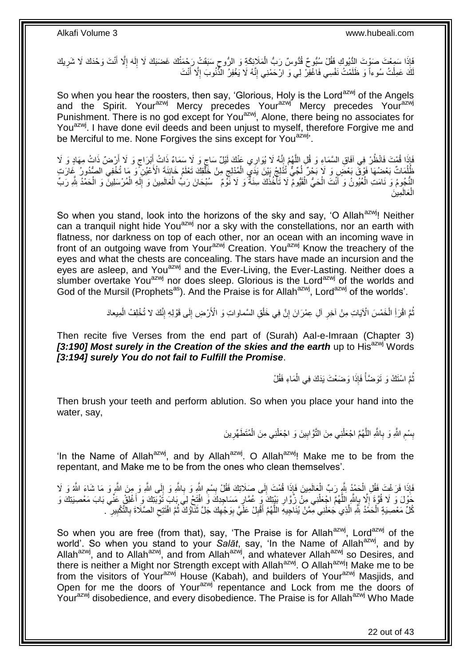َفَإِذَا سَمِعْتَ صَوْتَ الِدُّيُوكِ فَقُلْ سُبُّوحٌ قُدُّوسٌ رَبُّ الْمَلَائِكَةِ وَ الرُّوحِ سَبَقَتْ رَحْمَتُكَ غَضَبَكَ لَا إِلَهَ إِلَّا أَنْتَ وَحْدَكَ لَا شَرِيكَ َ ِ لَ ِ ِ ْ ِ كَ عَمِلْتُ سُوءاً وَ ظَلَمْتُ نَفْسِي فَاغْفِرْ لِي وَ الْحَمْنِي إِنَّهُ لَا يَغْفِرُ الْمُّنُوبَ إِلَّا أَنْتَ َ ِ ِ ْ لَ

So when you hear the roosters, then say, 'Glorious, Holy is the Lord<sup>azwj</sup> of the Angels and the Spirit. Your<sup>azwj</sup> Mercy precedes Your<sup>azwj</sup> Mercy precedes Your<sup>azwj</sup> Punishment. There is no god except for You<sup>azwj</sup>, Alone, there being no associates for You<sup>azwj</sup>. I have done evil deeds and been unjust to myself, therefore Forgive me and be Merciful to me. None Forgives the sins except for You<sup>azwj</sup>.

فَإِذَا قُمْتَ فَانْظُرْ فِي آفَاقِ السَّمَاءِ وَ قُلِ اللَّهُمَّ إِنَّهُ لَا يُوَارِي عَنْكَ لَيْلٌ سَاجٍ وَ لا سَمَاءٌ ذَاتُ إِبْرَاجٍ وَ لَا يَوْمَنُ ذَاتُ مِهَادٍ وَ لَا<br>وَأَوْسِرُ مِنْ الْمَرْضَ الْمَسْلَمِينَ فَيَهْ ٍ ֦֦֦֦֧֦֧֦ׅ֦֦֧֦ׅ֦֦֧ׅ֦֧֦֧֦֧֦֦֧֦֧֦֧ׅ֦֧֦֧֦֚֚֝֟֝֬֝֝֝֜֓֝֝֜֜֓֕֜֟֓֟֓֡֟֜֓֟֓֜ َّ َ ٍ َ َلْمُلُمَاتٌ بَعْضُهَا ۚ فَوْقٌ بَعْضَ وَ لَا بَحْرٌ لَٰجٌيٌّ تُذْلِجُ بَيْنَ يَذَىِ الْمُدْلِجِ مِنْ خَلْقِكَ تَعْلَمُ خَائِنَةَ الْأَعْيُنِ ۖ وَ مَا تُخْفِى الصُّدُورِ ۢ غَالَ تِ ْ ֚֚֚֚֚֚֚֚֚֚֚֝֟֝֟׆֞ ْ  $\frac{1}{2}$ ُ ُ النُّجُومُ وَ نَامَتِ الْعُيُونُ وَ أَنْتَ الْحَيُّ الْقَيُّومُ لَا تَأْخُذُكَ سِنَةٌ وَ لَا نَوْمٌ ۚ سُبْحَانَ رَبِّ الْعَالَمِينَ وَ إِلَهِ الْمُرْسَلِينَ وَ الْحَمْدُ لِلَّهِ رَبِّ َ ْ ا<br>ا ْ ْ ْ لَ ِ ْ الْعَالَمِينَ ْ

So when you stand, look into the horizons of the sky and say, 'O Allah<sup>azwj</sup>! Neither can a tranquil night hide You<sup>azwj</sup> nor a sky with the constellations, nor an earth with flatness, nor darkness on top of each other, nor an ocean with an incoming wave in front of an outgoing wave from Your<sup>azwj</sup> Creation. You<sup>azwj</sup> Know the treachery of the eyes and what the chests are concealing. The stars have made an incursion and the eyes are asleep, and You<sup>azwj</sup> and the Ever-Living, the Ever-Lasting. Neither does a slumber overtake You<sup>azwj</sup> nor does sleep. Glorious is the Lord<sup>azwj</sup> of the worlds and God of the Mursil (Prophets<sup>as</sup>). And the Praise is for Allah<sup>azwj</sup>, Lord<sup>azwj</sup> of the worlds'.

> نْمَّ اقْرَاِ الْخَمْسَ الْآيَاتِ مِنْ آخِرِ أَلِ عِمْرَانَ إِنَّ فِي خَلْقِ السَّماواتِ وَ الْأَرْضِ إِلَى قَوْلِهِ إِنَّكَ لا تُخْلِفُ الْمِيعادَ ِ ِ ْ ֧<u>׀</u> ِ ْ ْ

Then recite five Verses from the end part of (Surah) Aal-e-Imraan (Chapter 3) [3:190] Most surely in the Creation of the skies and the earth up to His<sup>azwj</sup> Words *[3:194] surely You do not fail to Fulfill the Promise*.

> نُّمَّ اسْنَكْ وَ تَوَضَّأْ فَإِذَا وَضَعْتَ يَدَكَ فِي الْمَاءِ فَقُلْ ْ ْ ُ

Then brush your teeth and perform ablution. So when you place your hand into the water, say,

> بِسْمِ اللَّهِ وَ بِاللَّهِ اللَّهُمَّ اجْعَلْنِي مِنَ النَّوَّابِينَ وَ اجْعَلْنِي مِنَ الْمُتَطَهِّرِينَ **ٍ** ْ ْ **!** ْ َّ ِ ِ **ِ**

'In the Name of Allah<sup>azwj</sup>, and by Allah<sup>azwj</sup>. O Allah<sup>azwj</sup>! Make me to be from the repentant, and Make me to be from the ones who clean themselves'.

َّفَإِذَا فَرَغْتَ فَقُلِ الْحَمْدُ بِلَّهِ رَبِّ الْعَالَمِينَ فَإِذَا قُمْتَ إِلَى صَلَاتِكَ فَقُلْ بِسْمِ النَّهِ وَ بِاللَّهِ وَ إِلَى اللَّهِ وَ مِنَ اللَّهِ وَ مَا شَاعَ اللَّهُ وَ لَا **∶** ِ ِ  $\frac{1}{2}$ ْ ْ ِ حَوْلَ وَ لَا قُوَّةَ إِلَّا بِاللَّهِ اللَّهُمَّ اجْعَلْنِي مِنْ زُوَّارِ بَيْتِكَ وَ عُمَّارٍ مَسَاجِدِكَ وَ افْتَحْ لِيَ بَابَ تَوْبَتِكَ وَ أَغْلِقْ عَنِّي بَابَ مَعْصِيَتِكَ وَ ِ ِ ْ َّ ِ  $\frac{1}{2}$ َ كُلِّ مَعْصِيَةٍ الْحَمْدُ بِلَّهِ الَّذِي جَعَلَنِي مِمَّنْ يُنَاجِيهِ اللَّهُمَّ أَقْبِلْ عَلَيَّ بِوَجْهِكَ جَلَّ تَثَاوُكَ ثُمَّ افْتَتِحِ الصَّلَاةَ بِالتَّكْبِيرِ ۖ . َّ ْ ِ ِ ِ ِ ان<br>المقامات المقامات المقامات المقامات المقامات المقامات المقامات المقامات المقامات المقامات المقامات المقامات<br>المقامات المقامات المقامات المقامات المقامات المقامات المقامات المقامات المقامات المقامات المقامات المقامات َ ِ ِ ِ َ َّ

So when you are free (from that), say, 'The Praise is for Allah<sup>azwj</sup>, Lord<sup>azwj</sup> of the world'. So when you stand to your Salat, say, 'In the Name of Allah<sup>azwj</sup>, and by Allah<sup>azwj</sup>, and to Allah<sup>azwj</sup>, and from Allah<sup>azwj</sup>, and whatever Allah<sup>azwj</sup> so Desires, and there is neither a Might nor Strength except with Allah<sup>azwj</sup>. O Allah<sup>azwj</sup>! Make me to be from the visitors of Your<sup>azwj</sup> House (Kabah), and builders of Your<sup>azwj</sup> Masjids, and Open for me the doors of Your<sup>azwj</sup> repentance and Lock from me the doors of Yourazwj disobedience, and every disobedience. The Praise is for Allahazwj Who Made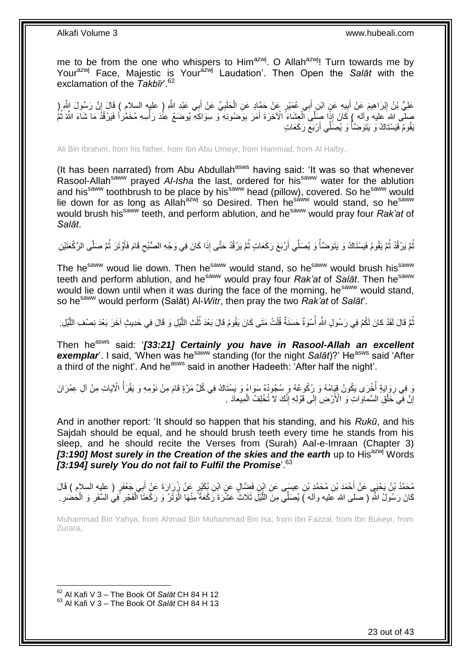me to be from the one who whispers to Him<sup>azwj</sup>. O Allah<sup>azwj</sup>! Turn towards me by Your<sup>azwj</sup> Face, Majestic is Your<sup>azwj</sup> Laudation'. Then Open the Salat with the exclamation of the *Takbīr*<sup>62</sup>

عَلِيُّ بْنُ إِبْرَاهِيمَ عَنْ أَبِيهِ عَنِ ابْنِ أَبِي عُمَيْرٍ عَنْ حَمَّادٍ عَنِ الْحَلَبِيِّ عَنْ أَبِي عَبْدِ اللَّهِ ( عليه السلام ) قَالَ إِنَّ رَسُولَ النَّهِ ( َ ِ ْ َ ِ َ <u>֖֓</u>  $\frac{1}{2}$ صَلَّى الله عَليه وآله ) كَانَ إِنَّهٖ صَلَّىَ الْعِشَاءَ الْآخِرَةَ أَمَرَ بِوَّضُوئِهِ وَ سِوَاكَةِ يُوضُعُ عِنُدَ رَأْسِهِ مُخَمَّراً فَيَرْقُدُ مَا شَاءَ اللَّهُ ثُمَّ ِ َ ْ ر<br>: يَقُومُ فَيَسْتَاكُ وَ يَتَوَضَّأُ وَ يُصَلِّي أَرْبَعَ رَكَعَاتٍ َ المناطقي.<br>المناطقين

Ali Bin Ibrahim, from his father, from Ibn Abu Umeyr, from Hammad, from Al Halby,

(It has been narrated) from Abu Abdullah<sup>asws</sup> having said: 'It was so that whenever Rasool-Allah<sup>saww</sup> prayed Al-Isha the last, ordered for his<sup>saww</sup> water for the ablution and his<sup>saww</sup> toothbrush to be place by his<sup>saww</sup> head (pillow), covered. So he<sup>saww</sup> would lie down for as long as Allah<sup>azwj</sup> so Desired. Then he<sup>sáww</sup> would stand, so he<sup>saww</sup> would brush his<sup>saww</sup> teeth, and perform ablution, and he<sup>saww</sup> would pray four *Rak'at* of *Salāt*.

نُّمَّ يَرْقُدُ ثُمَّ يَقُومُ فَيَسْتَاكُ وَ يَتَوَضَّأُ وَ يُصَلِّي أَرْبَعَ رَكَعَاتٍ ثُمَّ يَرْقُدُ حَتَّى إِذَا كَانَ فِي وَجْهِ الصُّبْحِ قَامَ فَأُوْتَرَ ثُمَّ صَلَّى الرَّكْعَنَيْنِ ان<br>المقام المقام المقام المقام المقام المقام المقام المقام المقام المقام المقام المقام المقام المقام المقام المقا المناصب المناسب المناسب المناسب المناسب المناسب المناسب المناسب المناسب المناسب المناسب المناسب المناسب المناس<br>المناسب المناسب المناسب المناسب المناسب المناسب المناسب المناسب المناسب المناسب المناسب المناسب المناسب المناس ُ ُ ُ ِ<br>أ  $\zeta$ 

The he<sup>saww</sup> woud lie down. Then he<sup>saww</sup> would stand, so he<sup>saww</sup> would brush his<sup>saww</sup> teeth and perform ablution, and he<sup>saww</sup> would pray four *Rak'at* of *Salāt*. Then he<sup>saww</sup> would lie down until when it was during the face of the morning, he<sup>saww</sup> would stand, so hesaww would perform (Salāt) Al-*Witr*, then pray the two *Rak'at* of *Salāt*'.

نُّمَّ قَالَ لَقَدْ كانَ لَكُمْ فِي رَسُولِ اللَّهِ أُسْوَةٌ حَسَنَةٌ قُلْتُ مَتَى كَانَ يَقُومُ قَالَ بَعْدَ ثُلُثِ اللَّيْلِ وَ قَالَ فِي حَدِيثٍ آخَرَ بَعْدَ نِصْفِ اللَّيْلِ. َّ ُ ُ ْ ُ َّ

Then he<sup>asws</sup> said: '[33:21] Certainly you have in Rasool-Allah an excellent **exemplar**'. I said, 'When was he<sup>saww</sup> standing (for the night *Salāt*)?' He<sup>asws</sup> said 'After a third of the night'. And he<sup>asws</sup> said in another Hadeeth: 'After half the night'.

وَ بِهِ رِوَايَةٍ أُخْرَى يَكُونُ قِيَامُهُ وَ رُكُوعُهُ وَ سُجُودُهُ سَوَاءً وَ يَسْتَاكُ فِي كُلِّ مَرَّةٍ قَامَ مِنْ نَوْمِهِ وَ يَقْرَأُ الْآيَاتِ مِنْ آلِ عِمْرَانَ ابل<br>ا **∶** ا<br>ا إِنَّ فِي خَلْقِ السَّمَاواتِ وَ الْأَرْضِ إِلَى قَوْلِهِ إِنَّكَ لاَ تُخْلِفُ الْمِيعادَ . ْ ֺ֧֖ׅ֧ׅ֧֧֚֚֚֚֚֚֚֚֚֚֚֚֚֚֝֝֬֓֡֡֓֡֟֡֡֡֡֡֡֬֓֡֟֓֡֟֓֡֟֓֡֡֡֬֩֓֓֩  $\frac{1}{2}$ ْ اٍ

And in another report: 'It should so happen that his standing, and his *Rukū*, and his Sajdah should be equal, and he should brush teeth every time he stands from his sleep, and he should recite the Verses from (Surah) Aal-e-Imraan (Chapter 3) *[3:190] Most surely in the Creation of the skies and the earth up to His<sup>azwj</sup> Words [3:194] surely You do not fail to Fulfil the Promise*'.<sup>63</sup>

َ مُحَمَّدُ بْنُ يَحْيَي عَنْ أَحْمَدَ بْنِ مُحَمَّدِ بْنِ عِيسَى عَنِ ابْنِ فَضَِّالٍ عَنٍ ابْنِ بُكَيْرٍ عَنْ زُرَارَةَ عَنْ أَبِي جَعْفَرٍ ( عليه السلام ) قَالَ كَانَ رَسُولُ اللَّهِ ( صلى الله عليه وأله ) يُصَلِّي مِنَ اللَّيْلَ ثَلَاثٌ عَشْرَةَ رَكْعَةً مِنْهَا الْوَنْزُ وَ رَكْعَتَا ٱلْفَجْرِ فِيُ السَّفَرِ وَ الْحُضْرَ ْ ْ َّ ْ ِ ِ

Muhammad Bin Yahya, from Ahmad Bin Muhammad Bin Isa, from Ibn Fazzal, from Ibn Bukeyr, from Zurara,

<sup>62</sup> Al Kafi V 3 – The Book Of *Salāt* CH 84 H 12 <sup>63</sup> Al Kafi V 3 – The Book Of *Salāt* CH 84 H 13

1

23 out of 43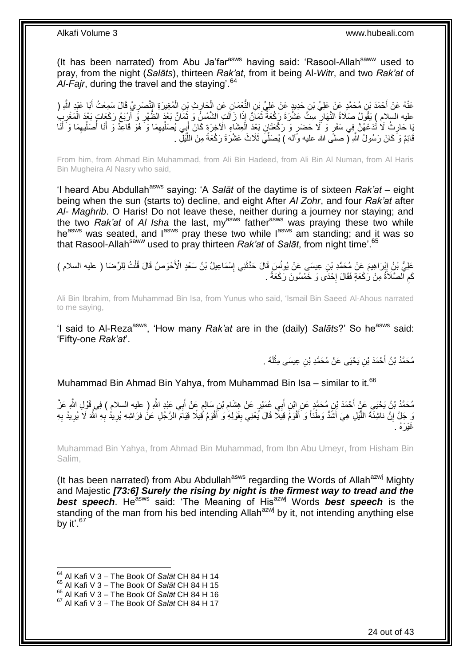(It has been narrated) from Abu Ja'far<sup>asws</sup> having said: 'Rasool-Allah<sup>saww</sup> used to pray, from the night (*Salāts*), thirteen *Rak'at*, from it being Al-*Witr*, and two *Rak'at* of Al-Fajr, during the travel and the staving<sup>64</sup>

عَنْهُ عَنْ أَحْمَدَ بْنِ مُحَمَّدٍ عَنْ عَلِيِّ بْنِ حَدِيدٍ عَنْ عَلِيٍّ بْنِ النُّعْمَانِ عَنِ الْحَارِثِ بْنِ الْمُغِيرَةِ التَّصْرِيِّ قَالَ سَمِعْتُ أَبَا عَبْدِ الثَّهِ ( َ َ ِ ْ ֦֧֦֧ ْ ِ عليه السلام ) يَقُولُ صَلَاةُ النَّهَارِ سِتَّ عَشْرَةَ رَكْعَةٌ ثَمَانٌ إِذَا زَالَتٍ الشَّمْسُ وَ ثَمَانٌ بَعْدَ الظُّهْرِ وَ أَرْبَعُ رَكَعَاتٍ بَعْدَ الْمَغْرِبِ ۖ َ ة<br>أ ِ َ ْ َبِا حَارِثُ لَا تُدَعْهُنَّ فِي سَفَرٍ وَ لَا حَضَرٍ وَ رَكْعَتَانٍ بَعْدَ الْعِشَاءِ الْأَخِرَةِ كَانَ أَبِي يُصَلِّيهِمَا وَ َهُوَ قَاعِدٌ وَ أَنَا أُصَلِّيهِمَا وَ أَنَا ِ ِّ َ ْ **∶** َ ِ ِّ َ ِّ قَائِمٌ وَ كَانَ رَسُولُ اللَّهِ ( صلَّى الله عليه وَأله ) يُصَلِّّيَ ثَلَاثَ عَشْرَةَ رَكْعَةً مِنَ اللَّيْلِ َّ

From him, from Ahmad Bin Muhammad, from Ali Bin Hadeed, from Ali Bin Al Numan, from Al Haris Bin Mugheira Al Nasry who said,

'I heard Abu Abdullah<sup>asws</sup> saying: 'A *Salāt* of the daytime is of sixteen *Rak'at* – eight being when the sun (starts to) decline, and eight After *Al Zohr*, and four *Rak'at* after *Al- Maghrib*. O Haris! Do not leave these, neither during a journey nor staying; and the two *Rak'at* of *AI Isha* the last, my<sup>asws</sup> father<sup>asws</sup> was praying these two while he<sup>asws</sup> was seated, and  $I^{asws}$  pray these two while  $I^{asws}$  am standing; and it was so that Rasool-Allah<sup>saww</sup> used to pray thirteen *Rak'at* of *Salāt*, from night time'.<sup>65</sup>

عَلِيُّ بْنُِ إِبْرَاهِيمَ عَنْ مُحَمَّدِ بْنِ عِيسَى عَنْ يُونُسٍ قَالَ حَدَّثَنِي إِسْمَاعِيلُ بْنُ سَعْدِ الْأَحْوَصُ قَالَ قُلْتُ لِلرِّضَا ( عليه السلام ) ِ ْ ِ َ كَم الصَّلَاَةُ مِنْ رَكْعَةٍ فَقَالَ إِحْدَى وَ خَمْسُونَ رَكْعَةً . ┆ ِ

Ali Bin Ibrahim, from Muhammad Bin Isa, from Yunus who said, 'Ismail Bin Saeed Al-Ahous narrated to me saying,

'I said to Al-Reza<sup>asws</sup>, 'How many *Rak'at* are in the (daily) *Salāts*?' So he<sup>asws</sup> said: 'Fifty-one *Rak'at*'.

> مُحَمَّدُ بْنُ أَحْمَدَ بْنِ يَحْيَى عَنْ مُحَمَّدِ بْنِ عِيسَى مِثْلُهُ . لَ **ٔ** َ

Muhammad Bin Ahmad Bin Yahya, from Muhammad Bin Isa – similar to it.<sup>66</sup>

مُحَمَّدُ بْنُ يَحْيَىِ عَنْ أَحْمَدَ بْنِ مُحَمَّدٍ عَنِ ابْنِ أَبِي عُمَيْرٍ عَنْ هِشَامِ بْنِ سَالِمٍ عَنْ أَبِي عَبْدِ اللَّهِ ( عليه السلام ) فِي قَوْلِ اللَّهِ عَزَّ َ ֧֖֧֚֚֓֝֘֝֝ ِ َ َ نَ جَلَّ إِنَّ نَاشِئَةَ اللَّيْلِ هِيَ أَشَدُّ وَطْنًا وَ أَقْوَمَ قِيَلًا قَالَ يَحْنِي بِقَوْلِهِ وَ أَقْوَمُ قُيلًا فَيَهْنَ الرَّجُلِ عَنْ فِرَاشِهِ يُرِيدُ بِهِ النَّهَ لَا يُرِيدُ بِهِ َ َّ ِ ِ ِ ِ َ ِ **∶** غَيْرَهُ .

Muhammad Bin Yahya, from Ahmad Bin Muhammad, from Ibn Abu Umeyr, from Hisham Bin Salim,

(It has been narrated) from Abu Abdullah<sup>asws</sup> regarding the Words of Allah<sup>azwj</sup> Mighty and Majestic *[73:6] Surely the rising by night is the firmest way to tread and the best speech*. He<sup>asws</sup> said: 'The Meaning of His<sup>azwj</sup> Words *best speech* is the standing of the man from his bed intending Allah<sup>azwj</sup> by it, not intending anything else by it'.  $67$ 

<sup>64</sup> Al Kafi V 3 – The Book Of *Salāt* CH 84 H 14

<sup>65</sup> Al Kafi V 3 – The Book Of *Salāt* CH 84 H 15

<sup>66</sup> Al Kafi V 3 – The Book Of *Salāt* CH 84 H 16

<sup>67</sup> Al Kafi V 3 – The Book Of *Salāt* CH 84 H 17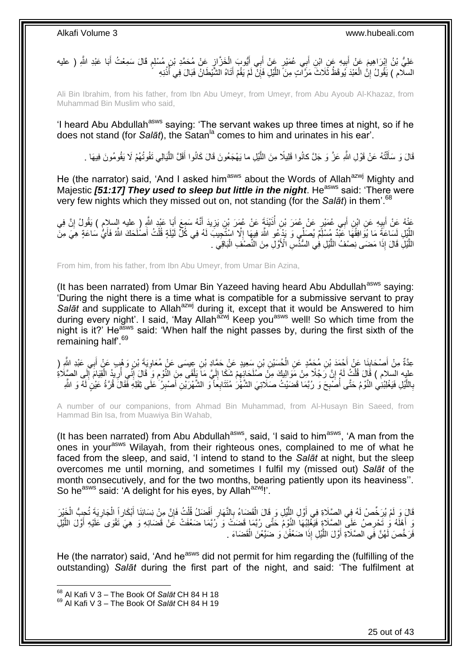ٍ عَلِيُّ بْنُ إِبْرَاهِيمَ عَنْ أَبِيهِ عَنِ ابْنِ أَبِي عُمَيْرٍ عَنْ أَبِي أَيُّوبَ الْخَزَّازِ عَنْ مُحَمَّدِ بْنِ مُسْلِمٍ قَالَ سَمِعْتُ أَبَا عَبْدِ اللَّهِ ( عليه ¦ ْ َ َ َ  $\frac{1}{2}$ َ ِ َ السلّام ) يَقُولُ إِنُّ الْعَبْدَ يُوقَظُ ثَلَاثَ مَرَّ الَّذٍ مِنَّ اللَّيْلِ فَإِنَّ لَمْ يَقُمْ أَتَاهُ الشَّيْطَانِّ فَبَالَ فِي أَذُنِهِ ِ َ ِ َّ ْ

Ali Bin Ibrahim, from his father, from Ibn Abu Umeyr, from Umeyr, from Abu Ayoub Al-Khazaz, from Muhammad Bin Muslim who said,

'I heard Abu Abdullah<sup>asws</sup> saying: 'The servant wakes up three times at night, so if he does not stand (for *Salāt*), the Satan<sup>la</sup> comes to him and urinates in his ear'.

قَالَ وَ سَأَلْتُهُ عَنْ قَوْلِ اللَّهِ عَزَّ وَ جَلَّ كانُوا قَلِيلًا مِنَ اللَّيْلِ ما يَهْجَعُونَ قَالَ كَانُوا أَقَلَّ اللَّيَالِي تَفُوتُهُمْ لَا يَقُومُونَ فِيهَا . مَّةٍ<br>إ ֦֧֦֧֦֧֦֦֧֦֧֦֧֦֧֦֧֦֧֦֧֦֧֦֪֪֪֦֪֪֦֟֟֟֓֕֟֓֟֓֕֟֓֡֟֓֟֓֟֓֟֓֡֟֟֓֡֟֟֓֡֟֓֟֓֡֟֓֞֟֟֓֡֟֓֡֟֓֟֓֟֓֟֓֟֓֟֓֟֓֞֟֟ َ َّ َ

He (the narrator) said, 'And I asked him<sup>asws</sup> about the Words of Allah<sup>azwj</sup> Mighty and Majestic [51:17] They used to sleep but little in the night. He<sup>asws</sup> said: 'There were very few nights which they missed out on, not standing (for the *Salāt*) in them'.<sup>68</sup>

عَذْهُ عَنْ أَبِيهِ عَنِ ابْنِ أَبِي عُمَيْرٍ عَنْ عُمَرَ بْنِ أُذَيْنَةَ عَنْ عُمَرَ بْنِ يَزِيدَ أَنَّهُ سَمِعَ أَبَا عَبْدِ اللَّهِ (عليه السلام ) يَقُولُ إِنَّ فِي<br>وَمَد عَلَيهِ السلام ) عَلَيْهِ مُعَيْنٍ عَنْ عُمَرَ َ َ ِ ُ َ ِ َ ِ اللَّيْلِ لَسَاعَةً مَا يُوَافِقُهَا عَنْدٌ مُسْلَمٌ يُصَلِّي وَ يَدْعُو اللَّهَ فِيهَا إِلَّا اسْتُجِيبَ لَهُ فِي كُلِّ لَيْلَةٍ قُلْتُ أَصْلَحَكَ اللَّهُ فَأَيُّ سَاعَةٍ هِيَ مِنَّ َ ْ ِ َ اللَّذِلِّ قَالَ إِذَا مَضَنَى نِصْفُ اللَّذِلِ فِي السُّنِّسِ الْأَوَّلِ مِنَ النِّصْنَفِ الْبَاقِيَ . ْ َّ

From him, from his father, from Ibn Abu Umeyr, from Umar Bin Azina,

(It has been narrated) from Umar Bin Yazeed having heard Abu Abdullah<sup>asws</sup> saying: 'During the night there is a time what is compatible for a submissive servant to pray Salat and supplicate to Allah<sup>azwj</sup> during it, except that it would be Answered to him during every night'. I said, 'May Allah<sup>azwj</sup> Keep you<sup>asws</sup> well! So which time from the night is it?' He<sup>asws</sup> said: 'When half the night passes by, during the first sixth of the remaining half'.<sup>69</sup>

عِدَّةٌ مِنْ أَصْحَابِنَا عَنْ أَحْمَدَ بْنِ مُحَمَّدٍ عَنِ الْحُسَيْنِ بْنِ سَعِيدٍ عَنْ حَمَّادٍ بْنِ عِيسَى عَنْ مُعَاوِيَةَ بْنِ وَهْبٍ عَنْ أَبِي عَبْدِ الثَّهِ (<br>-**∶** ْ **∣** َ َ عليه السلام ) قَالَ قُلْتُ لَهُم إِنَّ رَجُلًا مِنْ مَوَالِيكَ مِنْ صَلَحَائِهِمْ شَكَا إِلَيَّ مَا يَلْقَى مِنَ النَّوْمِ وَ قَالَ إِنِّي أُرِيدُ الْقِيَامَ إِلَي الصَّلَاةِ<br>بِيَّةٍ: كَيْفَ كَيْفَ مَنْ كَلِّهُمْ إِنَّ رَ יִי, ْ ِ ْ اُ ِ ِ ْ لَ ِ ِ َ بِاللَّيْلِ فَيَغْلِبُنِي النَّوْمُ حَتَّى أُصَّبِحَ وَ رُبَّمَا قَضَيْتُ صَلَاتِيَ الشَّهَْرُ مُتَتَابِعاً وَ الشَّهْرَيْنِ أَصْبِرُ عَلَى ثِقَلِهِ فَقَالَ قُرَّةُ عَيْنٍ لَهُ وَ الثَّم **∶** ا<br>ا َّ **∶** ِ

A number of our companions, from Ahmad Bin Muhammad, from Al-Husayn Bin Saeed, from Hammad Bin Isa, from Muawiya Bin Wahab,

(It has been narrated) from Abu Abdullah<sup>asws</sup>, said, 'I said to him<sup>asws</sup>, 'A man from the ones in your<sup>asws</sup> Wilayah, from their righteous ones, complained to me of what he faced from the sleep, and said, 'I intend to stand to the *Salāt* at night, but the sleep overcomes me until morning, and sometimes I fulfil my (missed out) *Salāt* of the month consecutively, and for the two months, bearing patiently upon its heaviness''. So he<sup>asws</sup> said: 'A delight for his eyes, by Allah<sup>azwj</sup>!'.

قَالَ وَ لَمْ يُرَخِّصْ لَهُ فِي الصَّلَاةِ فِي أَوَّلِ اللَّيْلِ وَ قَالَ الْقَضَاءُ بِالنَّهَارِ أَفْضَلُ قُلْتُ فَإِنَّ مِنْ نِسَائِنَا أَبْكَاراً الْجَارِيَةَ تُحِِبُّ الْخَيْرَ ِ ْ َ ِ ِ ْ َّ َ ْ ِ ْ َ وَ أَهْلَهُ وَ تَحْرِصُ عَلَى اِلصَّلَاةِ فَيَخْلِبُهَا النَّوْمُ حَتَّى رُبَّمَا قَضَنَتْ وَ رُبَّمَا ضَعُفَتْ عَنْ قَضَائِهِ وَ هِيَ تَقْوَى عَلَيْهِ أَوَّلَ اللَّيْلِ **∶** َ َّ َ فَرَخَّصَ لَهُنَّ فِي الصَّلَاةِ أَوَّلَ اللَّيْلِ إِذَا ضَعُفْنَ وَ ضَيَّعْنَ الْقَضَاءَ . اُ ْ َّ

He (the narrator) said, 'And he<sup>asws</sup> did not permit for him regarding the (fulfilling of the outstanding) *Salāt* during the first part of the night, and said: 'The fulfilment at

<sup>68</sup> Al Kafi V 3 – The Book Of *Salāt* CH 84 H 18

<sup>69</sup> Al Kafi V 3 – The Book Of *Salāt* CH 84 H 19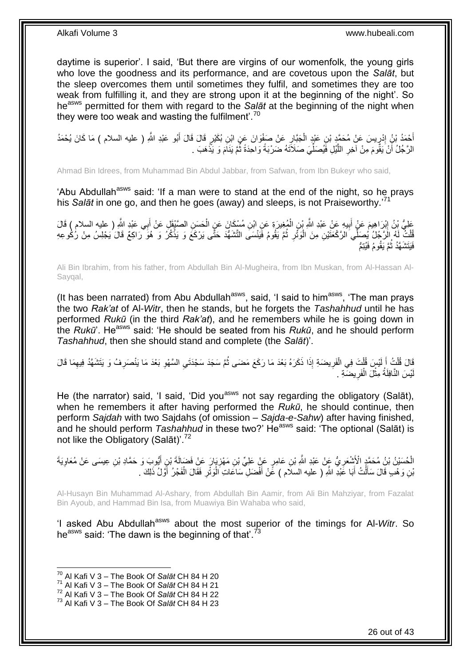daytime is superior'. I said, 'But there are virgins of our womenfolk, the young girls who love the goodness and its performance, and are covetous upon the *Salāt*, but the sleep overcomes them until sometimes they fulfil, and sometimes they are too weak from fulfilling it, and they are strong upon it at the beginning of the night'. So he<sup>asws</sup> permitted for them with regard to the *Salāt* at the beginning of the night when they were too weak and wasting the fulfilment<sup>". 70</sup>

أَحْمَدُ بْنُ إِدْرِيسَ عَنْ مُحَمَّدٍ بْنِ عَيْدٍ الْجَبَّارِ عَنْ صَفْوَانَ عَنِ ابْنِ بُكَيْرٍ قَالَ قَالَ أَبُو عَبْدِ اللَّهِ ( عليه السلام ) مَا كَانَ يُحْمَدُ<br>حَمَلندُ بْنُ إِدْرِيسَ عَنْ مُحَمَّدٍ بْنِ عَيْدٍ الْج ِ יִי (ו َ **∶** ْ الرَّجُلُ أَنْ يَقُومَ مِنْ آخِرِ اللَّيْلِ فَيُصَلِّيَ صَلَاَتَهُ ضَرْبَةً وَاحِدَةً ثُمَّ يَنَامَ وَ يَّذْهَبَ . **ٔ:** اد<br>ا ِّ َّ ِ اُ

Ahmad Bin Idrees, from Muhammad Bin Abdul Jabbar, from Safwan, from Ibn Bukeyr who said,

'Abu Abdullah<sup>asws</sup> said: 'If a man were to stand at the end of the night, so he prays his *Salāt* in one go, and then he goes (away) and sleeps, is not Praiseworthy.' 71

عَلِيُّ بِنُ إِبْرَاهِيمَ عَنٍْ أَبِيهِ عَنْ عَبْدِ اللَّهِ بْنِ الْمُغِيرَةِ عَنِ ابْنِ مُسْكَانَ عَنِ الْحَسَنِ الصَّبْقَلِ عَنْ أَبِي عَبْدِ اللَّهِ ( عليه السلام ) قَالَ<br>وَأَنْهُمْ اللَّهِ الْعَلَيْقِ وَ أَنْ يَعْبُدِ ْ ْ **!** َ َ ُّلْتُ لَهُ الرَّجُلُ يُصَلِّي الرَّكْعَتَيْنِ مِنَ الْوَتُرِ ثُمَّ يَقُومُ فَيَنْسَى النَّشَهُّدَ حَتَّى يَرْكَعَ وَ يَذْكُرُ وَ هُوَ رَاكِعٌ قَالَ يَجْلِسُ مِنْ رُكُوعِهِ ٔ.<br>ـ **∶** :<br>ا ْ ة<br>. فَيَتَشَـهَّدُ ثُمَّ يَقُومُ فَيُتِمُّ ُ

Ali Bin Ibrahim, from his father, from Abdullah Bin Al-Mugheira, from Ibn Muskan, from Al-Hassan Al-Sayqal,

(It has been narrated) from Abu Abdullah<sup>asws</sup>, said, 'I said to him<sup>asws</sup>, 'The man prays the two *Rak'at* of Al-*Witr*, then he stands, but he forgets the *Tashahhud* until he has performed *Rukū* (in the third *Rak'at*), and he remembers while he is going down in the *Rukū*'. He<sup>asws</sup> said: 'He should be seated from his *Rukū*, and he should perform *Tashahhud*, then she should stand and complete (the *Salāt*)'.

َفَالَ قُلْتُ أَ لَيْسٍ قُلْتَ فِي الْفَرِيضَةِ إِذَا ذَكَرَهُ بَعْدَ مَا رَكَعَ مَضَى ثُمَّ سَجَدَ سَجْدَتَيِ السَّهْوِ بَعْدَ مَا يَنْصَرِفُ وَ يَتَشَهَّدُ فِيهِمَا قَالَ ُ ِ ْ ْ لَ َ ْ ِ ِ ِ ِ يْسَ النَّافِلَةُ مِثْلَ الْفَرِيضَةِ . ِ ْ ْ لَ

He (the narrator) said, 'I said, 'Did you<sup>asws</sup> not say regarding the obligatory (Salāt), when he remembers it after having performed the *Rukū*, he should continue, then perform *Sajdah* with two Sajdahs (of omission – *Sajda-e-Sahw*) after having finished, and he should perform *Tashahhud* in these two?' He<sup>asws</sup> said: 'The optional (Salāt) is not like the Obligatory (Salāt)'.<sup>72</sup>

الْحُسَيْنُ بْنُ مُحَمَّدٍ الْأَشْعَرِيُّ عَنْ عَبْدِ اللَّهِ بْنِ عَامِرٍ عَنْ عَلِيٍّ بْنِ مَهْزِيَارَ عَنْ فَضَالَةَ بْنِ أَيُّوبَ وَ حَمَّادِ بْنِ عِيسَى عَنْ مُعَاوِيَةَ َ ِ **∶** ِ بْنِ وَ هْبِ قَالَ سَأَلْتُ أَبَا عََبْدِ اللَّهِ ( عليه السلام ) عََنْ أَفْضَلِ ّسَاعَاتِ الْوَتْرِ فَقَالَ الْفَجْرُ أَوَّلُ ذَلِكَ . **∶** ْ َ َ ْ َ َ ْ

Al-Husayn Bin Muhammad Al-Ashary, from Abdullah Bin Aamir, from Ali Bin Mahziyar, from Fazalat Bin Ayoub, and Hammad Bin Isa, from Muawiya Bin Wahaba who said,

'I asked Abu Abdullah<sup>asws</sup> about the most superior of the timings for Al-Witr. So he<sup>asws</sup> said: 'The dawn is the beginning of that'.<sup>73</sup>

<sup>70</sup> Al Kafi V 3 – The Book Of *Salāt* CH 84 H 20

<sup>71</sup> Al Kafi V 3 – The Book Of *Salāt* CH 84 H 21

<sup>72</sup> Al Kafi V 3 – The Book Of *Salāt* CH 84 H 22

<sup>73</sup> Al Kafi V 3 – The Book Of *Salāt* CH 84 H 23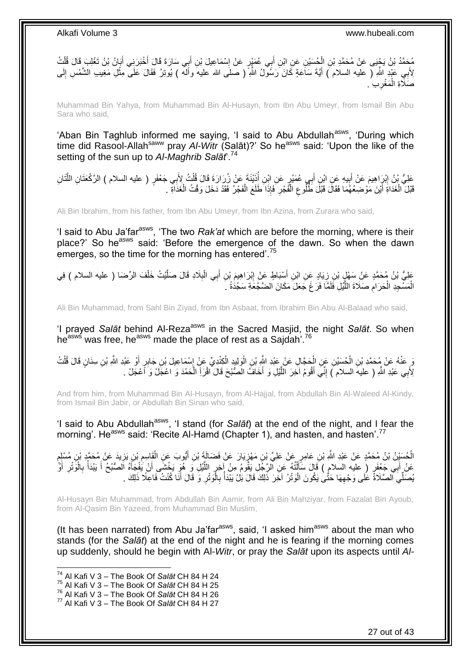َ مُحَمَّدُ بْنُ يَجْبَى عَنْ مُحَمَّدِ بْنِ الْْكُسَيْنِ عَنِ ابْنِ أَبِي عُمَيْرٍ عَنْ إِسْمَاعِيلَ بْنِ أَبِي سَارَةَ قَالَ أَخْبَرَنِي أَبَانُ بْنُ تَغْلِبَ قَالَ قُلْتُ َ ِ َ ْ ْ َ لِأَبِي عَنْدٍ اللَّهِ ( عليه السلام ) أَيَّةَ سَاعَةٍ كَانَ رَسُولُ اللَّهِ ۖ ( صلَّى الله عليه وأللّه ) يُوتِرُ فَقَالَ عَلَى مِثْلِ مَغِيب الشَّمْسِ إِلَى **ٔ** َ لَ ِ صَلَّاةِ الْمَغْرِبِ ۚ . ِ ْ

Muhammad Bin Yahya, from Muhammad Bin Al-Husayn, from Ibn Abu Umeyr, from Ismail Bin Abu Sara who said,

'Aban Bin Taghlub informed me saying, 'I said to Abu Abdullah<sup>asws</sup>, 'During which time did Rasool-Allah<sup>saww</sup> pray Al-Witr (Salāt)?' So he<sup>asws</sup> said: 'Upon the like of the setting of the sun up to *Al-Maghrib Salāt*'.<sup>74</sup>

َعْلِيُّ بِنُ إِبْرَاهِيمَ عَنْ أَبِيهِ عَنِ ابْنِ أَبِي عُمَيْرٍ عَنِ ابْنِ أُذَيْنَهَ عَنْ زُِرَارَةَ قَالَ قُلْتُ لِأَبِي جَعْفَرٍ ( عليه السلام ) الرَّكْعَتَانِ اللَّتَانِ ْ ُ َ **!** َ ِ َّ قَبْلَ الْغَدَاةِ أَيْنَ مَوْضِعُهُمَا فَقَالَ قَبْلَ طَّلُوعِ الْفَجْرِ فَإِذَا طَلَعَ الْفَجْرُ فَقَدْ دَخَلَ وَقْتُ الْغَذَاةِ ْ ْ **∶** ْ ِ َ ْ

Ali Bin Ibrahim, from his father, from Ibn Abu Umeyr, from Ibn Azina, from Zurara who said,

'I said to Abu Ja'far<sup>asws</sup>, 'The two *Rak'at* which are before the morning, where is their place?' So he<sup>asws</sup> said: 'Before the emergence of the dawn. So when the dawn emerges, so the time for the morning has entered<sup>'.75</sup>

ِ عَلِيُّ بْنُ مُحَمَّدٍ عَنْ سَهْلٍ بْنِ زِيَادٍ عَنِ ابْنِ أَسْبَاطٍ عَنْ إِبْرَاهِيمَ بْنِ أَبِي الْبِلَادِ قَالَ صَلَّيْتُ خَلْفَ الرِّضَا ( عليه السلام ) فِي َ **∶** ْ َّ **∶** ْ َ الْمَسْجِدِ الْحَرَ امِ صَلَاةَ اللَّيْلِ فَلَمَّا فَرَغَ جَعَلَ مَكَانَ الضَّجْعَةِ سَجْدَةً ۚ ۚ َّ ِ ْ ْ

Ali Bin Muhammad, from Sahl Bin Ziyad, from Ibn Asbaat, from Ibrahim Bin Abu Al-Balaad who said,

'I prayed *Salāt* behind Al-Reza<sup>asws</sup> in the Sacred Masjid, the night *Salāt*. So when he<sup>asws</sup> was free, he<sup>asws</sup> made the place of rest as a Sajdah<sup>'.76</sup>

وَ عَنْهُ عَنْ مُحَمَّدِ بْنِ الْحُسَيْنِ عَنِ الْحَجَّالِ عَنْ عَبْدِ اللَّهِ بْنِ الْوَلِيدِ الْكِنْدِيِّ عَنْ إِسْمَاعِيلَ بْنِ جَابِرٍ أَوْ عَبْدِ اللَّهِ بْنِ سِنَانٍ قَالَ قُلْتُ ْ ْ ْ َ ∣∣<br>∶ ْ ْ لِأَبِي عَبْدِ اللَّهِ ( عليهَ السلام َ) إِنِّي أَقُومُ آخِرَ اللَّيْلِ وَ أَخَافُ الصُّبْحَ قَالَ اقْرَأِ الْحَمْدَ وَ اعْجَلْ وَ أَعْجَلْ . ْ َّ َ ِ َ

And from him, from Muhammad Bin Al-Husayn, from Al-Hajjal, from Abdullah Bin Al-Waleed Al-Kindy, from Ismail Bin Jabir, or Abdullah Bin Sinan who said,

'I said to Abu Abdullah<sup>asws</sup>, 'I stand (for Salat) at the end of the night, and I fear the morning'. He<sup>asws</sup> said: 'Recite Al-Hamd (Chapter 1), and hasten, and hasten'.<sup>77</sup>

الْحُسَيْنُ بْنُ مُحَمَّدٍ عَنْ عَبْدِ اللَّهِ بْنِ عَامِرٍ عَنْ عَلِيِّ بْنِ مَهْزِيَارَ عَنْ فَضَالَةَ بْنِ أَيُّوبَ عَنِ الْقَاسِمِ بْنِ يَزِيدَ عَنْ مُحَمَّدٍ بْنِ مُسْلِمٍ َ ِ ْ ֧֖֖֧֖֖֖֧֧֧֧֧ׅ֧֧֧֧ׅ֧֚֚֚֚֝֝֟֓֝֓֝֓֝֓֟֓֝֬֝֓֝֬֝֓֟֓֬֝֓֝֬֜֝֓֝֬֜֓֝֬֜֝֬֜֓֝֬ ¦ ِ ْ عَنْ أَبِي جَعْفَرٍ ( عليه السلام ) قَالَ سَأَأَتُهُ عَنِ ٱلرَّجُلِ يَقُومُ مِنْ آخِرٍ اللَّيْلِ وَ هُوَ يَخْشَى أَنْ يَفْجَأَهُ الصُّبْحُ أَ يَبْدَأُ بِالْوَنْرِ أَوْ َ َ َّ ِ ֦֧֦֧֦֧֦֧֦֦֧֦֧֦֧֦֧֦֧֦֧֦֧֦֧֦֧֦֧֦֧֦֧֦֧֦֧֦֧֦֧֧֧֦֧֧֧֧֧֧֧֧֧֧֘֝֟֟֟֟֟֟֟֟֟֕֟֟֟֟֘֟֟֓֟֓֟֓֟֓֞֟֟֓֟֓֟֩֓֟֓֟֩֓֝֬֝֬֞֝֬֝֬֟֩֩<br>֧ׅ֧ׅ֧ׅ֧ׅ֧֛֪֦֧֪֧֪֧֦֧֦֪֧֪֧֛֜֜֜֜֜֝֝֬֞֟֩֞֬֟֝֬֞֟֩֞֬֜ َ َ ِ ْ ِ ُ َ ُصَلِّيَ الصَّلَاةَ عَلَى وَجْهِهَا حَتَّىٰ يَكُونَ الْوَتْرُ ۚ آخَِرَ ذَلِكَ قَالَ بَلْ يَبْدَأُ بِالْوَتْرِ وَ قَالَ أَنَا كُنْتُ فَاعِلًا ذَلِكَ ۚ ـ ْ **∶** ْ ِ َ ِ

Al-Husayn Bin Muhammad, from Abdullah Bin Aamir, from Ali Bin Mahziyar, from Fazalat Bin Ayoub, from Al-Qasim Bin Yazeed, from Muhammad Bin Muslim,

(It has been narrated) from Abu Ja'far $a$ <sup>asws</sup>, said, 'I asked him $a$ <sup>asws</sup> about the man who stands (for the *Salāt*) at the end of the night and he is fearing if the morning comes up suddenly, should he begin with Al-*Witr*, or pray the *Salāt* upon its aspects until *Al-*

- <sup>75</sup> Al Kafi V 3 The Book Of *Salāt* CH 84 H 25
- <sup>76</sup> Al Kafi V 3 The Book Of *Salāt* CH 84 H 26

<sup>74</sup> Al Kafi V 3 – The Book Of *Salāt* CH 84 H 24

<sup>77</sup> Al Kafi V 3 – The Book Of *Salāt* CH 84 H 27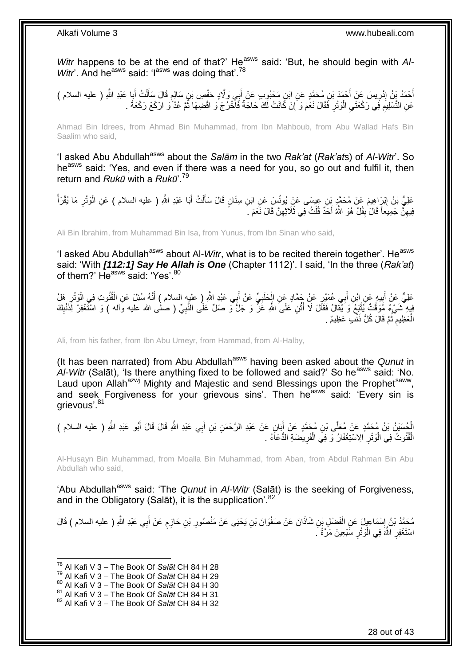Witr happens to be at the end of that?' He<sup>asws</sup> said: 'But, he should begin with Al-*Witr*'. And he<sup>asws</sup> said: 'I<sup>asws</sup> was doing that'.<sup>78</sup>

ْ أَحْمَدُ يْنُ إِدْرِيسَ عَنِْ أَحْمَدَ بْنِ مُحَمَّدٍ عَنِ ابْنِ مَحْبُوبِ عَنْ أَبِي وَلَّادٍ حَفْصِ بْنِ سَالِمِ قَالَ سَأَلْتُ أَبَا عَبْدِ اللَّهِ ( عليه السلام ) ĺ ٍ َ ِ ِ َ َ عَنِ التَّسْلِيمِ فِي رَكْعَتَيِ الْوَتْرِ فَقَالَ نَعَمْ وَ إِنْ كَانَتْ لَكَ حَاجَةٌ فَالْحُرُجْ وَ اقْضِهَا ثُمَّ عُذُ وَ ارْكَعْ رَكْعَةً . ُ ِ ِ ْ ِ ِ

Ahmad Bin Idrees, from Ahmad Bin Muhammad, from Ibn Mahboub, from Abu Wallad Hafs Bin Saalim who said,

'I asked Abu Abdullah<sup>asws</sup> about the *Salām* in the two *Rak'at* (*Rak'ats*) of *Al-Witr*'. So he<sup>asws</sup> said: 'Yes, and even if there was a need for you, so go out and fulfil it, then return and *Rukū* with a *Rukū*'.<sup>79</sup>

عَلِيُّ بْنُ إِبْرَاهِيمَ عَنْ مُحَمَّدٍ بِْنِ عِيسَى عَنِْ يُونُسَ عَنِ ابْنِ سِنَانٍ قَالَ سَأَلْتُ أَبَا عَبْدِ اللَّهِ ( عليه السلام ) عَنِ الْوَتْرِ مَا يُقْرَأُ **ֽוּ** ُ ِ ْ َ ْ ĺ فِيهِنَّ جَمِيعاً قَالَ ٰبِقُلْ هُوَ اللَّهُ أَحَدٌ قُلْتُ فِي ثَلَاثِهِنَّ قَالَ نَعَمْ . ِ ْ **ِ** ِ

Ali Bin Ibrahim, from Muhammad Bin Isa, from Yunus, from Ibn Sinan who said,

'I asked Abu Abdullah<sup>asws</sup> about Al-*Witr*, what is to be recited therein together'. He<sup>asws</sup> said: 'With *[112:1] Say He Allah is One* (Chapter 1112)'. I said, 'In the three (*Rak'at*) of them?' He<sup>asws</sup> said: 'Yes'.<sup>80</sup>

عَلِيٌّ عَنْ أَبِيهٍ عَنِ ابْنِ أَبِي عُمَيْرٍ عَنْ جَمَّادٍ عَنِ الْحَلَبِيِّ عَنْ أَبِي عَبْدِ اللَّهِ ( عليه السلام ) أَنَّهُ سُئِلَ عَنِ الْقُنُوتِ فِي الْوَتْرِ هَلْ ِ ْ َ َ ِ ْ َ ِ ْ فِيهِ ۖ شَيْءٌ مَوَقَّتٌ يُتَّنِعُ وَ يُفَالُ فَقَالَ لَا أَثْنِ عَلَى اللَّهِ عَنَّ وَ جَلَّ وَ صَلِّ عَلَى النَّبِيِّ ( صلٰى الله عليه وآله ) وَ اسْتَغْفِرْ لِذَنْبِكَ ْ َ ِ ِ الْعَظِيمِ ثُمَّ قَالَ كُلُّ ذَنْبٍ عَظِيمٌ . ُ ِ ْ

Ali, from his father, from Ibn Abu Umeyr, from Hammad, from Al-Halby,

(It has been narrated) from Abu Abdullah<sup>asws</sup> having been asked about the *Qunut* in Al-Witr (Salāt), 'Is there anything fixed to be followed and said?' So he<sup>asws</sup> said: 'No. Laud upon Allah<sup>azwj</sup> Mighty and Majestic and send Blessings upon the Prophet<sup>saww</sup>, and seek Forgiveness for your grievous sins'. Then he<sup>asws'</sup> said: 'Every sin is arievous'.<sup>81</sup>

الْحُسَيْنُ بْنُ مُحَمَّدٍ عَنْ مُعَلَّى بْنِ مُحَمَّدٍ عَنْ أَبَانٍ عَنْ عَبْدِ الرَّحْمَنِ بْنِ أَبِي عَبْدِ الثَّهِ قَالَ قَالَ أَبُو عَبْدِ الثَّهِ ( عليه السلام )<br>'' َ َ َ الْقُنُوتُ فِي الْوَتْرِ الِاسْتِغْفَارُ وَ فِيَ الْفَرِيضَةِ الدُّعَاَءُ . ِ ْ ِ ْ :<br>ا

Al-Husayn Bin Muhammad, from Moalla Bin Muhammad, from Aban, from Abdul Rahman Bin Abu Abdullah who said,

'Abu Abdullah<sup>asws</sup> said: 'The *Qunut* in *Al-Witr* (Salāt) is the seeking of Forgiveness, and in the Obligatory (Salāt), it is the supplication'.<sup>82</sup>

مُحَمَّدُ بْنُ إِسْمَاعِيلَ عَنِ الْفَضْلِ بْنِ شَاذَانَ عَنْ صَفْوَانَ بْنِ يَحْيَى عَنْ مَنْصُورِ بْنِ حَازِمٍ عَنْ أَبِي عَبْدِ اللَّهِ ( عليه السلام ) قَالَ َ ֧֧֧֖֧֧֧֧֦֧֧֧֚֓֝֬֝֝֓֝֬֟֓֟֓֓֝֓֝֬֝֓֝֓֟֓֟֓֝֬ ِ **ٍ** ْ ِ اسْتَغْفِرِ اللَّهَ فِي الْوَتْرِ سَبْعِينَ مَرَّةً َ. ِ ْ ِ

- <sup>79</sup> Al Kafi V 3 The Book Of *Salāt* CH 84 H 29
- <sup>80</sup> Al Kafi V 3 The Book Of *Salāt* CH 84 H 30
- <sup>81</sup> Al Kafi V 3 The Book Of *Salāt* CH 84 H 31

<sup>78</sup> Al Kafi V 3 – The Book Of *Salāt* CH 84 H 28

<sup>82</sup> Al Kafi V 3 – The Book Of *Salāt* CH 84 H 32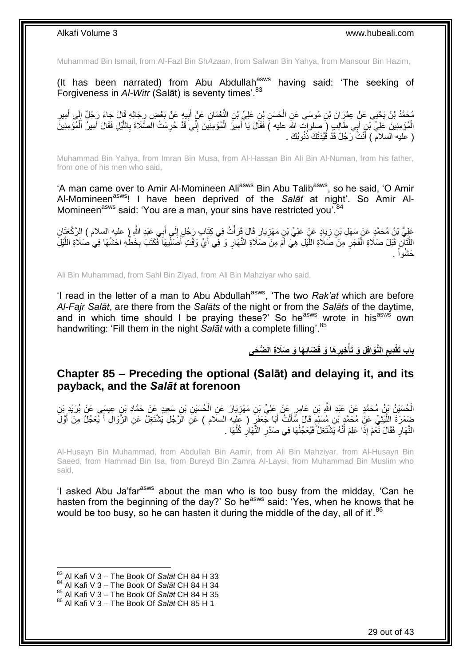Muhammad Bin Ismail, from Al-Fazl Bin Sh*Azaan*, from Safwan Bin Yahya, from Mansour Bin Hazim,

(It has been narrated) from Abu Abdullah<sup>asws</sup> having said: 'The seeking of Forgiveness in *Al-Witr* (Salāt) is seventy times<sup>'.83</sup>

مُحَمَّدُ بْنُ يَحْيَى عَنِّ عِمْرَِانَ بْنِ مُوسَى عَنِ الْحَسَنِ بْنِ عَلِيٍّ بْنِ النَّعْمَانِ عَنْ أَبِيهِ عَنْ بَعْضِ رِجَالِهِ قَالَ جَاءَ رَجُلٌ إِلَى أَمِيرِ<br>\*\*\* ْ ِ أَ ِ ِ ِ َ الْمُؤْمِنِينَ عَلِيِّ ۚ بْنٍ أَبِي طَالِبٍ (ِ صلوات الله عليه ) فَقَالَ يَا أَمِيرَ الْمُؤْمِنِينَ إِنِّي قَدْ حُرِمْتُ الصَّلَاةَ بِاللَّيْلِ فَقَالَ أَمِيرُ اَلْمُؤْمِنِينَ ِ ِ ْ َ َ ْ َ َّ ِ ( عليه السلام ) أَنْتَ رَجُلٌ قَدْ قُيَّدَتْكَ ذُنُوبُكَ . َ

Muhammad Bin Yahya, from Imran Bin Musa, from Al-Hassan Bin Ali Bin Al-Numan, from his father, from one of his men who said,

'A man came over to Amir Al-Momineen Ali<sup>asws</sup> Bin Abu Talib<sup>asws</sup>, so he said, 'O Amir Al-Momineenasws! I have been deprived of the *Salāt* at night'. So Amir Al-Momineen<sup>asws</sup> said: 'You are a man, your sins have restricted you'.<sup>84</sup>

عَلِيُّ بْنُ مُحَمَّدٍ عَنْ سَهْلِ بْنِ زِيَادٍ عَنٍْ عَلِيٍّ بْنِ مَهْزِيَارَ قَالَ قَرَأْتُ فِي كِتَابٍ رَجُلٍ إِلَىٍ أَبِي عَبْدِ اللَّهِ إِ عليهِ السلام ) الرَّكْعَتَانِ ة<br>أ ِ ِ َ ِ اللَّتَانِ قَبْلَ صَلَاةِ الْفَجْرِ مِنْ صَلَاةِ اللَّيْلِ هِيَ أَمْ مِنْ صَلَاةِ النَّهَارِ وَ فَى أَيٍّ وَقْتٍ أُصَلِّيهَا فَكَتَبَ بِخَطِّهِ احْشُهَا فِي صَلَاةِ اللَّيْلِ ِّ :<br>ا َ **∶** َ َّ **∶** ْ َّ َّ ِ حَشْواً .

Ali Bin Muhammad, from Sahl Bin Ziyad, from Ali Bin Mahziyar who said,

'I read in the letter of a man to Abu Abdullah<sup>asws</sup>, 'The two *Rak'at* which are before *Al-Fajr Salāt*, are there from the *Salāts* of the night or from the *Salāts* of the daytime, and in which time should I be praying these?' So he<sup>asws</sup> wrote in his<sup>asws</sup> own handwriting: 'Fill them in the night *Salāt* with a complete filling'.<sup>85</sup>

> **َضائِ َها َو َصَال ِة ال ُّض َحى َها َو قَ ِخير ِل َو َتأ الَّنَوافِ ِديم باب َتقْ ِ ْ ِ**

### <span id="page-28-0"></span>**Chapter 85 – Preceding the optional (Salāt) and delaying it, and its payback, and the** *Salāt* **at forenoon**

الْحُسَيْنُ بِنُ مُحَمَّدٍ عَنْ عَبْدِ اللَّهِ بْنِ عَامِرٍ عَنْ عَلِيِّ بْنِ مَهْزِيَارَ عَنِ الْحُسَيْنِ بْنِ سَعِيدٍ عَنْ حَمَّادِ بْنِ عِيسَى عَنْ بُرَيْدِ بْنِ ْ **∶** ِّضَمْرَةَ اللَّيْثِيِّ عَنِْ مُحَمَّدٍ بْنِ مُسْلِمٍ قَالَ سَأَلْتُ أَبَا جَعْفَرٍ ( عَلِيه السلام ) عَنِ الزَّجْلِ يَشْتَغِلُ عَنِ الزَّوَالِ أَ يُعَجِّلُ مِنْ أَوَّلِ َ ْ َ ٍ َّ َ َ النَّهَارِ فَقَالَ نَعَمْ إِذَا عَلِمَ أَنَّهُ يَشْتَغِلُّ فَيُعَجِّلُهَا فِي صَدْرِ النَّهَارِ كُلُّهَا . ُ َ ِ َّ ِ ِ

Al-Husayn Bin Muhammad, from Abdullah Bin Aamir, from Ali Bin Mahziyar, from Al-Husayn Bin Saeed, from Hammad Bin Isa, from Bureyd Bin Zamra Al-Laysi, from Muhammad Bin Muslim who said,

'I asked Abu Ja'far<sup>asws</sup> about the man who is too busy from the midday, 'Can he hasten from the beginning of the day?' So he<sup>asws</sup> said: 'Yes, when he knows that he would be too busy, so he can hasten it during the middle of the day, all of it'.<sup>86</sup>

 $\overline{a}$ 

85 Al Kafi V 3 – The Book Of *Salāt* CH 84 H 35

<sup>83</sup> Al Kafi V 3 – The Book Of *Salāt* CH 84 H 33

<sup>84</sup> Al Kafi V 3 – The Book Of *Salāt* CH 84 H 34

<sup>86</sup> Al Kafi V 3 – The Book Of *Salāt* CH 85 H 1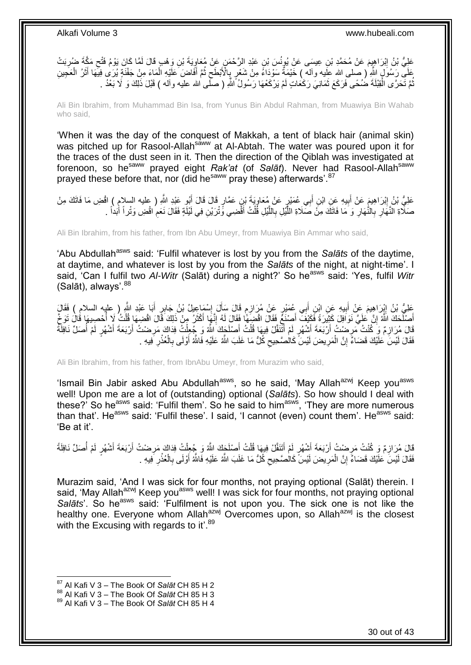عَلِيُّ بْنُ إِبْرَاهِيِمَ عَنْ مُحَمَّدِ بْنِ عِيسَى عَنْ يُونُسَ بْنِ عَبْدِ الرَّحْمَنِ عَنْ مُعَاوِيَةَ بْنِ وَهْبٍ قَالَ لَمَّا كَانَ يَوْمُ فَتْحٍ مَكَّةً ضُرِيَتْ **ֽו** ِ ِ ِ ِّهَ رَسُولٍ الثَّهِ ( صلى الله علِّيه وآله ) خَيْمَةٌ سَوْدَاءُ مِنْ شَعْرٍ بِالْأَبْطَحِ ثُمَّ أَفَاضَ عَلَّيْهِ الْمَاءَ مِنْ جَفْنَةٍ يُرَى فِيهَا أَثَرُ الْعَجِينِ ْ َ ُ ِ ِ ْ َ َ ُّمَّ تَحَرَّى الْقِبْلَةَ ضُمَّـى فَرَكَعَ ثَمَانِيَ رَكْعَاتٍ لَمْ يَرْكَعْهَا رَسُولُ اللَّهِ ( صَلَّـى الله عليه وآله ) قَبْلَ ذَلِكَ وَ لَا بَعْدُ . ٌٔ فی أ<br>أ ُ

Ali Bin Ibrahim, from Muhammad Bin Isa, from Yunus Bin Abdul Rahman, from Muawiya Bin Wahab who said,

'When it was the day of the conquest of Makkah, a tent of black hair (animal skin) was pitched up for Rasool-Allah<sup>saww</sup> at Al-Abtah. The water was poured upon it for the traces of the dust seen in it. Then the direction of the Qiblah was investigated at forenoon, so he<sup>saww</sup> prayed eight *Rak'at* (of *Salāt*). Never had Rasool-Allah<sup>saww</sup> prayed these before that, nor (did he<sup>saww</sup> pray these) afterwards'.<sup>87</sup>

عَلِيُّ بْنُ إِبْرَاهِيمَ عَنْ أَبِيهِ عَنِ ابْنِ أَبِي عُمَيْرٍ عَنْ مُعَاوِيَةَ بْنٍ عَمَّارٍ قَالَ قَالَ أَبُو عَبْدِ اللَّهِ ( عليه السلام ) افْضِ مَا فَاتَكَ مِنْ َ <u>،</u> َ **!** َ صَلَّاةِ النَّهَارِ بِالنَّهَارِ وَ مَا فَاتَكَ مِنْ صَلَاةِ اللَّيْلِ بِاللَّيْلِ قُلْتُ أَقْضِي وَنْرَيْنِ فِي لَيْلَةٍ فَقَالَ نَعَمِ اقْضِ وَنْر أَ أَبَداً . َ ْ َّ ِ َّ **∶** ِ **∶** أ  $\ddot{\phantom{a}}$ 

Ali Bin Ibrahim, from his father, from Ibn Abu Umeyr, from Muawiya Bin Ammar who said,

'Abu Abdullah<sup>asws</sup> said: 'Fulfil whatever is lost by you from the *Salāts* of the daytime, at daytime, and whatever is lost by you from the *Salāts* of the night, at night-time'. I said, 'Can I fulfil two Al-Witr (Salāt) during a night?' So he<sup>asws</sup> said: 'Yes, fulfil Witr (Salāt), always'.<sup>88</sup>

َعْلِيُّ بْنُ إِيْرَاهِيمَ عَنْ أَبِيهِ عَنِ ابْنِ أَبِي عُمَيْرٍ عَنْ مُرَازِمٍ قَالَ سَأَلَ إِسْمَاعِيلُ بْنُ جَابِرٍ أَبَا عَبْدِ اللَّهِ ( عِلْيه السلام ) فَقَالَ َ **!** َ !י َ ِ َ ֧֠<sup>֓</sup>֧֓׆ ِ أَصَلَّحَكَ اللَّهُ ۚ إِنَّ عَلَيَّ نَوَافِلَ كَثِيْرَةً فَكَيْفَ ۖ أَصِنْعُ فَقَالَ اقْضِهِمَّا فَقَالَ لَهُ إِنَّهَا أَكْثَرُ مِنْ ذَلِكَ قَالَ اقْضِهَا فُلْتُ لَا أُحْضِيهَا قُالَ تَوَجَّ َ َ ِ ِ ا<br>ا ْ ْفَالَ مُرَازِمٌ وَ كُنْتُ مَرِضْتُ أَرْبَعَةَ أَشْهُرٍ لَمْ أَتَّنَفَّلْ فِيهَا قُلْتُ أَصْلَحَكَ اللَّهُ وَ جُعِلْتُ فِذَاكَ مَرِضْتُ أَرْبَعَةَ أَشْهُرٍ لَمْ أُصَلِّ نَافِلَّةً ْ َ ْ َ َ َ ِ **∶** ُ َ َ ِ فَقَالَ لَيْسَ عَلَيْكَ قَضَاءً إِنَّ الْمَرِيضَ لَيْسَ كَالْصَّحِيحِ كُلُّ مَا غَلَبَ اللَّهُ عَلَيْهِ فَاللَّهُ أَوْلَى بِالْعُذْرِ فِيهِ . ِ ْ יֲ<br>י ِ **ٔ** ْ ِ َ  $\zeta$ 

Ali Bin Ibrahim, from his father, from IbnAbu Umeyr, from Murazim who said,

'Ismail Bin Jabir asked Abu Abdullah<sup>asws</sup>, so he said, 'May Allah<sup>azwj</sup> Keep you<sup>asws</sup> well! Upon me are a lot of (outstanding) optional (*Salāts*). So how should I deal with these?' So heasws said: 'Fulfil them'. So he said to himasws, 'They are more numerous than that'. He<sup>asws</sup> said: 'Fulfil these'. I said, 'I cannot (even) count them'. He<sup>asws</sup> said: 'Be at it'.

ْفَالَ مُرَازِمٌ وَ كُنْتُ مَرِضْتُ أَرْبَعَةَ أَشْهُرٍ لَمْ أَتَنَفَّلْ فِيهَا قُلْتُ أَصْلَحَكَ اللَّهُ وَ جُعِلْتُ فِدَاكَ مَرِضْتُ أَرْبَعَةَ أَشْهُرٍ لَمْ أَصَلِّ نَافِلَةً ْ َ ْ َ َ َ ِ **∶** ُ َ َ ِ فَقَالَ لَيْسَ عَلَيْكَ قَضَاءٌ إِنَّ الْمَرِيضَ لَيْسَ كَالْصَّحِيحِ كُلُّ مَا غَلَبَ اللَّهُ عَلَيْهِ فَاللَّهُ أَوْلَى بِالْعُذْرِ فِيهِ . ِ ْ ِ **∶ ٔ** ْ ِ َ  $\zeta$ 

Murazim said, 'And I was sick for four months, not praying optional (Salāt) therein. I said, 'May Allah<sup>azwj</sup> Keep you<sup>asws</sup> well! I was sick for four months, not praying optional Salats'. So he<sup>asws</sup> said: 'Fulfilment is not upon you. The sick one is not like the healthy one. Everyone whom Allah<sup>azwj</sup> Overcomes upon, so Allah<sup>azwj</sup> is the closest with the Excusing with regards to it'.<sup>89</sup>

<sup>87</sup> Al Kafi V 3 – The Book Of *Salāt* CH 85 H 2

<sup>88</sup> Al Kafi V 3 – The Book Of *Salāt* CH 85 H 3

<sup>89</sup> Al Kafi V 3 – The Book Of *Salāt* CH 85 H 4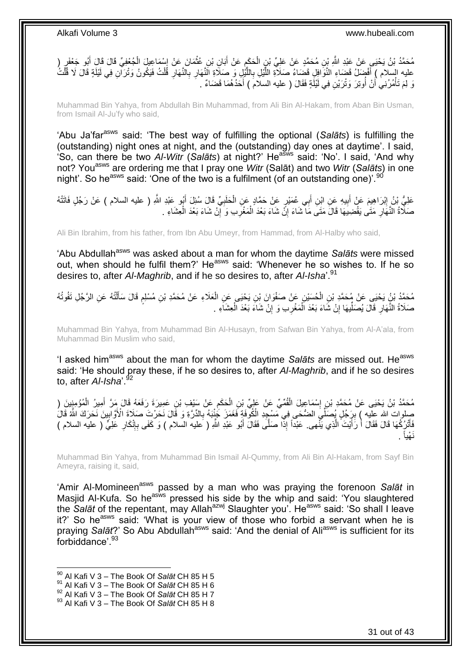مُحَمَّدُ بْنُ يَحْيَى عَنْ عَبْدِ اللَّهِ بِْنِ مُحَمَّدٍ عَنْ عَلِيِّ بْنِ الْحَكَمِ عَنْ أَبَانِ بْنِ عُثْمَانَ عَنْ إِسْمَاعِيلَ الْجُعْفِيِّ قَالَ قَالَ أَبُو جَعْفَرٍ ( ِ **ٔ** َ **∶** ْ َ ْ َّ عليه السلام ) أَفْضِلَ قَضاءِ النَّوَافِلِ قَضَاءُ صَلاَةِ اللَّيْلِ بِاللَّيْلِ وَ صَلَاةِ النَّهَارِ بِالنَّهَارِ فَلْتُ فَيَكُونُ وَتُرَاّنِ فِي لَيْلَةٍ قَالَ لَا قُلْتُ ِ َّ ِ ِ رَ لِمَ تَأْمُرُنِي أَنْ أُوتِرَ وَتْرَيْنِ فِي لَيْلَةٍ فَقَالَ ( عليه السلام ) أَحَدُهُمَا قَضَاءٌ . َ ُ اً ْ

Muhammad Bin Yahya, from Abdullah Bin Muhammad, from Ali Bin Al-Hakam, from Aban Bin Usman, from Ismail Al-Ju'fy who said,

'Abu Ja'farasws said: 'The best way of fulfilling the optional (*Salāts*) is fulfilling the (outstanding) night ones at night, and the (outstanding) day ones at daytime'. I said, 'So, can there be two Al-Witr (Salats) at night?' He<sup>asws</sup> said: 'No'. I said, 'And why not? Youasws are ordering me that I pray one *Witr* (Salāt) and two *Witr* (*Salāts*) in one night'. So he<sup>asws</sup> said: 'One of the two is a fulfilment (of an outstanding one)'. <sup>90</sup>

عَلِيُّ بْنُ إِبْرَاهِيمَ عَنْ أَبِيهِ عَنِ ابْنِ أَبِي عُمَيْرٍ عَنْ حَمَّادٍ عَنِ الْحَلَبِيِّ قَالَ سُئِلَ أَبُو عَبْدِ اللَّهِ ( عليه السلام ) عَنْ رَجُلٍ فَاتَتْهُ َ ِ ْ **!** َ ِ صَلَّاةُ النَّهَارِ مَتَى يَقْضِيَهَا قَالَ مَتَى مَا شَاءَ إِنَّ شَاءَ بَعْدَ الْمَغْرِبِ وَ إِنْ شَاءَ بَعْدَ الْعِشَاءِ . ْ ِ ِ ْ ِ **∶** 

Ali Bin Ibrahim, from his father, from Ibn Abu Umeyr, from Hammad, from Al-Halby who said,

'Abu Abdullah<sup>asws</sup> was asked about a man for whom the daytime Salats were missed out, when should he fulfil them?' He<sup>asws</sup> said: 'Whenever he so wishes to. If he so desires to, after *Al-Maghrib*, and if he so desires to, after *Al-Isha*'.<sup>91</sup>

مُحَمَّدُ بْنُ يَحْيَى عَنْ مُحَمَّدِ بْنِ الْحُسَيْنِ عَنْ صَفْوَانَ بْنِ يَحْيَى عَنِ الْعَلَاءِ عَنْ مُحَمَّدِ بْنِ مُسْلِمٍ قَالَ سَأَلْتُهُ عَنِ الرَّجُلِ تَفُوتُهُ ْ اً<br>أ م ْ ْ صَلَاةُ النَّهَارِ قَالَ يُصَلِّيهَا إِنْ شَاءَ بَعْدَ الْمَغْرِبِ وَ إِنْ شَاءَ بَعْدَ الْعِشَاءِ . ْ ِ ِ ْ ِ ِّ ِ

Muhammad Bin Yahya, from Muhammad Bin Al-Husayn, from Safwan Bin Yahya, from Al-A'ala, from Muhammad Bin Muslim who said,

'I asked him<sup>asws</sup> about the man for whom the daytime *Salāts* are missed out. He<sup>asws</sup> said: 'He should pray these, if he so desires to, after *Al-Maghrib*, and if he so desires to, after *Al-Isha*'.<sup>92</sup>

مُحَمَّدُ بْنُ يَحْيَى عَنْ مُحَمَّدِ بْنِ إِسْمَاعِيلَ الْقُمِّيِّ عَنْ عَلِيٍّ بْنِ الْحَكَمِ عَنْ سَيْفِ بْنِ عَمِيرَةَ رَفَعَهُ قَالَ مَرَّ أُمِيرُ الْمُؤْمِنِينَ ( ِ ْ ْ ِ ْ َ صِلوات لله عِلَيه ) بِرَِجُلٍ يُصَلِّيَ الضُّحَى فِي مَسْجِدِ الْكُوَّفَةِ فَغَمَرَ جَٰنْنَهُ بِالدِّرَّةِ وَ قَالَ نَحَرْتَ صَلَاةَ الْأَوَّالِينَ نَحَرَكَ اللَّهُ قَالَ **!** ِ **∶** ْ فَأَتْرُكُهَا قَالَ فَقَالَ أَ رَأَيْتَ الَّذِي يَنَّهى. عَبْداً إِذَّا صَلَّى فَقَالَ أَبُو عَبْدِ اللَّهِ ( عليه السلام ) وَ كَفَى بِإِنْكَارِ عَلِيٍّ ( عليه السلام ) َ َّ َ ا<br>ا َ ∣اٍ ِ ِ . نَـهْياً

Muhammad Bin Yahya, from Muhammad Bin Ismail Al-Qummy, from Ali Bin Al-Hakam, from Sayf Bin Ameyra, raising it, said,

'Amir Al-Momineen<sup>asws</sup> passed by a man who was praying the forenoon Salat in Masjid Al-Kufa. So he<sup>asws</sup> pressed his side by the whip and said: 'You slaughtered the *Salāt* of the repentant, may Allah<sup>azwj</sup> Slaughter you'. He<sup>asws</sup> said: 'So shall I leave it?' So he<sup>asws</sup> said: 'What is your view of those who forbid a servant when he is praying *Salāt*?' So Abu Abdullah<sup>asws</sup> said: 'And the denial of Ali<sup>asws</sup> is sufficient for its forbiddance'.<sup>93</sup>

<sup>90</sup> Al Kafi V 3 – The Book Of *Salāt* CH 85 H 5

<sup>91</sup> Al Kafi V 3 – The Book Of *Salāt* CH 85 H 6

<sup>92</sup> Al Kafi V 3 – The Book Of *Salāt* CH 85 H 7

<sup>93</sup> Al Kafi V 3 – The Book Of *Salāt* CH 85 H 8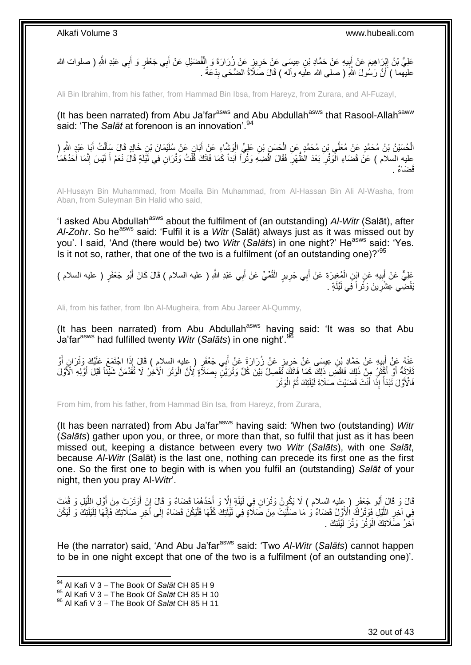عَلِيُّ بْنُ إِبْرَاهِيمَ عَنْ أَبِيهِ عَنْ حَمَّادِ بْنِ عِيسَى عَنْ حَرِيزٍ عَنْ زُرَارَةَ وَ الْفُضَيْلِ عَنْ أَبِي جَعْفَرٍ وَ أَبِي عَبْدِ اللهِ ( صلوات الله َ ْ ِ **!** َ َ عليهما ) أَنَّ رَسُٰولَ اللَّهِ ( صلى الله علَيه وآلمه ) قَالَ صَلَاَةُ الضُّحَى بِدْعَةٌ . ِ اً

Ali Bin Ibrahim, from his father, from Hammad Bin Ibsa, from Hareyz, from Zurara, and Al-Fuzayl,

(It has been narrated) from Abu Ja'far<sup>asws</sup> and Abu Abdullah<sup>asws</sup> that Rasool-Allah<sup>saww</sup> said: 'The *Salāt* at forenoon is an innovation'.<sup>94</sup>

الْحُسَيْنُ بْنُ مُحَمَّدٍ عَنْ مُعَلَّى بْنِ مُحَمَّدٍ عَنِ الْحَسَنِ بْنِ عَلِيٍّ الْوَشَّاءِ عَنْ أَبَانٍ عَنْ سُلَيْمَانَ بْنِ خَالِدٍ قَالَ سَأَلْتُ أَبَا عَبْدٍ الثَّهِ ( َ ْ ْ َ ْ اً ا عليه السلام ) عَنْ قَضَاءِ الْوَنْرِ بَعْدَ الْظُهْرِ فَقَالَ اقْضِهِ وَنْراً أَبَداً كَمَا فَاتَكَ قُلْتُ وَنْرَانِ فِي لَيْلَةٍ قَالَ نَعَمْ أَ لَيْسَ إِنَّمَا أَحَدُهُمَا َ ْ ِ ْ َ ِ لَ َ <sup>َق</sup>ضَاءٌ <sub>.</sub>

Al-Husayn Bin Muhammad, from Moalla Bin Muhammad, from Al-Hassan Bin Ali Al-Washa, from Aban, from Suleyman Bin Halid who said,

'I asked Abu Abdullah<sup>asws</sup> about the fulfilment of (an outstanding) *AI-Witr* (Salāt), after Al-Zohr. So he<sup>asws</sup> said: 'Fulfil it is a *Witr* (Salāt) always just as it was missed out by you'. I said, 'And (there would be) two *Witr* (Salats) in one night?' He<sup>asws</sup> said: 'Yes. Is it not so, rather, that one of the two is a fulfilment (of an outstanding one)?'<sup>95</sup>

عَلِيٌّ عَنْ أَبِيهِ عَنٍ ابْنِ الْمُغِيرَةِ عَنْ أَبِي جَرِيرٍ الْقُمِّيِّ عَنْ أَبِي عَبْدِ اللَّهِ ( عليه السلام ) قَالَ كَانَ أَبُو جَعْفَرٍ ( عليه السلام ) ْ **∣** َ َ َ ْ **∶** يَقْضِي عِشْرِينَ وَثُراً فِي لَيْلَةٍ . ِ

Ali, from his father, from Ibn Al-Mugheira, from Abu Jareer Al-Qummy,

(It has been narrated) from Abu Abdullah<sup>asws</sup> having said: 'It was so that Abu Ja'farasws had fulfilled twenty *Witr* (*Salāts*) in one night'.<sup>96</sup>

عَذْهُ عَنْ أَبِيهِ عَنْ حَمَّادِ بْنِ عِيسَى عَنْ حَرِيزٍ عَنْ زُرَارَةَ عَنْ أَبِي جَعْفَرٍ ( عِليه السلام ) قَالَ إِذَا اجْتَمَعَ عَلَيْكَ وَتْرَانٍ أَوْ<br>بَرَبَةٍ يَسْتَمِي بَعْبَهِ عَنْ حَمَّادِ فَي الْعَلَيْفِ عَنْ خَ َ ِ **∣** َ َ ِ لَادَةٌ أَوَّ أَكْثَرُ مِنْ ذَلِكَ فَاقْضَ ذَلِكَ كَمَا فَاتَكَ تَفْصِلُ بَيْنَ كُلِّ وَثْرَيْنَ بِصَلاَّةٍ لِأَنَّ الْوَتْرَ الْأَخِرُ لَا تُقَدِّمَنَّ شَيْئًا قَبْلَ أَوَّلِهِ الْأَوَل<br>نَاحَةُ أَوْ أَكْثَرُ مِنْ ذَلِكَ ٔ, َ َ َ َ ْ فَالْأَوَّلَ تَبْدَأُ إِذَا أَنْتَ قَضَيْتَ صَلَاةَ لَيْلَتِكَ ثُمَّ الْوَتْرَ ْ .<br>• • • • َ ُ

From him, from his father, from Hammad Bin Isa, from Hareyz, from Zurara,

(It has been narrated) from Abu Ja'far<sup>asws</sup> having said: 'When two (outstanding) *Witr* (*Salāts*) gather upon you, or three, or more than that, so fulfil that just as it has been missed out, keeping a distance between every two *Witr* (*Salāts*), with one *Salāt*, because *Al-Witr* (Salāt) is the last one, nothing can precede its first one as the first one. So the first one to begin with is when you fulfil an (outstanding) *Salāt* of your night, then you pray Al-*Witr*'.

قَالَ وَ قَالَ أَبُو جَعْفَرٍ ( عِليه السلام ) لَا يَكُونُ وَتْرَانِ فِي لَيْلَةٍ إِلَّا وَ أَجَدُهُمَا قَضَاءٌ وَ قَالَ إِنْ أَوْتَرْتَ مِنْ أَوَّلِ اللَّيْلِ وَ قُمْتَ َ َّ َ َ ِ َ  $\frac{1}{2}$ ِ فِي آخِرِ اللَّيْلِ فَوَتْرُكَ الْأَوَّلُ قَضَاءٌ وَ مَا صَلَّيْتَ مِنْ صَلاَةٍ فِي لَيْلَنِكَ كُلِّهَا فَلْيَكُنْ قَضَاءً إِلَى آُخِرِ صَلَاتِكَ فَإِنَّهَا لِلَيْلَتِكَ وَ لْيَكُنْ ْ ِّ َّ َّ ِ ِ **ٍ** ْ أَخِّرُ صَلَاتِكَ الْوَتْرَ وَتْرَ لَيْلَتِكَ <sub>.</sub> ْ

He (the narrator) said, 'And Abu Ja'farasws said: 'Two *Al-Witr* (*Salāts*) cannot happen to be in one night except that one of the two is a fulfilment (of an outstanding one)'.

<sup>94</sup> Al Kafi V 3 – The Book Of *Salāt* CH 85 H 9

<sup>95</sup> Al Kafi V 3 – The Book Of *Salāt* CH 85 H 10

<sup>96</sup> Al Kafi V 3 – The Book Of *Salāt* CH 85 H 11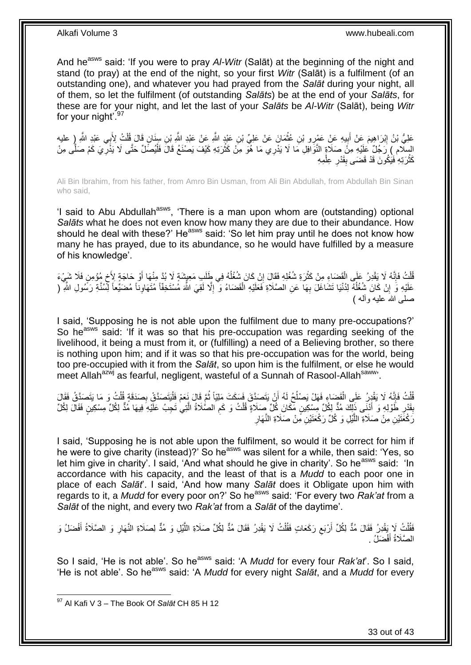And he<sup>asws</sup> said: 'If you were to pray *AI-Witr* (Salat) at the beginning of the night and stand (to pray) at the end of the night, so your first *Witr* (Salāt) is a fulfilment (of an outstanding one), and whatever you had prayed from the *Salāt* during your night, all of them, so let the fulfilment (of outstanding *Salāts*) be at the end of your *Salāts*, for these are for your night, and let the last of your *Salāts* be *Al-Witr* (Salāt), being *Witr* for your night<sup>'.97</sup>

عَلِيُّ بْنُ إِبْرَاهِيمَ عَنْ أَبِيهِ عَنْ عَمْرِو بْنِ عُثْمَانَ عَنْ عَلِيِّ بْنِ عَنْدٍ اللَّهِ عَنْ عَبْدِ اللَّهِ بِّنِ سِنَانٍ قَالَ قُلْتُ لِأَبِي عَبْدِ اللَّهِ ( عليه<br>- يَمْسَلْ الْبَرَاهِيمَ عَنْ أَبِيهِ عَنْ عَ ْ  $\frac{1}{2}$ َ ِ ْ السِلام ) رَجُلٌ عَلَيْهِ مِنْ صَلَاةٍ النَّوَافِلِ مَا لَا يَدْرِي مَا هُوَ مِنْ كَثْرَتِهِ كَيْفَ يَصْنَعُ قَالَ فَلْيُصَلِّ حَتَّى لَا يَذْرِيَ كَمْ صَلَّى مِنْ َّ ِ ْ ْ كَثْرَتِهِ فَيَكُونَ قَدْ قَضَى بِقَدْرِ عِلْمِهِ ْ ِ **∣ ٔ** 

Ali Bin Ibrahim, from his father, from Amro Bin Usman, from Ali Bin Abdullah, from Abdullah Bin Sinan who said,

'I said to Abu Abdullah<sup>asws</sup>, 'There is a man upon whom are (outstanding) optional *Salāts* what he does not even know how many they are due to their abundance. How should he deal with these?' He<sup>asws</sup> said: 'So let him pray until he does not know how many he has prayed, due to its abundance, so he would have fulfilled by a measure of his knowledge'.

ُفْلَتُ فَإِنَّهُ لَا يَقْدِرُ عَلَى الْقَضَاءِ مِنْ كَثْرَةِ شُغُلِهِ فَقَالَ إِنْ كَانَ شُغُلُهُ فِي طَلَبِ مَعِيشَةٍ لَا بُدَّ مِنْهَا أَوْ حَاجَةٍ لِأَخ مُؤمِنٍ فَلَا شَيْءَ ا<br>ا ِ ْ ْ ِ ْ ٍ َ عَلَيْهِ وَ إِنْ كَانَ شُغُلُهٌ لِدُنْيَا تَشَاغَلَ بِهَا عَنِ الصَّلَاةِ فَعَلَيْهِ الْقَضَاءُ وَ ۖ إِلَّا لَقِيَ اللَّهَ مُسْتَخِفًا مُتَهَاوِناً مُضَيِّعاً لِّسُنَّةِ رَسُولِ اللَّهِ ۖ ( ِ ْ ِ ا<br>ا ِ ِ صلَّے، اللهَ عليه و آله )

I said, 'Supposing he is not able upon the fulfilment due to many pre-occupations?' So he<sup>asws</sup> said: 'If it was so that his pre-occupation was regarding seeking of the livelihood, it being a must from it, or (fulfilling) a need of a Believing brother, so there is nothing upon him; and if it was so that his pre-occupation was for the world, being too pre-occupied with it from the *Salāt*, so upon him is the fulfilment, or else he would meet Allah<sup>azwj</sup> as fearful, negligent, wasteful of a Sunnah of Rasool-Allah<sup>saww</sup>.

ْ قُلْتُ فَإِنَّهُ لَا يَقْدِرُ عَلَى الْقَضَاءِ فَهَلْ يَصْلُحُ لَهُ أَنْ يَتَصَدَّقَ فَسَكَتَ مَلِيّاً ثُمَّ قَالَ نَعَمْ فَلْيَتَصَدَّقُ بِصَدَقَةٍ قُلْتُ وَ مَا يَتَصَدَّقُ فَقَالَ ان<br>المقامات اُ ا<br>ـا ْ ِ ْ ْ ِ بِقَدْرِ طَوْلِهِ وَ أَنْنَى ذَلِكَ مُذٌّ لِكُلِّ مِسْكِينٍ مِّكَانَ كُلِّ صَلَاةٍ قُلْتُ وَ كَمِ الصُّلَاةُ الَّتِي تَجِبُ عَلَيْهِ فِيهَا مُدٌّ لِكُلِّ مِسْكِينٍ فَقَالَ لِكُلِّ َ ِ **ِ** َّ ِ ْ ِ رَكْعََتَيْنِ مِنْ صَلَاةِ اللَّيْلِ وَ كُلِّ رَكْعَتَيْنِ مِّنْ صَلَاةِ النَّهَارِ َّ

I said, 'Supposing he is not able upon the fulfilment, so would it be correct for him if he were to give charity (instead)?' So he<sup>asws</sup> was silent for a while, then said: 'Yes, so let him give in charity'. I said, 'And what should he give in charity'. So he<sup>asws</sup> said: 'In accordance with his capacity, and the least of that is a *Mudd* to each poor one in place of each *Salāt*'. I said, 'And how many *Salāt* does it Obligate upon him with regards to it, a *Mudd* for every poor on?' So heasws said: 'For every two *Rak'at* from a *Salāt* of the night, and every two *Rak'at* from a *Salāt* of the daytime'.

فَقُلْتُ لَا يَقْدِرُ فَقَالَ مُدٌّ لِكُلِّ أَرْبَعِ رَكَعَاتٍ فَقُلْتُ لَا يَقْدِرُ فَقَالَ مُدٌّ لِكُلِّ صَلَاةِ اللَّيْلِ وَ مُدٌّ لِصَلَاةِ النَّهَارِ وَ الصَّلَاةُ أَفْضَلُ وَ َّ ْ ِ اُ .<br>ا َ ِ الصَّلَاةُ أَفْضَلُ . َ

So I said, 'He is not able'. So he<sup>asws</sup> said: 'A *Mudd* for every four *Rak'at'*. So I said, 'He is not able'. So he<sup>asws</sup> said: 'A *Mudd* for every night *Salat*, and a *Mudd* for every

33 out of 43

<sup>97</sup> Al Kafi V 3 – The Book Of *Salāt* CH 85 H 12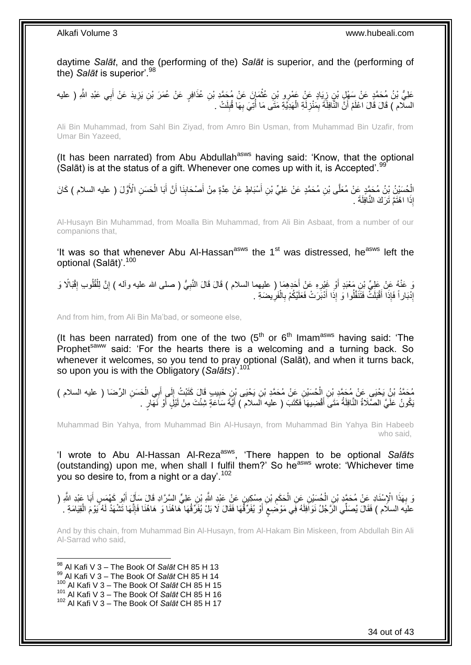daytime *Salāt*, and the (performing of the) *Salāt* is superior, and the (performing of the) *Salāt* is superior'.<sup>98</sup>

عَلِيُّ بْنُ مُحَمَّدٍ عَنْ سَهْلٍ بْنِ زِيَادٍ عَنْ عَمْرِو بْنِ عُثْمَانَ عَنْ مُحَمَّدِ بْنِ عُذَافِرٍ عَنْ عُمَرَ بْنِ يَزِيدَ عَنْ أَبِي عَبْدِ اللَّهِ ( عليه<br>بِدَ يَهْدِي بَيْنَ مُحَمَّدٍ مَثَّلِ بِنَ زِيَادٍ عَنْ ع ِ **ٔ** ِ َ السلّام ) قَالَ قَالَ اعْلَمْ أَنَّ النَّافِلَةَ بِمَنْزِلَةِ الْهَدِيَّةِ مَتَى مَا أَتِيَ بِهَا قُبِلَتْ . **∶** ا<br>ا ْ لَ **∶** ِ ِ

Ali Bin Muhammad, from Sahl Bin Ziyad, from Amro Bin Usman, from Muhammad Bin Uzafir, from Umar Bin Yazeed,

(It has been narrated) from Abu Abdullah<sup>asws</sup> having said: 'Know, that the optional (Salāt) is at the status of a gift. Whenever one comes up with it, is Accepted'.<sup>91</sup>

الْحُسَيْنُ بْنُ مُحَمَّدٍ عَنْ مُعَلَّى بْنِ مُحَمَّدٍ عَنْ عَلِيٍّ بْنِ أَسْبَاطٍ عَنْ عِدَّةٍ مِنْ أَصْحَابِنَا أَنَّ أَبَا الْحَسَنِ الْأَوَّلَ ( عليه السلام ) كَانَ َ َ **!** َ َ ْ إِذَا اهْتَمَّ تَرَكَ النَّافِلَةَ .

Al-Husayn Bin Muhammad, from Moalla Bin Muhammad, from Ali Bin Asbaat, from a number of our companions that,

'It was so that whenever Abu Al-Hassan<sup>asws</sup> the 1<sup>st</sup> was distressed, he<sup>asws</sup> left the optional (Salāt)'.<sup>100</sup>

وَ عَنْهُ عَنْ عَلِيٌّ نِنِ مَعْبَدٍ أَوْ غَيْرِهِ عَنْ أَحَدِهِمَا ( عليهما السلام ) قَالَ قَالَ النَّبِيُّ ( صلى الله عليه وأله ) إِنَّ لِلْقُلُوبِ إِقْبَالًا وَ **المناسب** ِ **∶** َ ِ َ ِ ْ إِذْبَاراً فَإِذَا أَقْبَلَتْ فَتَنَفَّلُوا وَ إِذَا أَدْبَرَتْ فَعَلَيْكُمْ بِالْفَرِيضَةِ . ِ ْ ِ َ َ ِ

And from him, from Ali Bin Ma'bad, or someone else,

(It has been narrated) from one of the two  $(5<sup>th</sup>$  or  $6<sup>th</sup>$  Imam<sup>asws</sup> having said: 'The Prophet<sup>saww</sup> said: 'For the hearts there is a welcoming and a turning back. So whenever it welcomes, so you tend to pray optional (Salāt), and when it turns back, so upon you is with the Obligatory (*Salāts*)'.<sup>101</sup>

ْ مُحَمَّدُ بْنُ يَحْيَى عَنْ مُحَمَّدِ بْنِ الْحُسَيْنِ عَنْ مُحَمَّدِ بْنِ يَحْيَى بْنِ حَبِيبٍ قَالَ كَتَبْتُ إِلَى أَبِي الْحَسَنِ الرِّصَا ( عليه السلام )<br>. َ  $\frac{1}{2}$ ِ ْ يَكُونُ عَلَيَّ الصَّلَاةُ النَّافِلَةُ مَتَى أَقْضِيهَا فَكَتَبَ ( عليه السلام ) أَيَّةَ سَاعَةٍ شِئْتَ مِنْ لَيْلٍ أَوْ نَهَارٍ . اُ َ َ

Muhammad Bin Yahya, from Muhammad Bin Al-Husayn, from Muhammad Bin Yahya Bin Habeeb who said,

'I wrote to Abu Al-Hassan Al-Reza<sup>asws</sup>, 'There happen to be optional Salats (outstanding) upon me, when shall I fulfil them?' So heasws wrote: 'Whichever time you so desire to, from a night or a day'.<sup>102</sup>

وَ بِهَذَا الْإِسْنَادِ عَنْ مُحَمَّدِ بْنِ الْحُسَيْنِ عَنِ الْحَكَمِ بْنِ مِسْكِينٍ عَنْ عَبْدٍ النَّهِ فِي الشَّرَادِ قَالَ سَأَلَ أَبُو كَهْمَسٍ أَبَا عَبْدِ النَّهِ (<br>يَذَبَّرَ مَنْ الْإِسْنَادِ عَنْ مُحَمَّدٍ بْنِ ال ِ ْ ْ **∶** َ َ َ عليَه السلام ) فَقَالَ يُصَلِّي الزَّجُلُ نَوَافِلَهُ فِي مَوْضَعِعَ أَوْ يُفَرِّقُهَا فَقَالَ لَا بَلْ يُفَرِّقُهَا هَاهُنَا وَ هَاهُنَا فَإِنَّهَا تَشْهَدُ لَهُ يَوْمَ الْقِيَامَةِ . َ ٍ ْ َّ ِ

And by this chain, from Muhammad Bin Al-Husayn, from Al-Hakam Bin Miskeen, from Abdullah Bin Ali Al-Sarrad who said,

1 Al Kafi V 3 – The Book Of *Salāt* CH 85 H 13 Al Kafi V 3 – The Book Of *Salāt* CH 85 H 14 Al Kafi V 3 – The Book Of *Salāt* CH 85 H 15 Al Kafi V 3 – The Book Of *Salāt* CH 85 H 16 Al Kafi V 3 – The Book Of *Salāt* CH 85 H 17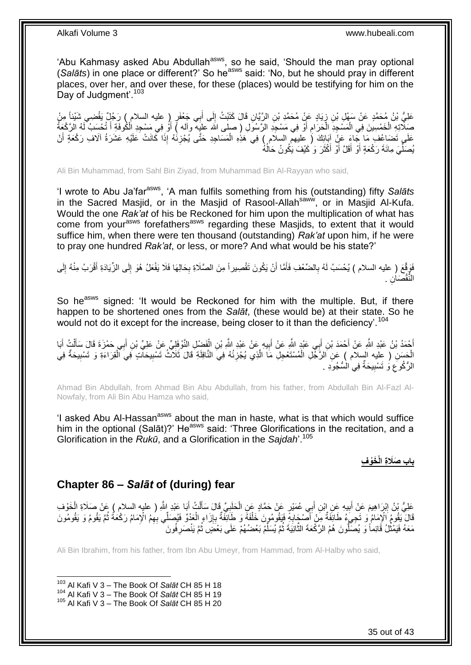'Abu Kahmasy asked Abu Abdullah<sup>asws</sup>, so he said, 'Should the man pray optional (Salāts) in one place or different?' So he<sup>asws</sup> said: 'No, but he should pray in different places, over her, and over these, for these (places) would be testifying for him on the Day of Judgment'.<sup>103</sup>

لَى ِن َقا َل َكَتْب ُت إ ِن ال َّرَّيا َياٍد َع ْن ُم َح َّمِد ْب ِن ز َعلِ ُّي ْب ُن ُم َح َّمٍد َع ْن َس ْه ِم ْن ِل ْب ِضي َشْيئا ا ٍر ) عليه السالم ( َر ُج ٌل َيقْ ِي َج ْعَف ب أ  $\frac{1}{2}$ ِ َ صَلِّاتِهِ الْخَمْسِينَ فِي الْمَسْجِدِ الْحَرَامِ أَوْ فِي مَسْجِدِ الرَّسُوَلِ ( صلى الله عليهة وآله ) أَوْ فِي مَسْجِدِ الْكُوفَةِ أَ تُحْسَبُ لَهُ الرَّكْعِةُ َ َ ِ ا<br>ا ْ ْ َ عَلَي تَضَاعُفِ مَا جَاءَ عَنْ أَبَائِكَ ( عليهم السلام ) فِي هَذِهِ الْمَسَاجِدِ حَتَّى يُجْزِئُهُ إِذَا كَانَتْ عَلَيْهِ عَشَرَةُ آلَافِ رَكْعَةٍ أَنْ َ ِ ْ يُصَلِّيَ مِائَةَ رَكْعَةٍ أَوْ أَقَلَّ أَوْ أَكْثَرَ وَ كَيْفَ يَكُونُ حَالُهُ ا<br>ا َ َ َ َ ِّ

Ali Bin Muhammad, from Sahl Bin Ziyad, from Muhammad Bin Al-Rayyan who said,

'I wrote to Abu Ja'farasws, 'A man fulfils something from his (outstanding) fifty *Salāts* in the Sacred Masjid, or in the Masjid of Rasool-Allah<sup>saww</sup>, or in Masjid Al-Kufa. Would the one *Rak'at* of his be Reckoned for him upon the multiplication of what has come from your<sup>asws</sup> forefathers<sup>asws</sup> regarding these Masjids, to extent that it would suffice him, when there were ten thousand (outstanding) *Rak'at* upon him, if he were to pray one hundred *Rak'at*, or less, or more? And what would be his state?'

فَوَقَّعَ ( عليه السلام ) يُحْسَبُ لَهُ بِالضِّعْفِ فَأَمَّا أَنْ يَكُونَ تَقْصِيراً مِنَ الصَّلَاةِ بِحَالِهَا فَلَا يَفْعَلُ هُوَ إِلَى الزِّيَادَةِ أَقْرَبُ مِنْهُ إِلَى **∶** َ َ **∶** ِ َ ِ النُّقْصَاٰنِ .

So he<sup>asws</sup> signed: 'It would be Reckoned for him with the multiple. But, if there happen to be shortened ones from the *Salāt*, (these would be) at their state. So he would not do it except for the increase, being closer to it than the deficiency'.<sup>104</sup>

أَحْمَدُ بْنُ عَبْدِ اللَّهِ عَنْ أَحْمَدَ بْنِ أَبِي عَبْدٍ اللَّهِ عَنْ أَبِيهِ عَنْ عَبْدِ اللَّهِ بْنِ الْفَضْلِ النَّوْفَلِيِّ عَنْ عَلِيِّ بْنِ أَبِي حَمْزَةَ قَالَ سَأَلْتُ أَبَا َ ْ **!** َ َ َ َ ْ َ َ إِخْسَنِ ( عِليه السلام ) عَنِ اَلزَّجْلِ الْمُسْتَعْجِلِ مَا الَّذِي يُجْزِئُهُ فِيَ النَّافِلَةِ قَالَ ثَلاثُ تَسْبِيحَانِّ فِيَ الْقِرَاءَةِ وَ تَسْبِيحَةٌ فِي **ٍ** َّ ْ ِ ْ ِ الرُّكُوعَ وَ تَسْبِيحَةٌ فِي الْسُّجُوَدِ **!** ِ

Ahmad Bin Abdullah, from Ahmad Bin Abu Abdullah, from his father, from Abdullah Bin Al-Fazl Al-Nowfaly, from Ali Bin Abu Hamza who said,

'I asked Abu Al-Hassan<sup>asws</sup> about the man in haste, what is that which would suffice him in the optional (Salāt)?' He<sup>asws</sup> said: 'Three Glorifications in the recitation, and a Glorification in the *Rukū*, and a Glorification in the *Sajdah*'.<sup>105</sup>

### **باب َص َخْو ِف َال ِة الْ**

### <span id="page-34-0"></span>**Chapter 86 –** *Salāt* **of (during) fear**

عَلِيُّ بْنُ إِبْرَاهِيمَ عَنْ أَبِيهِ عَنِ إِبْنِ أَبِي عُمَيْرٍ عَنْ حَمَّادٍ عَنِ الْحَلَبِيِّ قَالَ سَأَلْتُ أَيَا عَبْدِ إِللَّهِ ( عليه السلام ) عَنْ صَلَاةِ الْخَوْفِ َ ْ َ ِ ْ َ **!**  ِ ْ قَالَ يَقُومُ الْإِمَامُ وَ تَجِيَءُ طَائِفَةٌ مِنْ أَصْبَحَابِهِ فَيَقُومُونَ خَلْفَهُ وَ طَائِفَةٌ بِإِزَاءِ الْعَدُوِّ فَيُصَلِّي بِهِمُ الْإِمَامُ رَكْعَةٌ ثُمَّ يَقُومُ وَ يَقُومُون<br>بِينَا تَقُومُ الْإِمَامُ وَ تَجِي ُ ْ ِ ِ ْ ِ َ مَعَهُ فَيَمْثُلُ قَائِماً وَ يُصَلُّونَ هُمُ الرَّكْعَةَ الثَّانِيَةَ ثُمَّ يُسَلِّمُ بَعْضُهُمْ عَلَى بَعْضٍ ثُمَّ يَنْصَرِفُونَ ِّ ُ َّ ُ ِ ا پایا<br>ا

Ali Bin Ibrahim, from his father, from Ibn Abu Umeyr, from Hammad, from Al-Halby who said,

<sup>1</sup> <sup>103</sup> Al Kafi V 3 – The Book Of *Salāt* CH 85 H 18

<sup>104</sup> Al Kafi V 3 – The Book Of *Salāt* CH 85 H 19

<sup>105</sup> Al Kafi V 3 – The Book Of *Salāt* CH 85 H 20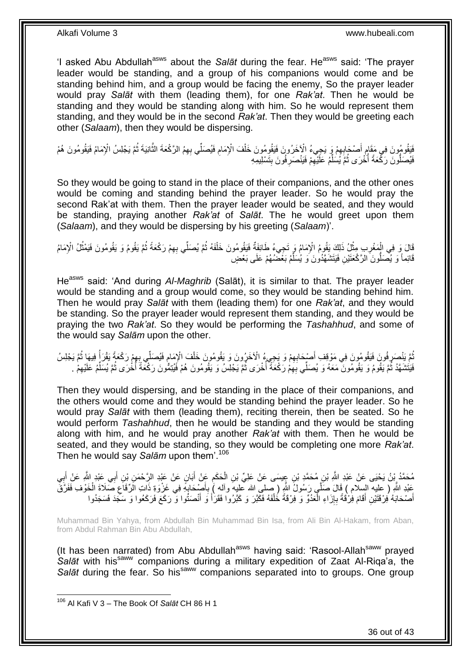'I asked Abu Abdullah<sup>asws</sup> about the *Salāt* during the fear. He<sup>asws</sup> said: 'The prayer leader would be standing, and a group of his companions would come and be standing behind him, and a group would be facing the enemy, So the prayer leader would pray *Salāt* with them (leading them), for one *Rak'at*. Then he would be standing and they would be standing along with him. So he would represent them standing, and they would be in the second *Rak'at*. Then they would be greeting each other (*Salaam*), then they would be dispersing.

فَيَقُومُونَ فِي مَقَامٍ أَصْحَابِهِمْ وَ يَجِيءُ الْإَخَرُونَ فَيَقُومُونَ خَلْفَ الْإِمَامِ فَيُصَلِّي بِهِمُ الرَّكْعَةَ الثَّانِيَةَ ثُمَّ يَجْلِسُ الْإِمَامُ فَيَقُومُونَ هُمْ  $\ddot{\phantom{0}}$ **ُ** ُ َّ ِ ْ **!** فَيُصَلَّونَ رَكْعَةً أُخْرَى ثُمَّ يُسَلِّمُ عَلَيْهِمْ فَيَنْصَرِفُونَ بِتَسْلِيمِهِ ِ ِ ِّ ا ماہ<br>سال .<br>ا

So they would be going to stand in the place of their companions, and the other ones would be coming and standing behind the prayer leader. So he would pray the second Rak'at with them. Then the prayer leader would be seated, and they would be standing, praying another *Rak'at* of *Salāt*. The he would greet upon them (*Salaam*), and they would be dispersing by his greeting (*Salaam*)'.

قَالَ وَ فِي الْمَغْرِبِ مِثْلُ ذَلِكَ يَقُومُ الْإِمَامُ وَرِ تَجِيءُ طَائِفَةٌ فَيَقُومُونَ خَلْفَهُ ثُمَّ يُصدَلِّي بِهِمْ رَكْعَةً ثُمَّ يَقُومُ وَ يَقُومُونَ فَيَمْثُلُ الْإِمَامُ ْ **∶** ِّ ان<br>المقام العالمية ْ ُ ا پایا<br>ا ِ قَائِماً وَ يُصَلُّونَ الرَّكْعَتَيْنِ فَيَتَشَهَّدُونَ وَ يُسَلِّمُ بَعَْضُهُمْ عَلَى بَعْضٍ ِّ

He<sup>asws</sup> said: 'And during Al-Maghrib (Salāt), it is similar to that. The prayer leader would be standing and a group would come, so they would be standing behind him. Then he would pray *Salāt* with them (leading them) for one *Rak'at*, and they would be standing. So the prayer leader would represent them standing, and they would be praying the two *Rak'at*. So they would be performing the *Tashahhud*, and some of the would say *Salām* upon the other.

ثُّمَّ يَنْصَرِ فُونَ فَيَقُومُونَ فِي مَوْقِفِ أَصْبِحَابِهِمْ وَ يَجِيءُ الْأَخَرُونَ وَ يَقُومُونَ خَلْفَ الْإِمَامِ فَيُصلِّي بِبِهِمْ رَكْعَةً يَقُرَأُ فِيهَا ثُمَّ يَجْلِسُ<br>تَرَبَّتُ مُرَيِّدُ بِهِ بَعْدِ مُراتِ وَي ِ َ ِ ُ ْ ُ ا<br>ا ِ **∶** فَيَتُشَهَّدُ ثُمَّ يَقُومُ وَ يَقُومُونَ مَعَهُ وَ يُصَلِّي بِهِمْ رَكْعَةٌ أُخْرَى ثُمَّ يَجْلِسُ وَ يَقُومُونَ هُمْ فَيُنِمُّونَ رَكْعَةً أَخْرَى ثُمَّ يُسَلِّمُ عَلَيْهِمْ . ُ ا<br>أ ِ ُ ِ ِّ ُ :<br>ا

Then they would dispersing, and be standing in the place of their companions, and the others would come and they would be standing behind the prayer leader. So he would pray *Salāt* with them (leading them), reciting therein, then be seated. So he would perform *Tashahhud*, then he would be standing and they would be standing along with him, and he would pray another *Rak'at* with them. Then he would be seated, and they would be standing, so they would be completing one more *Rak'at*. Then he would say *Salām* upon them'.<sup>106</sup>

مُحَمَّدُ بِنُ يَحْيَى عَنْ عَبْدِ اللَّهِ بْنِ مُحَمَّدٍ بْنِ عِِيسَى عَنْ عَلِيٍّ بْنِ الْحَكَمِ عَنْ أَبَانٍ عَنْ عَبْدِ الرَّحْمَنِ بْنِ أَبِي عَبْدِ اللَّهِ عَنْ أَبِي َ ِ ْ  $\frac{1}{2}$ َ َ ِعَبْدِ اللَّهِ ( عليه السلام ) قَالَ صَلَّى رَسُولُ اللَّهِ ( صلى الله عليهَ وأله ) بِأَصْدَابِهِ فِي غَزْوَةِ ذَاتِ الَرِّقَاعِ صَلَاةَ الْخَوْفِ فَفَرَّقَ َ ِ ْ ِ .<br>; أَصْحَابَهُ فِرْقَتَيْنِ أَقَامَ فِرْقَةً بِإِزَاءِ الْعَدُوِّ وَ فِرْقَةً خُلْفَهُ فَكَبْرَ وَ كَبَرُوا فَقَرْأَ وَ أَنْصَنُوا وَ رَكَعَ فَرَكَعُوا وَ سَكِّدَ فَسَجَدُوا َ َ ْ ْ ِ ِ َ َ

Muhammad Bin Yahya, from Abdullah Bin Muhammad Bin Isa, from Ali Bin Al-Hakam, from Aban, from Abdul Rahman Bin Abu Abdullah,

(It has been narrated) from Abu Abdullah<sup>asws</sup> having said: 'Rasool-Allah<sup>saww</sup> prayed Salāt with his<sup>saww</sup> companions during a military expedition of Zaat Al-Riqa'a, the Salat during the fear. So his<sup>saww</sup> companions separated into to groups. One group

 $\overline{1}$ 

36 out of 43

<sup>106</sup> Al Kafi V 3 – The Book Of *Salāt* CH 86 H 1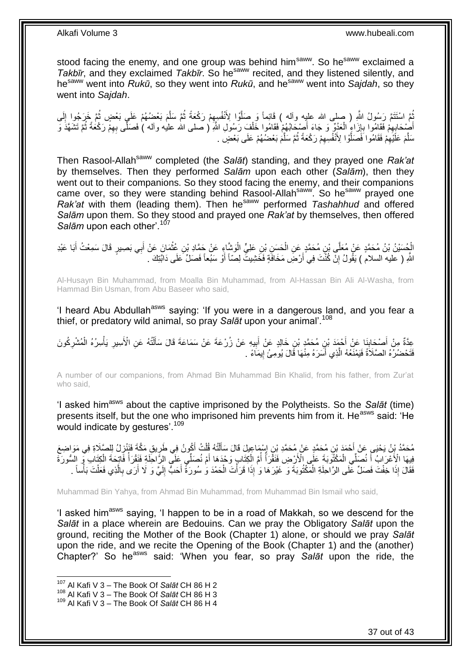stood facing the enemy, and one group was behind him<sup>saww</sup>. So he<sup>saww</sup> exclaimed a *Takbīr*, and they exclaimed *Takbīr*. So he<sup>saww</sup> recited, and they listened silently, and hesaww went into *Rukū*, so they went into *Rukū*, and hesaww went into *Sajdah*, so they went into *Sajdah*.

ُّبَّ اسْتَتَمَّ رَسُولُ اللَّهِ ( صلى الله عليِه وأله ) قَائِماً وَ صَلَّوْا لِأَنْفُسِهِمْ رَكْعَةً ثُمَّ سَلَّمَ بَعْضُهُمْ عَلَى بَعْضٍ ثُمَّ خَرَجُوا إِلَى ِ َّ لَ ِ ا پایا<br>ا َّ ُ أَصْخَابِهِمْ فَقَامُوا بِإِزَاءٍ الْعَدُوِّ وَ جَاءَ أَصْحَابُهُمْ فَقَامُوا خَلْفَ رَسُولِ اللَّهِ ( صلى الله عليه وأله ) فَصَلَّى بِهِمْ رَكْعَةً ثُمَّ تَشَهَّدَ وَ ْ َ ْ ِ ِ ِ ُ ِ سَلَّمَ عَلَيْهِمْ فَقَامُوا فَضَلَّوْا لِأَنْفُسِهِمْ رَكْعَةً ثُمَّ سَلَّمَ بَعْضُهُمْ عَلَى بَعْضٍ َ ِ َّ ُ ِ َّ

Then Rasool-Allah<sup>saww</sup> completed (the *Salāt*) standing, and they prayed one *Rak'at* by themselves. Then they performed *Salām* upon each other (*Salām*), then they went out to their companions. So they stood facing the enemy, and their companions came over, so they were standing behind Rasool-Allahsaww. So hesaww prayed one *Rak'at* with them (leading them). Then hesaww performed *Tashahhud* and offered *Salām* upon them. So they stood and prayed one *Rak'at* by themselves, then offered Salām upon each other<sup>' 107</sup>

الْجُسَيْنُ بْنُ مُحَمَّدٍ عَنْ مُعَلَّى بْنِ مُحَمَّدٍ عَنِ الْحَسِنِ بْنِ عَلِيٍّ الْوَشَّاءِ عَنْ حَمَّادِ بْنِ عُثْمَانَ عَنْ أَبِي بَصِيرٍ قَالَ سَمِعْتُ أَبَا عَيْدِ ْ ْ ْ َ َ اللَّهِ ( عليه السلام ) يَقُولُ إِنْ كُنْتَ فِي أَرْضَ مَخَافَةٍ فَخَشِيتَ لِصّاً أَوْ سَبُعاً فَصَلٍّ عَلَى دَابَّتِكَ . اً ِ

Al-Husayn Bin Muhammad, from Moalla Bin Muhammad, from Al-Hassan Bin Ali Al-Washa, from Hammad Bin Usman, from Abu Baseer who said,

'I heard Abu Abdullah<sup>asws</sup> saying: 'If you were in a dangerous land, and you fear a thief, or predatory wild animal, so pray *Salāt* upon your animal'.<sup>108</sup>

عِدَّةٌ مِنْ أَصْحَابِذَا عَنْ أَحْمَدَ بْنِ مُحَمَّدٍ بْنِ خَالِدٍ عَنْ أَبِيهِ عَنْ زُرْعَةَ عَنْ سَمَاعَةَ قَالَ سَأَلْتُهُ عَنِ الْأَسِيرِ يَأْسِرُهُ الْمُشْرِكُونَ<br>يَجِدَّةُ مِنْ أَصَدِّيَاتِهِ ِ َ َ **∣** َ ِ ْ ْ ِ ْ َ فَتَحْضُرُهُ الصَّلَاةُ فَيَمْنَعُهُ الَّذِي أَسَرَهُ مِنْهَا قَالَ يُومِئُ إِيمَاءً . **ְיִ** اً َّ

A number of our companions, from Ahmad Bin Muhammad Bin Khalid, from his father, from Zur'at who said,

'I asked himasws about the captive imprisoned by the Polytheists. So the *Salāt* (time) presents itself, but the one who imprisoned him prevents him from it. He<sup>asws</sup> said: 'He would indicate by gestures'.<sup>109</sup>

مُحَمَّدُ بِنُ يَحْيَى عَنْ أَحْمَدَ بْنِ مُحَمَّدٍ عَنْ مُحَمَّدِ بْنِ إِسْمَاعِيلَ قَالَ سَأَلْتُهُ قُلْتُ أَكُونُ فِي طَرِيقِ مَكَّةَ فَنَنْزِلُ لِلصَّلَاةِ فِي مَوَاضِعَ ِ ِ َ ْ ْ َ ِ فِيهَا الْأَعْرَابُ أَ نُصَلِّي الْمَكْثُوبَةَ عَلَى الْأَرْضِ فَنَقَّرَأُ أُمَّ الْكِتَابِ وَجْدَهَا أَمْ نُصَلِّي عَلَى الرَّاحَلَةِ فَنَقْرَأُ فَاتِحَةَ الْكِتَابِ وَ السُّورَةَ َ ْ ا<br>ا ا<br>ا ْ َ ْ ا<br>ا ِ فَقَالَ إِذَا خِفْتَ فَصَلٍّ عَلَى الرَّاحِلَةِ الْمَكْتُوبَةَ وَ غَيْرَهَا وَ ٰإِذَا قَرَأْتَ الْحَمْدَ وَ سُورَةً أَحَبُّ إِلَيَّ وَ لَا أَرَى بِالَّذِي فَعَلْتَ بَأْساً . َ ْ ة<br>أ ْ ْ ْ َّ **∶** َ لَ

Muhammad Bin Yahya, from Ahmad Bin Muhammad, from Muhammad Bin Ismail who said,

'I asked him<sup>asws</sup> saying, 'I happen to be in a road of Makkah, so we descend for the *Salāt* in a place wherein are Bedouins. Can we pray the Obligatory *Salāt* upon the ground, reciting the Mother of the Book (Chapter 1) alone, or should we pray *Salāt* upon the ride, and we recite the Opening of the Book (Chapter 1) and the (another) Chapter?' So he<sup>asws</sup> said: 'When you fear, so pray Salat upon the ride, the

<sup>107</sup> Al Kafi V 3 – The Book Of *Salāt* CH 86 H 2

<sup>108</sup> Al Kafi V 3 – The Book Of *Salāt* CH 86 H 3

<sup>109</sup> Al Kafi V 3 – The Book Of *Salāt* CH 86 H 4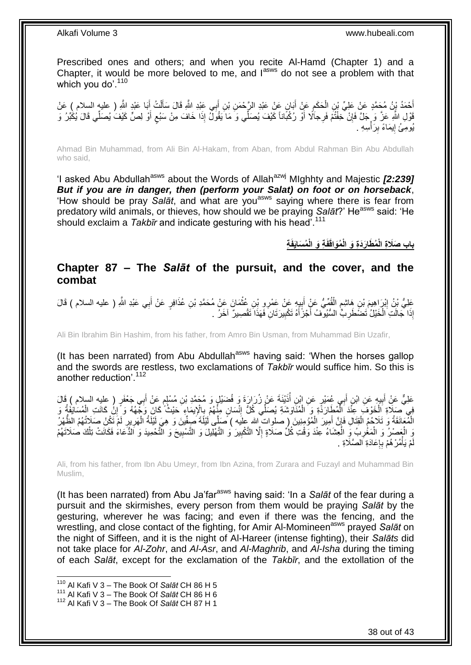Prescribed ones and others; and when you recite Al-Hamd (Chapter 1) and a Chapter, it would be more beloved to me, and lasws do not see a problem with that which you do'. $110$ 

ĺ أَحْمَدُ بِنُ مُحَمَّدٍ عَنْ عَلِيِّ بْنِ الْحَكَمِ عَنْ أَبَانٍ عَنْ عَبْدِ الرَّحْمَنِ بْنِ أَبِي عَبْدِ اللَّهِ قَالَ سَأَلْتُ أَبَا عَبْدِ اللَّهِ ( عليه السلام ) عَنْ<br>يَجْمَدُ بِنُ مُحَمَّدٍ عَنْ عَلِيِّ بْنِ الْحَكَ َ َ ِ ْ َ **∶** قَوْلِ اللَّهِ عَزَّ وَ حَلَّ فَإِنْ خِفْتُمْ فَرِجاَلًا أَوْ رُكْبَاناً كَيْفَ يُصَلِّي وَ مَا يَقُولُ إِذَا خَافَ مِنْ سَبُعٍ أَوْ لِصٍّ كَيْفَ يُصَلِّي قَالَ يُكْبُرُ وَ ِ َ يُومِئُ إِيمَاءً بِرَأْسِهِ . :<br>أا **! ֓**ׇ֚֚֚֚֚֓֡֡֓֡֘

Ahmad Bin Muhammad, from Ali Bin Al-Hakam, from Aban, from Abdul Rahman Bin Abu Abdullah who said,

'I asked Abu Abdullah<sup>asws</sup> about the Words of Allah<sup>azwj</sup> MIghhty and Majestic *[2:239] But if you are in danger, then (perform your Salat) on foot or on horseback*, 'How should be pray Salat, and what are you<sup>asws</sup> saying where there is fear from predatory wild animals, or thieves, how should we be praying *Salat*?' He<sup>asws</sup> said: 'He should exclaim a *Takbīr* and indicate gesturing with his head'.<sup>111</sup>

**ُم َطا َرَدِة َو باب َص ِة َال ِة الْ ُم َساَيفَ ِة َو الْ فَ ُمَواقَ الْ**

### <span id="page-37-0"></span>**Chapter 87 – The** *Salāt* **of the pursuit, and the cover, and the combat**

عَلِيُّ بْنُ إِبْرَاهِيمَ بْنِ هَاشِمٍ الْقُمِّيُّ عَنْ إِبِدٍ عَنْ عَمْرِو بْنِ عُثْمَانَ عَنْ مُحَمَّدِ بْنِ عُذَافِرٍ عَنْ أَبِي عَبْدِ اللَّهِ ( عليه السلام ) قَالَ ْ ِ َ ْ ٍ ِ إِذَا جَالَتِ الْخَيْلُ تَصْطَرِبُّ السُّيُوفُ أَجْزَأَهُ تَكْبِيرَتَانِ فَهَذَا تَقْصِيرٌ آخَرُ . ِ َ َ **∶** ْ

Ali Bin Ibrahim Bin Hashim, from his father, from Amro Bin Usman, from Muhammad Bin Uzafir,

(It has been narrated) from Abu Abdullah<sup>asws</sup> having said: 'When the horses gallop and the swords are restless, two exclamations of *Takbīr* would suffice him. So this is another reduction'.<sup>112</sup>

عَلِيٌّ عَنْ أَبِيهِ عَنِ ابْنِ أَبِي عُمَيْرٍ عَنِ ابْنِ أُذَيْنَةَ عَنْ زُرَارَةَ وَ فُضَيْلٍ وَ مُحَمَّدِ بْنِ مُسْلِمٍ عَنْ أَبِي جَعْفَرٍ ( عليه السلام ) قَالَ :<br>ا ِ َ ֧֧֚֓֝֝֓֝ فِي مَسَلَاةِ الْخَوْفَ عِنْدَ الْمُطَارَدَةِ وَ الْمُنَاوَشَةِ يُصَلِّي كُلُّ إِنْسَانٍ مِنْهُمْ بِالْإِيمَاءِ حَيْثُ كَانَ وَجِّهُهُ وَ إِنْ كَانَتِ الْمُسَاتِفَةُ وَ<br>الْمَسْرَبَعُ وَيَرْدِينَ وَيَرْدِينَ وَيَرْدِينَ وَ ِ<br>پہ ِ ْ ْ ْ ْ ِ الْمُعَانَقَةُ وَ تَلَاحُمُ الْقِتَالِ فَإِنَّ أَمِيرَ الْمُؤْمِنِينَ ( صلواتٌ الله عِلَيه ) صَلَّى لَيْلَةَ صِفِّينَ وَ هِيَ لَيْلَةُ الْهَرِيرِ لَمْ تَكُنْ صَلَاتُهُمُ الظُّهْرُ ْ ْ لَ ِ ِ ْ ْ َ اِ وَ الْعَصْرُ وَ الْمَغْرِبُ وَ الْعِشَاءُ عِنْدَ وَقْتِ كُلِّ صَلَاةٍ إِلَّا التَّكْبِيرَ وَ التَّهْلِيلَ وَ التَّسْبِيحَ وَ التَّحْمِيدَ وَ الدُّعَاءَ فَكَانَتْ تِلْكَ صَلَاتَهُمْ **!** ِ ْ ِ ْ ْ ِ مْ يَأْمُرْ هُمْ بِإِعَادَةِ الصَّلَاةِ . ا<br>: ِ **ٔ** لَ

Ali, from his father, from Ibn Abu Umeyr, from Ibn Azina, from Zurara and Fuzayl and Muhammad Bin Muslim,

(It has been narrated) from Abu Ja'far<sup>asws</sup> having said: 'In a Salat of the fear during a pursuit and the skirmishes, every person from them would be praying *Salāt* by the gesturing, wherever he was facing; and even if there was the fencing, and the wrestling, and close contact of the fighting, for Amir Al-Momineen<sup>asws</sup> prayed *Salāt* on the night of Siffeen, and it is the night of Al-Hareer (intense fighting), their *Salāts* did not take place for *Al-Zohr*, and *Al-Asr*, and *Al-Maghrib*, and *Al-Isha* during the timing of each *Salāt*, except for the exclamation of the *Takbīr*, and the extollation of the

<sup>110</sup> Al Kafi V 3 – The Book Of *Salāt* CH 86 H 5

<sup>111</sup> Al Kafi V 3 – The Book Of *Salāt* CH 86 H 6

<sup>112</sup> Al Kafi V 3 – The Book Of *Salāt* CH 87 H 1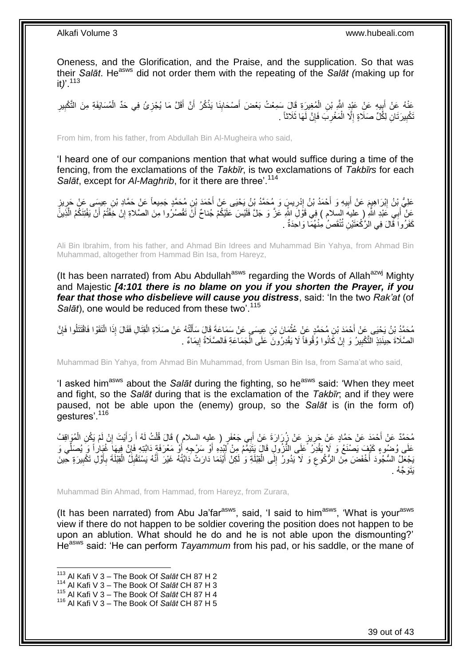Oneness, and the Glorification, and the Praise, and the supplication. So that was their *Salāt*. He<sup>asws</sup> did not order them with the repeating of the *Salāt (making up for* it*)*'.<sup>113</sup>

عَنْهُ عَنْ أَبِيهِ عَنِْ عَيْدٍ اللَّهِ بْنِ الْمُغِيرَةِ قَالَ سَمِعْتُ بَعْضَ أَصْحَابِنَا يَذْكُرُ أَنَّ أَقَلَّ مَا يُجْزِئُ فِي حَدِّ الْمُسَايَفَةِ مِنَ التَّكْبِيرِ ِ َ َ **ٔ: !** َ ْ ِ َ ِ ِ ْ َّتْكْبِيرَ ثَانِ لِكُُلِّ صَلَاةٍ إِلَّا الْمَغْرِبَ فَإِنَّ لَهَا ثَلَاثاً . ِ ِ ْ ِ **!** 

From him, from his father, from Abdullah Bin Al-Mugheira who said,

'I heard one of our companions mention that what would suffice during a time of the fencing, from the exclamations of the *Takbīr*, is two exclamations of *Takbīrs* for each *Salāt*, except for *Al-Maghrib*, for it there are three'.<sup>114</sup>

عَلِيُّ بْنُ اِبْرَاهِيمَ عَنْ أَبِيهِ وَ أَحْمَدُ بْنُ إِدْرِيسٍ وَ مُحَمَّدُ بْنُ يَحْيَى عَنْ أَحْمَدَ بْنِ مُحَمَّدٍ جَمِيعاً عَنْ حَطَّد بْنِ عِيسَى عَنْ حَرِيزٍ َ ِ ֖֦֦֧֦֧֦֧ׅ֦֧֦֦֧֦֧֦֧ׅ֦֧ׅ֦֧֦֧֦֧֦֧֦֧֦֧֦֧֚֚֚֚֚֚֚֚֚֝֝֝֜֝֜֓֡֜֓֡֜<br>֧֧֪֧֧֧֧ׅ֧֧֧֧֦֧֦֧֧֪֚֜֝֓֝֓֝֬֜֝֬֜֜֝ َ **!** ِ ِ عَنْ أَبِي عَبْدِ اللَّهِ ( عليه السلام ) فِي قَوْلَ اللَّهِ عَزَّ وَ جَلَّ فَلَيْسَ عَلَيْكُمْ جُناحٌ أَنَّ تَقْصُرُوا مِنَ الصَّلاةِ إِنْ خَفْتُمْ أَنْ يَفْتِنَكُمُ الْذَينَّ َّ َ ِ َ كَفَرُوا َقَالَ فِي الرَّكْعَتَيْنِ تُنْقَصُ مِنْهُمَّا وَاحِدَةٌ .

Ali Bin Ibrahim, from his father, and Ahmad Bin Idrees and Muhammad Bin Yahya, from Ahmad Bin Muhammad, altogether from Hammad Bin Isa, from Hareyz,

(It has been narrated) from Abu Abdullah<sup>asws</sup> regarding the Words of Allah<sup>azwj</sup> Mighty and Majestic *[4:101 there is no blame on you if you shorten the Prayer, if you fear that those who disbelieve will cause you distress*, said: 'In the two *Rak'at* (of *Salāt*), one would be reduced from these two<sup>' 115</sup>

مُحَمَّدُ بْنُ يَحْيَى عَنْ أَحْمَدَ بْنِ مُحَمَّدٍ عَنْ عُثْمَانَ بْنِ عِبِسَى عَنْ سَمَاعَةَ قَالَ سَأَلْتُهُ عَنْ صَلَاةِ الْقِتَالِ فَقَالَ إِذَا الْتَقَوْا فَاقْتَتَلُوا فَإِنَّ ْ َ **ٔ** ∣ٍ إ ْ الصَّلَاةَ حِينَئِذٍ التَّكْبِيرُ وَ إِنْ كَانُوا وُقُوفاً لَا يَقْدِرُونَ عَلَى الْجَمَاعَةِ فَالصَّلَاةُ إِيمَاءٌ . ֖֧֦֧֦֧֦֧֦֧֦֧֦֧֦֧ׅ֧֦֧֦֧ׅ֧֦֧֦֧֦֧֦֧֦֧֦֧֦֧֦֧֦֧֦֧֦֧֦֧֦֧֦֧֦֧֦֜֓֓֜֓֓ ْ ِ **!** 

Muhammad Bin Yahya, from Ahmad Bin Muhammad, from Usman Bin Isa, from Sama'at who said,

'I asked him<sup>asws</sup> about the *Salāt* during the fighting, so he<sup>asws</sup> said: 'When they meet and fight, so the *Salāt* during that is the exclamation of the *Takbīr*; and if they were paused, not be able upon the (enemy) group, so the *Salāt* is (in the form of) gestures'.<sup>116</sup>

مُحَمَّدٌ عَنْ أَحْمَدَ عَنْ حَمَّادٍ عَنْ جَرِيزٍ عَنْ زُرَارَةَ عَنْ أَبِي جَعْفَرٍ ( عليه السلام ) قَالَ قُلْتُ لَهُ أَ رَأَيْتَ إِنْ لَمْ يَكُنِ الْمُوَاقِفُ َ ْ َ ِ َ ْ ِ َ عَلَى وُضُوءٍ كَيْفٍ يَصْنَعُ وَ لَا يَقْدِرُ عَلَى النَّزُولِ قَالَ يَتَيَمُّمُ مِنْ لِّلِيْدِهِ أَوْ مَعْرَفَةٍ دَابَّتِهِ فَإِنَّ فِيهِاَ غُيَاراً وَ يُصَلِّي وَ ِّ  $\frac{1}{2}$ َ َ َ يَجْعَلُ السُّجُودَ أَخْفَضَ مِنَ الرُّكُوعِ وَ لا يَدُورُ إِلَى الْقِلَةِ وَ لَكِنَّ أَيْنَمَا دَارَتْ دَابَتُهُ غَيْرَ أَنَّهُ يَسْتَقْلِلُ الْقِلَةَ بِأَوَّلِ تَكْبِيرَةٍ حِينَ َ ْ ِ ِ ِ اُ ِ ْ ِ َيَتَو َّج ُه .

Muhammad Bin Ahmad, from Hammad, from Hareyz, from Zurara,

(It has been narrated) from Abu Ja'far<sup>asws</sup>, said, 'I said to him<sup>asws</sup>, 'What is your<sup>asws</sup> view if there do not happen to be soldier covering the position does not happen to be upon an ablution. What should he do and he is not able upon the dismounting?' He<sup>asws</sup> said: 'He can perform *Tayammum* from his pad, or his saddle, or the mane of

 $\overline{1}$ 

<sup>113</sup> Al Kafi V 3 – The Book Of *Salāt* CH 87 H 2

<sup>114</sup> Al Kafi V 3 – The Book Of *Salāt* CH 87 H 3

<sup>115</sup> Al Kafi V 3 – The Book Of *Salāt* CH 87 H 4

<sup>116</sup> Al Kafi V 3 – The Book Of *Salāt* CH 87 H 5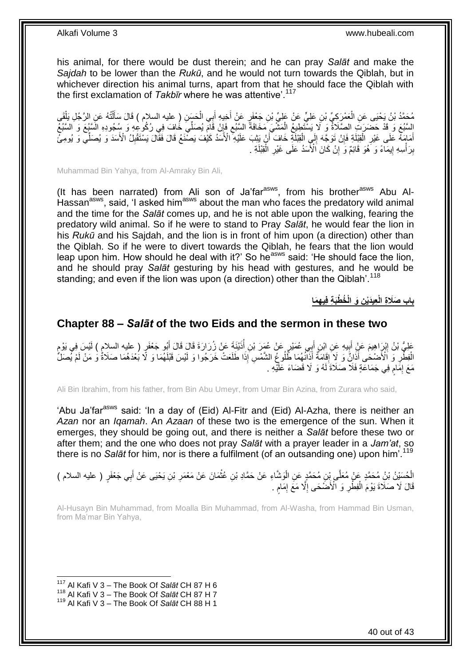his animal, for there would be dust therein; and he can pray *Salāt* and make the *Sajdah* to be lower than the *Rukū*, and he would not turn towards the Qiblah, but in whichever direction his animal turns, apart from that he should face the Qiblah with the first exclamation of *Takbīr* where he was attentive<sup>'.117</sup>

مُحَمَّدُ بْنُ يَحْيَى عَنِ الْعَمْرِكِيِّ بْنِ عَلِيٍّ عَنْ عَلِيٍّ بْنِ جَعْفَرٍ عَنْ أُخِيهِ أَبِي الْحَسَنِ ( عليه السلام ) قَالَ سَأَلْتُهُ عَنِ الرَّجُلِ يَلْقَي<br>دَعَمَّدُ بْنُ يَحْيَى عَنِ الْعَمْرِكِيِّ بْنِ عَلِي ْ َ َ ْ ْ ْ َ السَّبُعَ وَ قَدْ حَضَرَتَ الصَّلَاةُ وَ لَا يَسْتَطِيعُ الْمَشْيَ مَخَافَةً السِّبُعِ فَإِنْ قَامَ يُصَلِّيَ خَافَ فِي رُكُوعِهِ وَ سُجُودِهِ السَّيُعُ وَ السَّبُعُ ِ ِ ْ أَمَامَهُ عَلَى غَيْرِ الْقِبْلَةِ فَإِنْ تَوَجَّهَ إِلَى الْقِبْلَةِ خَافَ أَنْ يَثِبَ عَلَيْهِ الْأَسَدُ كَيْفَ يَصَّنَعُ قَالَ فَقَالَ يَسْتَقْبِلُ الْأَسَدَ وَ يُصَلِّي وَ يُومِئُ اُ ْ  $\frac{1}{2}$ ِ ْ ِ ِّ ِ بِرَأْسِهِ إِيمَاءً وَ َهُوَ قَائِمٌ وَ إِنْ كَانَ الْأَسَدُ عَلَى غَيْرِ الْْقِبْلَةِ . ْ ِ **׀** <u>֖֚֚֚֓</u>֛֚֚֚ :<br>ا **ِ** 

Muhammad Bin Yahya, from Al-Amraky Bin Ali,

(It has been narrated) from Ali son of Ja'far $a<sup>asws</sup>$ , from his brother $a<sup>asws</sup>$  Abu Al-Hassan<sup>asws</sup>, said, 'I asked him<sup>asws</sup> about the man who faces the predatory wild animal and the time for the *Salāt* comes up, and he is not able upon the walking, fearing the predatory wild animal. So if he were to stand to Pray *Salāt*, he would fear the lion in his *Rukū* and his Sajdah, and the lion is in front of him upon (a direction) other than the Qiblah. So if he were to divert towards the Qiblah, he fears that the lion would leap upon him. How should he deal with it?' So he<sup>asws</sup> said: 'He should face the lion, and he should pray *Salāt* gesturing by his head with gestures, and he would be standing; and even if the lion was upon (a direction) other than the Qiblah'.<sup>118</sup>

**ِه َما ِن َو الْ ُخ ْطَب ِة فِي ِعيَدْي باب َصَال ِة الْ**

### <span id="page-39-0"></span>**Chapter 88 –** *Salāt* **of the two Eids and the sermon in these two**

عَلِيُّ بْنُ إِبْرَاهِيمَ عَنِْ أَبِيهِ عَنِ ابْنِ أَبِي عُمَيْرٍ عَنْ عُمَرَ بْنِ أَذَيْنَةَ عَنْ زُِرَارَةَ قَالَ قَالَ أَبُو جَعْفَرٍ ( عليه السلام ) لَيْسَ فِي يَوْمٍ َ ُ َ **∣** َ ِ ِ الْفِطْْرِ وَ ٱلْأَصْحَٰى أَذَاِنٌ وَ لِا ۗ إِقَامَةٌ أَذَآنُهُمَا ظُّلُوعٍ الشَّمْسِ إِذَا طَلَعَتْ خَرَجُوا وَ لَيْسَ قَبْلَهُمَا وَ لَا بُعْدَهُمَا صَلَاةٌ وَ مَنْ لَمْ يُصَلّ َ ِ ْ َ مَعَ إِمَامٍ فِي جَمَاعَةٍ فَلَا صَلَاةَ لَهُ وَ لَا قَضَاءَ عَلَيْهِ . م ِ

Ali Bin Ibrahim, from his father, from Bin Abu Umeyr, from Umar Bin Azina, from Zurara who said,

'Abu Ja'far<sup>asws</sup> said: 'In a day of (Eid) Al-Fitr and (Eid) Al-Azha, there is neither an *Azan* nor an *Iqamah*. An *Azaan* of these two is the emergence of the sun. When it emerges, they should be going out, and there is neither a *Salāt* before these two or after them; and the one who does not pray *Salāt* with a prayer leader in a *Jam'at*, so there is no *Salāt* for him, nor is there a fulfilment (of an outsanding one) upon him<sup>' 119</sup>

### الْحُسَنِيُّ بْنُ مُحَمَّدٍ عَنْ مُعَلَّى بِنْنِ مُحَمَّدٍ عَنِ الْوَشَاءِ عَنْ حَمَّادِ بْنِ عُثْمَانَ عَنْ مَعْمَرِ بْنِ يَحْيَى عَنْ أَبِي جَعْفَرٍ ( عليه السلام ) ِ **ٔ** ا<br>ا َ قَالَ لَا صَلَّاةَ يَوْمَ الْفِطْْرِ وَ الْأَضَّحَى إِلَّا مَعَ إِمَامٍ . ِ ْ ֧֧֖֧֖֧֖֧֧֧֧֧֧֧֧֧֧֧֧֚֚֚֓֝֝֝֝֝֟֓֝֓֬֝֓֝֬֟֓֟֓֝֬֟֓֟֓֝֬֝֬֝֓֟֓֝֬֜֝֬֝֓֝֬֝֓ ِ ِ

Al-Husayn Bin Muhammad, from Moalla Bin Muhammad, from Al-Washa, from Hammad Bin Usman, from Ma'mar Bin Yahya,

<sup>117</sup> Al Kafi V 3 – The Book Of *Salāt* CH 87 H 6

<sup>118</sup> Al Kafi V 3 – The Book Of *Salāt* CH 87 H 7

<sup>119</sup> Al Kafi V 3 – The Book Of *Salāt* CH 88 H 1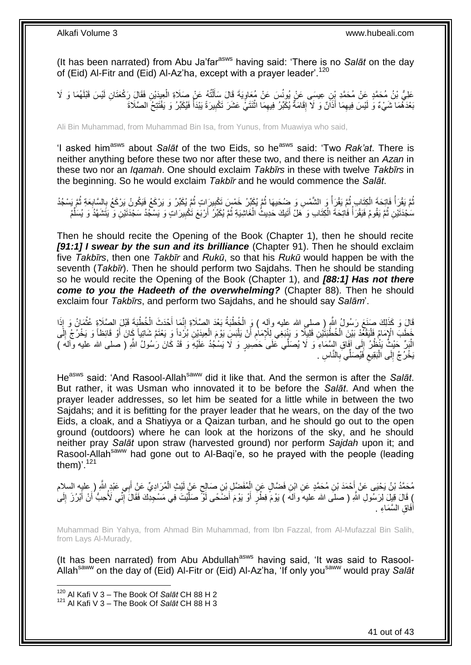(It has been narrated) from Abu Ja'far<sup>asws</sup> having said: 'There is no Salat on the day of (Eid) Al-Fitr and (Eid) Al-Az'ha, except with a prayer leader'.<sup>120</sup>

ِن َف ِعيَدْي ُه َع ْن َصَالِة ال تُ ل َي َة َقا َل َسأ َس َع ْن ُمَعاو ِن ِعي َسى َع ْن ُيونُ ُهَما َو ََل َعلِ ُّي ْب ُن ُم َح َّمٍد َع ْن ُم َح َّمِد ْب ْي َس َقْبلَ ِن لَ َقا َل َر ْكَعَتا ْ ْ اً ا ِ بَعْدَهُمَا شَيْءٌ وَ لَيْسَ فِيهِمَا أَذَانٌ وَ لَا إِقَامَةٌ يُكَبِّرُ فِيهِمَا اثْنَتَيْ عَشَرَ تَكْبِيرَةً يَبْدَأُ فَيُكَبِّرُ وَ يَفْتَتِحُ الصَّلَاةَ ا<br>ا ِ **ٔ** ِ ِ َ ِ

Ali Bin Muhammad, from Muhammad Bin Isa, from Yunus, from Muawiya who said,

'I asked him<sup>asws</sup> about Salat of the two Eids, so he<sup>asws</sup> said: 'Two Rak'at. There is neither anything before these two nor after these two, and there is neither an *Azan* in these two nor an *Iqamah*. One should exclaim *Takbīrs* in these with twelve *Takbīrs* in the beginning. So he would exclaim *Takbīr* and he would commence the *Salāt*.

### ُمَّ يَقْرَأُ فَاتِحَةَ الْكِتَابِ ثُمَّ يَقْرَأُ وَ الشَّمْسِ وَ ضُحَيهَا ثُمَّ يُكَبِّرُ خَمْسَ تَكْبِيرَاتٍ ثُمَّ يُكَبِّرُ وَ يَرْكَعُ فَيَكُونُ يَرْكَعُ بِالسَّابِعَةِ ثُمَّ يَسْجُدُ ُ ِ ُ ا<br>ا ُ ْ المناطقي.<br>أحداث المناطقين المناطقين المناطقين المناطقين المناطقين المناطقين المناطقين المناطقين المناطقين المناطقين المناطقين<br>المناطقين المناطقين المناطقين المناطقين المناطقين المناطقين المناطقين المناطقين المناطقين المنا ا پایا<br>ا ِ ِ سَجْدَتَيْنِ ثُمَّ يَقُومُ فَيَقْرَأُ فَاتِحَةَ الْكِتَابِ وَ هَلْ أَتَيكَ حَدِيثُ الْغَاشِيَةِ ثُمَّ يُكَبِّرُ أَرْيَعَ تَكْبِيرَاتٍ وَ يَسْمِّدُ سَجْدَتَيْنِ وَ يَتَشَهَّدُ وَ يُسَلِّمُ ُ ِ اً ُ ْ َ ْ ا<br>ا ِّ

Then he should recite the Opening of the Book (Chapter 1), then he should recite *[91:1] I swear by the sun and its brilliance* (Chapter 91). Then he should exclaim five *Takbīrs*, then one *Takbīr* and *Rukū*, so that his *Rukū* would happen be with the seventh (*Takbīr*). Then he should perform two Sajdahs. Then he should be standing so he would recite the Opening of the Book (Chapter 1), and *[88:1] Has not there come to you the Hadeeth of the overwhelming?* (Chapter 88). Then he should exclaim four *Takbīrs*, and perform two Sajdahs, and he should say *Salām*'.

َفَالَ وَ كَذَلِكَ صَنَعَ رَسُولُ اللَّهِ ( صلى الله عليه وآله ) وَ الْخُطْبَةُ بَعْدَ الصَّلَاةِ إِنَّمَا أَحْدَثَ الْخُطْبَةَ قَبْلَ الصَّلَاةِ عُثْمَانُ وَ إِذَا **ٔ** َ ∣l<br>∶ َ خَطَبَ الْإِمَامُ فَلْيَقْعُدْ بَيْنَ الْخُطْبَتَيْنِ قَلِيلًا وَ يَنْبَغِي لِلْإِمَامِ أَنْ يَلْبَسِ يَوْمَ الْعِيدَيْنِ بُرُّداً وَ يَعْتَمَّ شَاتِياً كَانَ أَوْ قَائِظاً وَ يَخْرُجُ إِلَى ْ :<br>ا َ ِ :<br>ا َ الْمَدِّ كَيْثٍُ يَنْظُرُ إِلَى آفَاقِ السَّمَاءِ وَ لَا يُصَلِّي تَحَلَى حَصْبِيرٍ وَ لَا يَسْكُدُ عَلَيْهِ وَ قَدْ كَانَ رَسُولُ اللَّهِ ( صلى الله عليه وآلهَ )  $\frac{1}{2}$ يَخْرُجُ إِلَى الْبَقِيعِ فَيُصَلِّي بِالنَّاسِ . **∶** ِ ْ ِ

He<sup>asws</sup> said: 'And Rasool-Allah<sup>saww</sup> did it like that. And the sermon is after the *Salat*. But rather, it was Usman who innovated it to be before the *Salāt*. And when the prayer leader addresses, so let him be seated for a little while in between the two Sajdahs; and it is befitting for the prayer leader that he wears, on the day of the two Eids, a cloak, and a Shatiyya or a Qaizan turban, and he should go out to the open ground (outdoors) where he can look at the horizons of the sky, and he should neither pray *Salāt* upon straw (harvested ground) nor perform *Sajdah* upon it; and Rasool-Allah<sup>saww</sup> had gone out to Al-Bagi'e, so he prayed with the people (leading them $)^{7}$ .<sup>121</sup>

مُحَمَّدُ بْنُ يَحْيَى عَنْ أَحْمَدَ بْنِ مُحَمَّدٍ عَنِ ابْنِ فَضَّالٍ عَنِ الْمُفَضَّلِ بْنِ صَالِحٍ عَنْ لَيْثٍ الْمُرَادِيِّ عَنْ أَبِي عَبْدٍ الثَّهِ ( عليه السلام ْ ٍ ْ َ َ ) قَالَ قِيلَ لِرَسُولِ اللَّهِ ( صلَّى الله عليه ۖ وآله ) يَوْمَ فِطْرٍ أَوْ يَوْمَ أَضَّعًى أَوّْ صَلَّيْتَ فِي مَسْجِدِكَ فَقَالَ إِنِّي لَأُحِبُّ أَنْ أَبْرُزَ إِلَى َ َ َ ِ َّ أَفَاقِ السَّمَاءِ <sub>.</sub>

Muhammad Bin Yahya, from Ahmad Bin Muhammad, from Ibn Fazzal, from Al-Mufazzal Bin Salih, from Lays Al-Murady,

(It has been narrated) from Abu Abdullah $a<sup>asws</sup>$  having said, 'It was said to Rasool-Allahsaww on the day of (Eid) Al-Fitr or (Eid) Al-Az'ha, 'If only yousaww would pray *Salāt*

<sup>120</sup> Al Kafi V 3 – The Book Of *Salāt* CH 88 H 2

<sup>121</sup> Al Kafi V 3 – The Book Of *Salāt* CH 88 H 3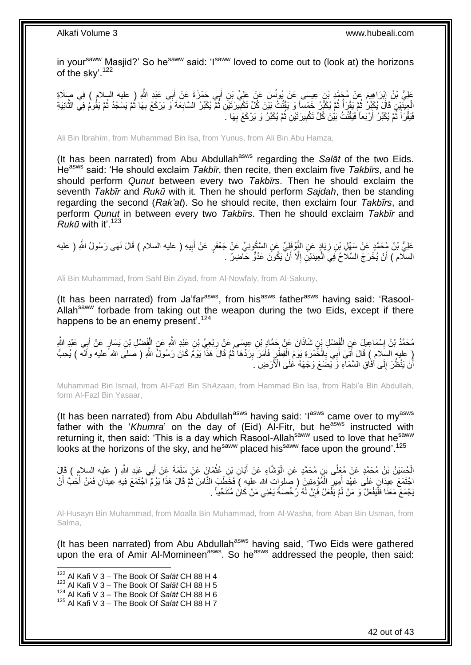in your<sup>saww</sup> Masjid?' So he<sup>saww</sup> said: 'I<sup>saww</sup> loved to come out to (look at) the horizons of the skv'.<sup>122</sup>

عَلِيُّ بْنُ إِبْرَاهِيمَ عَنْ مُجَمَّدٍ بْنِ عِيسَى عَنْ يُونُسَ عَنْ عَلِيٍّ بْنِ أَبِي حَمْزَةَ عَنْ أَبِي عَبْدِ اللَّهِ ( عليه السلام ) فِي صَلَاةِ َ َ ِ الْعِيدَيْنِ قَالَ يُكَبِّرُ ۖ ثُمَّ يَقُرَأُ ثُمَّ يُكَبِّرُ ۖ خَمْساً وَ يَقْنُتُ بَيْنَ كُلِّ تَكْبِيرَتَيْنِ ثُمَّ يُكَبِّرُ السَّابِعَةَ وَ يَرْكَعُ بِهَا ثُمَّ يَقُومُ فِي الثَّانِيَةِ ُ ِ ُ ُ</sub> ُ َّ ُ ُ ِ ِ فَيَقْرَأَ ثَمَّ يُكَبِّرُ أَرْبَعاً فَيَقْنُتُ بَيْنَ كُلِّ تَكْبِيرَتَيْنِ ثُمَّ يُكَبِّرُ وَ يَرْكَعُ بِهَا  $\,$ ِ ُ ِ اً ُ ا<br>ا

Ali Bin Ibrahim, from Muhammad Bin Isa, from Yunus, from Ali Bin Abu Hamza,

(It has been narrated) from Abu Abdullah<sup>asws</sup> regarding the *Salāt* of the two Eids. Heasws said: 'He should exclaim *Takbīr*, then recite, then exclaim five *Takbīrs*, and he should perform *Qunut* between every two *Takbīrs*. Then he should exclaim the seventh *Takbīr* and *Rukū* with it. Then he should perform *Sajdah*, then be standing regarding the second (*Rak'at*). So he should recite, then exclaim four *Takbīrs*, and perform *Qunut* in between every two *Takbīrs*. Then he should exclaim *Takbīr* and *Rukū* with it'.<sup>123</sup>

عَلِيُّ بْنُ مُحَمَّدٍ عَنْ سَهْلِ بْنِ زِيَادٍ عَنِ النَّوْفَلِيِّ عَنِ السَّكُونِيِّ عَنْ جَعْفَرٍ عَنْ أَبِيهِ ( عليه السلام ) قَالَ نَهَى رَسُولُ اللَّهِ ( عليه ِ َ ِ السلام ) أَنْ يُخْرَجَ السِّلَاحُ فِيَ الْعِيدَيْنِ إِلَّا أَنْ يَكُونَ عَدُوٍّ حَاضِرٌ . ِ ْ اً َ

Ali Bin Muhammad, from Sahl Bin Ziyad, from Al-Nowfaly, from Al-Sakuny,

(It has been narrated) from Ja'far $a<sup>asws</sup>$ , from his<sup>asws</sup> father $a<sup>asws</sup>$  having said: 'Rasool-Allah<sup>saww</sup> forbade from taking out the weapon during the two Eids, except if there happens to be an enemy present'.  $124$ 

ْ مُحَمَّدُ بْنُ إِسْمَاعِيلَ عَنِ الْفَضْلِ بْنِ شَاذَانَ عَنْ حَمَّادٍ بْنِ عِيسَى عَنْ رِبْعِيِّ بْنِ عَيْدِ اللَّهِ عَنِ الْفَضْلِ بْنِ يَسَارٍ عَنْ أَبِي عَبْدِ اللَّهِ ِ ْ ِ َ ( عليه السَّلام ) قَالَ أُنِّيَ أَبِي بَالْخُمْرَةِ بَوْمَ الْفَطْرِ فَأَمَرَ بِرَدُّهَا ثُمَّ قَالَ هَذَا يَوْمٌ كَانَ رَسُولٌ اللَّهِ ( صَلَّى الله عليه وآله ) يُحِبُّ َ ُ ِ َ ِ ْ **∶** أَنْ يَنْظُرَ إِلَى أَفَاقِ السَّمَآءِ وَ يَضَعَ وَجْهَهُ عَلَى الْأَرْضِ ۚ . ِ م<br>ا

Muhammad Bin Ismail, from Al-Fazl Bin Sh*Azaan*, from Hammad Bin Isa, from Rabi'e Bin Abdullah, form Al-Fazl Bin Yasaar,

(It has been narrated) from Abu Abdullah<sup>asws</sup> having said: ' $I^{asws}$  came over to my<sup>asws</sup> father with the 'Khumra' on the day of (Eid) Al-Fitr, but he<sup>asws</sup> instructed with returning it, then said: 'This is a day which Rasool-Allah<sup>saww</sup> used to love that he<sup>saww</sup> looks at the horizons of the sky, and he<sup>saww</sup> placed his<sup>saww</sup> face upon the ground'.<sup>125</sup>

لْحُسَيْنُ بْنُ مُحَمَّدٍ عَنْ مُعَلَّى بْنِ مُحَمَّدٍ عَنِ الْوَشَاءِ عَنْ أَبَانِ بْنِ عُثْمَانٍ عَنْ سَلَمَةَ عَنْ أَبِي عَبْدِ اللَّهِ ( عليه السلام ) قَالَ َ ا<br>ا َ **ٔ** اجْتَمَعَ عِيدَانٍ عَلَى عَهْدٍ أُمِيرٍ الْمُؤْمِنِينَ ( صَلوات الله عليه ) فَخَطَبَ النَّاسَ ثُمَّ قَالَ هَذَا يَوْمُ اجْتَمَعَ فِيهِ عِيدَانِ فَمَنْ أَحَبَّ أَنْ ان<br>المقامات ْ ِ َ َ َ :<br>ا يَجْمَعَ مَعَنَا فَلْيَفْعَلْ وَ مَنْ لَمْ يَفْعَلْ فَإِنَّ لَهُ رُخْصَةً يَعْنِي مَنْ كَاٰنَ مُتَنَحِّياً . ِ

Al-Husayn Bin Muhammad, from Moalla Bin Muhammad, from Al-Washa, from Aban Bin Usman, from Salma,

(It has been narrated) from Abu Abdullah<sup>asws</sup> having said, 'Two Eids were gathered upon the era of Amir Al-Momineen<sup>asws</sup>. So he<sup>asws</sup> addressed the people, then said:

 $\overline{1}$ 

- <sup>123</sup> Al Kafi V 3 The Book Of *Salāt* CH 88 H 5
- <sup>124</sup> Al Kafi V 3 The Book Of *Salāt* CH 88 H 6

<sup>122</sup> Al Kafi V 3 – The Book Of *Salāt* CH 88 H 4

<sup>125</sup> Al Kafi V 3 – The Book Of *Salāt* CH 88 H 7